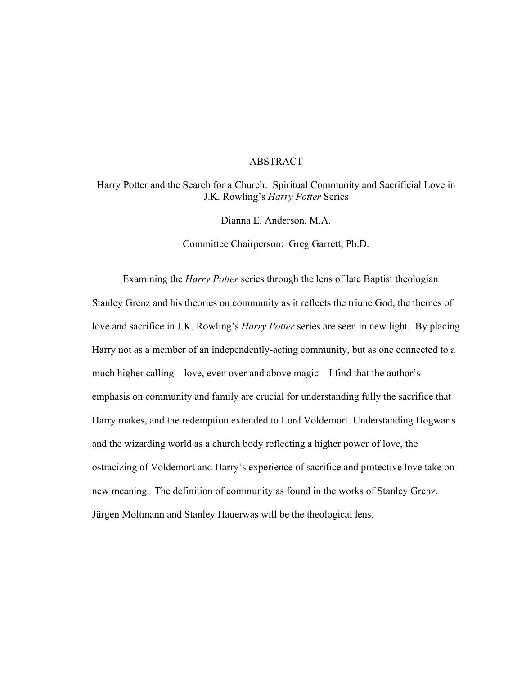# ABSTRACT

Harry Potter and the Search for a Church: Spiritual Community and Sacrificial Love in J.K. Rowling's *Harry Potter* Series

Dianna E. Anderson, M.A.

Committee Chairperson: Greg Garrett, Ph.D.

Examining the *Harry Potter* series through the lens of late Baptist theologian Stanley Grenz and his theories on community as it reflects the triune God, the themes of love and sacrifice in J.K. Rowling's *Harry Potter* series are seen in new light. By placing Harry not as a member of an independently-acting community, but as one connected to a much higher calling—love, even over and above magic—I find that the author's emphasis on community and family are crucial for understanding fully the sacrifice that Harry makes, and the redemption extended to Lord Voldemort. Understanding Hogwarts and the wizarding world as a church body reflecting a higher power of love, the ostracizing of Voldemort and Harry's experience of sacrifice and protective love take on new meaning. The definition of community as found in the works of Stanley Grenz, Jürgen Moltmann and Stanley Hauerwas will be the theological lens.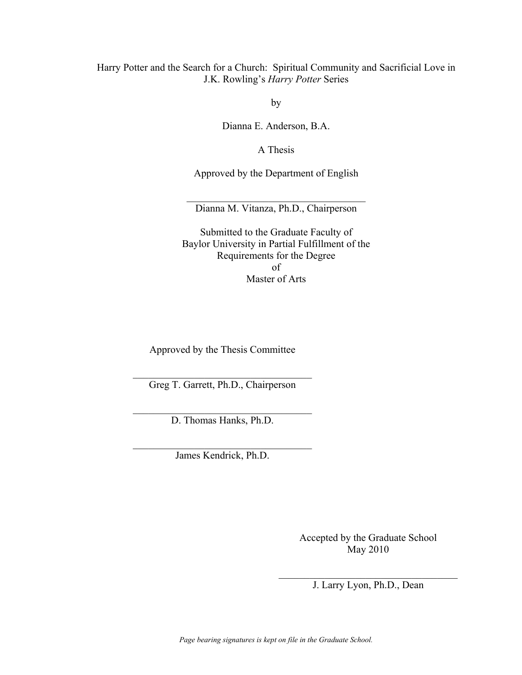Harry Potter and the Search for a Church: Spiritual Community and Sacrificial Love in J.K. Rowling's *Harry Potter* Series

by

Dianna E. Anderson, B.A.

A Thesis

Approved by the Department of English

\_\_\_\_\_\_\_\_\_\_\_\_\_\_\_\_\_\_\_\_\_\_\_\_\_\_\_\_\_\_\_\_\_\_\_ Dianna M. Vitanza, Ph.D., Chairperson

Submitted to the Graduate Faculty of Baylor University in Partial Fulfillment of the Requirements for the Degree of Master of Arts

Approved by the Thesis Committee

\_\_\_\_\_\_\_\_\_\_\_\_\_\_\_\_\_\_\_\_\_\_\_\_\_\_\_\_\_\_\_\_\_\_\_ Greg T. Garrett, Ph.D., Chairperson

\_\_\_\_\_\_\_\_\_\_\_\_\_\_\_\_\_\_\_\_\_\_\_\_\_\_\_\_\_\_\_\_\_\_\_ D. Thomas Hanks, Ph.D.

\_\_\_\_\_\_\_\_\_\_\_\_\_\_\_\_\_\_\_\_\_\_\_\_\_\_\_\_\_\_\_\_\_\_\_ James Kendrick, Ph.D.

> Accepted by the Graduate School May 2010

 $\mathcal{L}_\text{max}$ J. Larry Lyon, Ph.D., Dean

*Page bearing signatures is kept on file in the Graduate School.*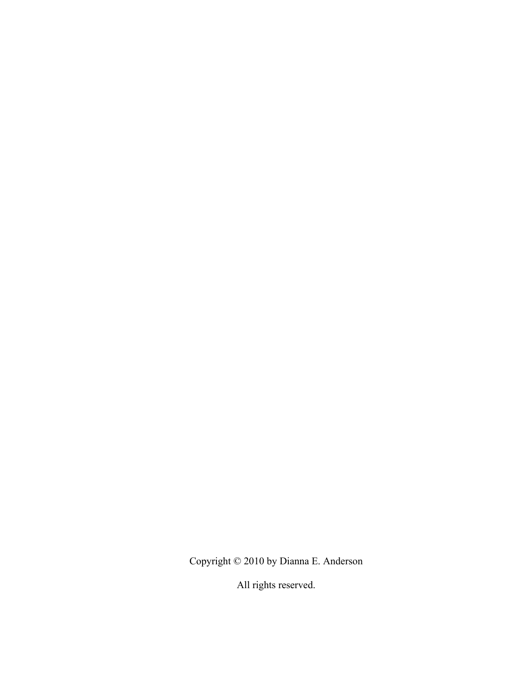Copyright © 2010 by Dianna E. Anderson

All rights reserved.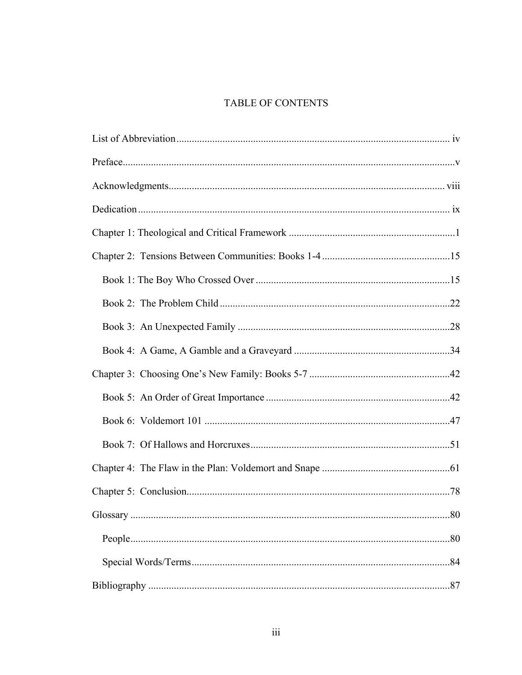# TABLE OF CONTENTS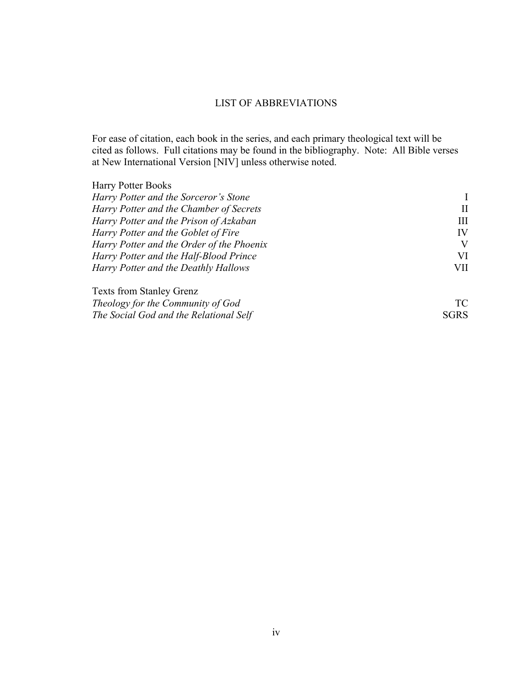# LIST OF ABBREVIATIONS

For ease of citation, each book in the series, and each primary theological text will be cited as follows. Full citations may be found in the bibliography. Note: All Bible verses at New International Version [NIV] unless otherwise noted.

| <b>Harry Potter Books</b>                 |                      |
|-------------------------------------------|----------------------|
| Harry Potter and the Sorceror's Stone     |                      |
| Harry Potter and the Chamber of Secrets   |                      |
| Harry Potter and the Prison of Azkaban    | Ш                    |
| Harry Potter and the Goblet of Fire       | IV<br>V<br>VI<br>VII |
| Harry Potter and the Order of the Phoenix |                      |
| Harry Potter and the Half-Blood Prince    |                      |
| Harry Potter and the Deathly Hallows      |                      |
| <b>Texts from Stanley Grenz</b>           |                      |
| Theology for the Community of God         |                      |

| The Social God and the Relational Self | <b>SGRS</b> |
|----------------------------------------|-------------|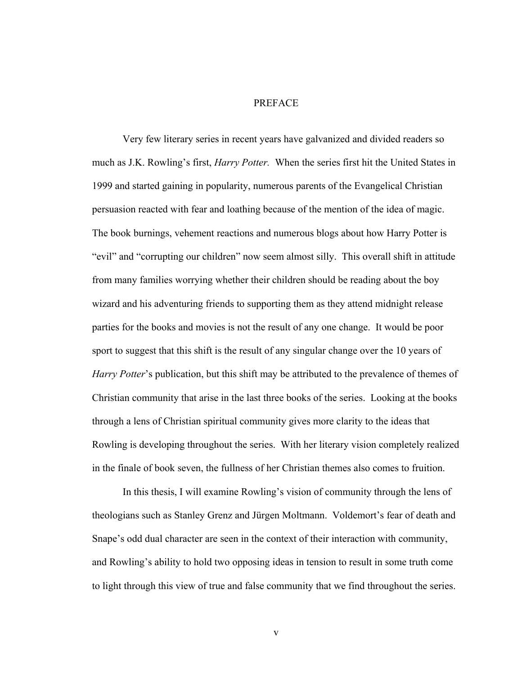#### PREFACE

Very few literary series in recent years have galvanized and divided readers so much as J.K. Rowling's first, *Harry Potter.* When the series first hit the United States in 1999 and started gaining in popularity, numerous parents of the Evangelical Christian persuasion reacted with fear and loathing because of the mention of the idea of magic. The book burnings, vehement reactions and numerous blogs about how Harry Potter is "evil" and "corrupting our children" now seem almost silly. This overall shift in attitude from many families worrying whether their children should be reading about the boy wizard and his adventuring friends to supporting them as they attend midnight release parties for the books and movies is not the result of any one change. It would be poor sport to suggest that this shift is the result of any singular change over the 10 years of *Harry Potter*'s publication, but this shift may be attributed to the prevalence of themes of Christian community that arise in the last three books of the series. Looking at the books through a lens of Christian spiritual community gives more clarity to the ideas that Rowling is developing throughout the series. With her literary vision completely realized in the finale of book seven, the fullness of her Christian themes also comes to fruition.

In this thesis, I will examine Rowling's vision of community through the lens of theologians such as Stanley Grenz and Jürgen Moltmann. Voldemort's fear of death and Snape's odd dual character are seen in the context of their interaction with community, and Rowling's ability to hold two opposing ideas in tension to result in some truth come to light through this view of true and false community that we find throughout the series.

v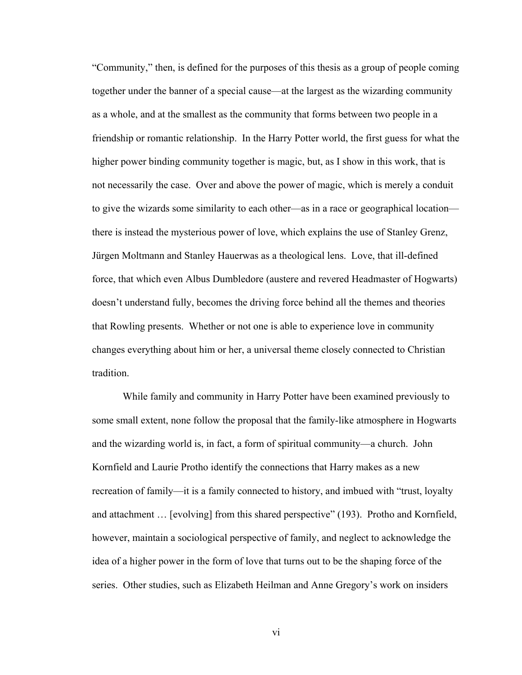"Community," then, is defined for the purposes of this thesis as a group of people coming together under the banner of a special cause—at the largest as the wizarding community as a whole, and at the smallest as the community that forms between two people in a friendship or romantic relationship. In the Harry Potter world, the first guess for what the higher power binding community together is magic, but, as I show in this work, that is not necessarily the case. Over and above the power of magic, which is merely a conduit to give the wizards some similarity to each other—as in a race or geographical location there is instead the mysterious power of love, which explains the use of Stanley Grenz, Jürgen Moltmann and Stanley Hauerwas as a theological lens. Love, that ill-defined force, that which even Albus Dumbledore (austere and revered Headmaster of Hogwarts) doesn't understand fully, becomes the driving force behind all the themes and theories that Rowling presents. Whether or not one is able to experience love in community changes everything about him or her, a universal theme closely connected to Christian tradition.

While family and community in Harry Potter have been examined previously to some small extent, none follow the proposal that the family-like atmosphere in Hogwarts and the wizarding world is, in fact, a form of spiritual community—a church. John Kornfield and Laurie Protho identify the connections that Harry makes as a new recreation of family—it is a family connected to history, and imbued with "trust, loyalty and attachment … [evolving] from this shared perspective" (193). Protho and Kornfield, however, maintain a sociological perspective of family, and neglect to acknowledge the idea of a higher power in the form of love that turns out to be the shaping force of the series. Other studies, such as Elizabeth Heilman and Anne Gregory's work on insiders

vi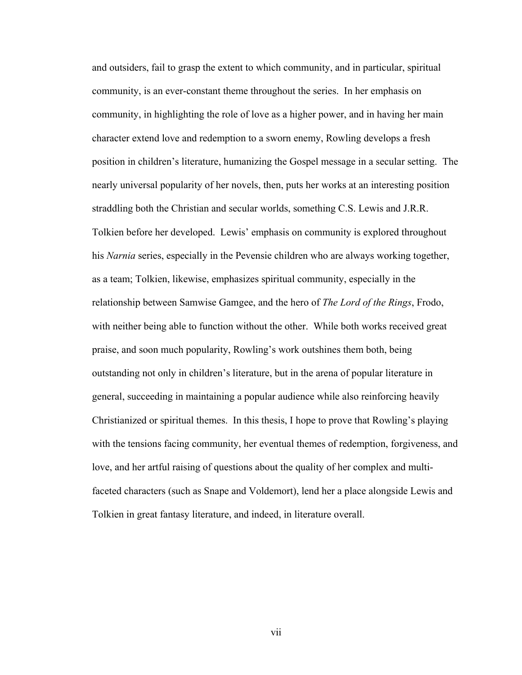and outsiders, fail to grasp the extent to which community, and in particular, spiritual community, is an ever-constant theme throughout the series. In her emphasis on community, in highlighting the role of love as a higher power, and in having her main character extend love and redemption to a sworn enemy, Rowling develops a fresh position in children's literature, humanizing the Gospel message in a secular setting. The nearly universal popularity of her novels, then, puts her works at an interesting position straddling both the Christian and secular worlds, something C.S. Lewis and J.R.R. Tolkien before her developed. Lewis' emphasis on community is explored throughout his *Narnia* series, especially in the Pevensie children who are always working together, as a team; Tolkien, likewise, emphasizes spiritual community, especially in the relationship between Samwise Gamgee, and the hero of *The Lord of the Rings*, Frodo, with neither being able to function without the other. While both works received great praise, and soon much popularity, Rowling's work outshines them both, being outstanding not only in children's literature, but in the arena of popular literature in general, succeeding in maintaining a popular audience while also reinforcing heavily Christianized or spiritual themes. In this thesis, I hope to prove that Rowling's playing with the tensions facing community, her eventual themes of redemption, forgiveness, and love, and her artful raising of questions about the quality of her complex and multifaceted characters (such as Snape and Voldemort), lend her a place alongside Lewis and Tolkien in great fantasy literature, and indeed, in literature overall.

vii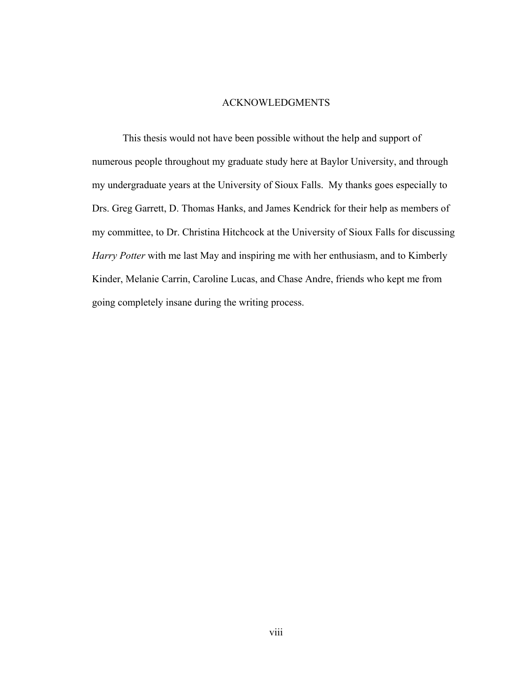## ACKNOWLEDGMENTS

 This thesis would not have been possible without the help and support of numerous people throughout my graduate study here at Baylor University, and through my undergraduate years at the University of Sioux Falls. My thanks goes especially to Drs. Greg Garrett, D. Thomas Hanks, and James Kendrick for their help as members of my committee, to Dr. Christina Hitchcock at the University of Sioux Falls for discussing *Harry Potter* with me last May and inspiring me with her enthusiasm, and to Kimberly Kinder, Melanie Carrin, Caroline Lucas, and Chase Andre, friends who kept me from going completely insane during the writing process.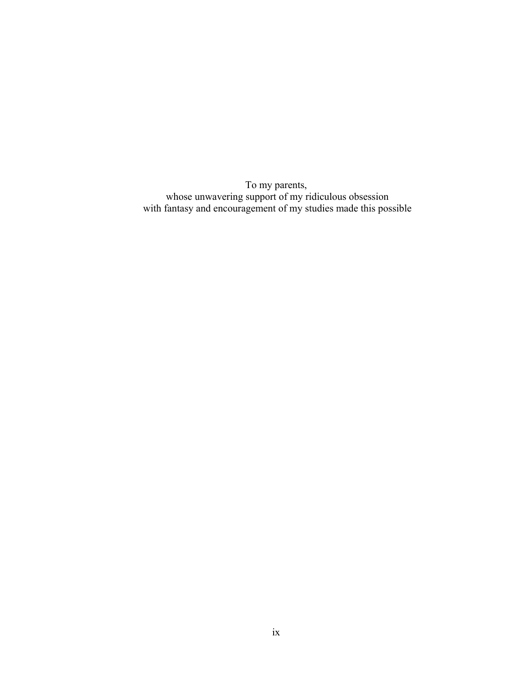To my parents, whose unwavering support of my ridiculous obsession with fantasy and encouragement of my studies made this possible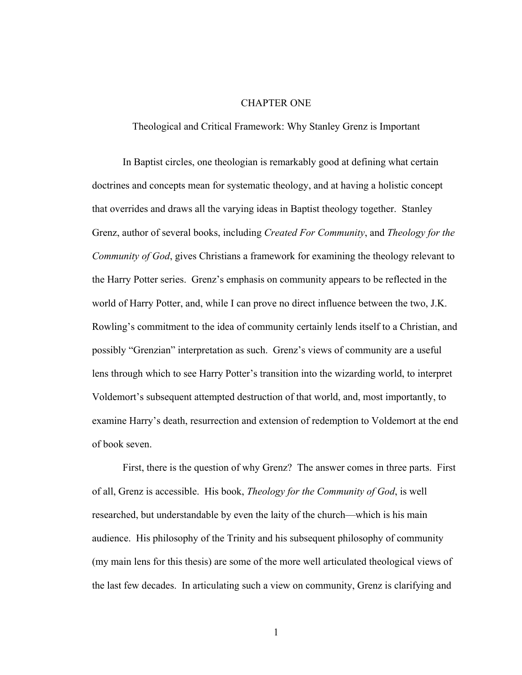#### CHAPTER ONE

Theological and Critical Framework: Why Stanley Grenz is Important

In Baptist circles, one theologian is remarkably good at defining what certain doctrines and concepts mean for systematic theology, and at having a holistic concept that overrides and draws all the varying ideas in Baptist theology together. Stanley Grenz, author of several books, including *Created For Community*, and *Theology for the Community of God*, gives Christians a framework for examining the theology relevant to the Harry Potter series. Grenz's emphasis on community appears to be reflected in the world of Harry Potter, and, while I can prove no direct influence between the two, J.K. Rowling's commitment to the idea of community certainly lends itself to a Christian, and possibly "Grenzian" interpretation as such. Grenz's views of community are a useful lens through which to see Harry Potter's transition into the wizarding world, to interpret Voldemort's subsequent attempted destruction of that world, and, most importantly, to examine Harry's death, resurrection and extension of redemption to Voldemort at the end of book seven.

First, there is the question of why Grenz? The answer comes in three parts. First of all, Grenz is accessible. His book, *Theology for the Community of God*, is well researched, but understandable by even the laity of the church—which is his main audience. His philosophy of the Trinity and his subsequent philosophy of community (my main lens for this thesis) are some of the more well articulated theological views of the last few decades. In articulating such a view on community, Grenz is clarifying and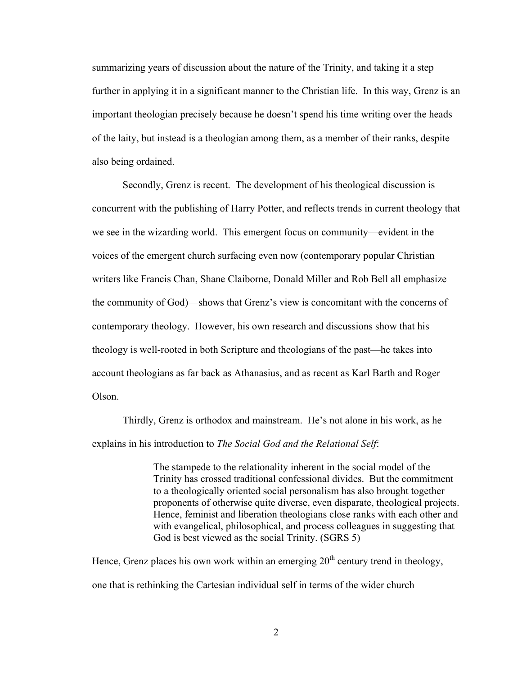summarizing years of discussion about the nature of the Trinity, and taking it a step further in applying it in a significant manner to the Christian life. In this way, Grenz is an important theologian precisely because he doesn't spend his time writing over the heads of the laity, but instead is a theologian among them, as a member of their ranks, despite also being ordained.

Secondly, Grenz is recent. The development of his theological discussion is concurrent with the publishing of Harry Potter, and reflects trends in current theology that we see in the wizarding world. This emergent focus on community—evident in the voices of the emergent church surfacing even now (contemporary popular Christian writers like Francis Chan, Shane Claiborne, Donald Miller and Rob Bell all emphasize the community of God)—shows that Grenz's view is concomitant with the concerns of contemporary theology. However, his own research and discussions show that his theology is well-rooted in both Scripture and theologians of the past—he takes into account theologians as far back as Athanasius, and as recent as Karl Barth and Roger Olson.

Thirdly, Grenz is orthodox and mainstream. He's not alone in his work, as he explains in his introduction to *The Social God and the Relational Self*:

> The stampede to the relationality inherent in the social model of the Trinity has crossed traditional confessional divides. But the commitment to a theologically oriented social personalism has also brought together proponents of otherwise quite diverse, even disparate, theological projects. Hence, feminist and liberation theologians close ranks with each other and with evangelical, philosophical, and process colleagues in suggesting that God is best viewed as the social Trinity. (SGRS 5)

Hence, Grenz places his own work within an emerging  $20<sup>th</sup>$  century trend in theology, one that is rethinking the Cartesian individual self in terms of the wider church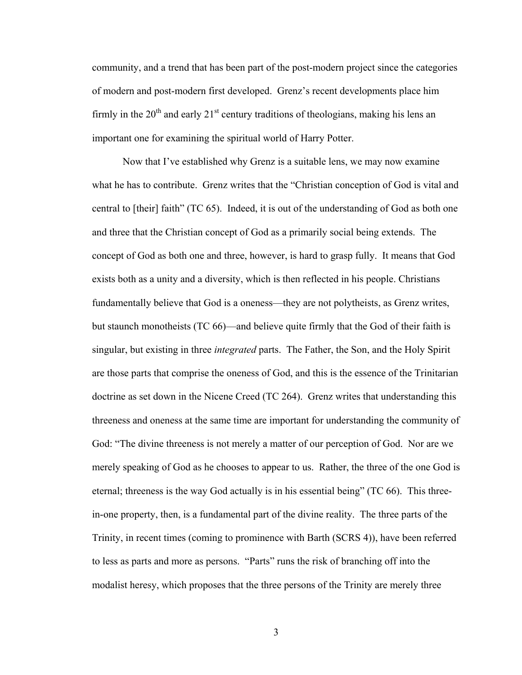community, and a trend that has been part of the post-modern project since the categories of modern and post-modern first developed. Grenz's recent developments place him firmly in the  $20<sup>th</sup>$  and early  $21<sup>st</sup>$  century traditions of theologians, making his lens an important one for examining the spiritual world of Harry Potter.

 Now that I've established why Grenz is a suitable lens, we may now examine what he has to contribute. Grenz writes that the "Christian conception of God is vital and central to [their] faith" (TC 65). Indeed, it is out of the understanding of God as both one and three that the Christian concept of God as a primarily social being extends. The concept of God as both one and three, however, is hard to grasp fully. It means that God exists both as a unity and a diversity, which is then reflected in his people. Christians fundamentally believe that God is a oneness—they are not polytheists, as Grenz writes, but staunch monotheists (TC 66)—and believe quite firmly that the God of their faith is singular, but existing in three *integrated* parts. The Father, the Son, and the Holy Spirit are those parts that comprise the oneness of God, and this is the essence of the Trinitarian doctrine as set down in the Nicene Creed (TC 264). Grenz writes that understanding this threeness and oneness at the same time are important for understanding the community of God: "The divine threeness is not merely a matter of our perception of God. Nor are we merely speaking of God as he chooses to appear to us. Rather, the three of the one God is eternal; threeness is the way God actually is in his essential being" (TC 66). This threein-one property, then, is a fundamental part of the divine reality. The three parts of the Trinity, in recent times (coming to prominence with Barth (SCRS 4)), have been referred to less as parts and more as persons. "Parts" runs the risk of branching off into the modalist heresy, which proposes that the three persons of the Trinity are merely three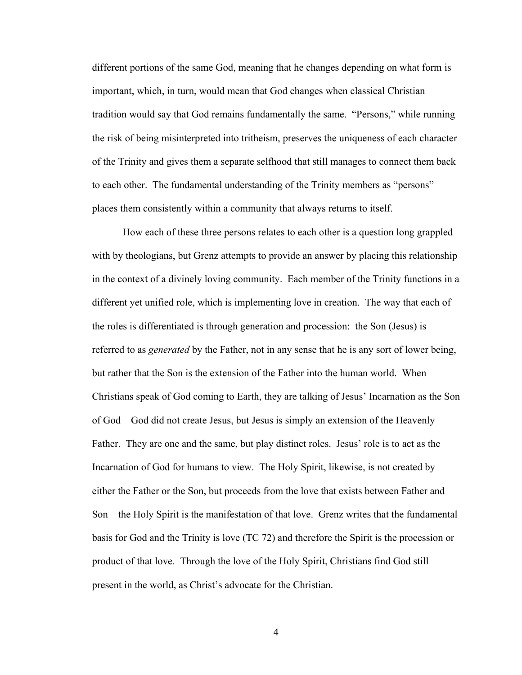different portions of the same God, meaning that he changes depending on what form is important, which, in turn, would mean that God changes when classical Christian tradition would say that God remains fundamentally the same. "Persons," while running the risk of being misinterpreted into tritheism, preserves the uniqueness of each character of the Trinity and gives them a separate selfhood that still manages to connect them back to each other. The fundamental understanding of the Trinity members as "persons" places them consistently within a community that always returns to itself.

 How each of these three persons relates to each other is a question long grappled with by theologians, but Grenz attempts to provide an answer by placing this relationship in the context of a divinely loving community. Each member of the Trinity functions in a different yet unified role, which is implementing love in creation. The way that each of the roles is differentiated is through generation and procession: the Son (Jesus) is referred to as *generated* by the Father, not in any sense that he is any sort of lower being, but rather that the Son is the extension of the Father into the human world. When Christians speak of God coming to Earth, they are talking of Jesus' Incarnation as the Son of God—God did not create Jesus, but Jesus is simply an extension of the Heavenly Father. They are one and the same, but play distinct roles. Jesus' role is to act as the Incarnation of God for humans to view. The Holy Spirit, likewise, is not created by either the Father or the Son, but proceeds from the love that exists between Father and Son—the Holy Spirit is the manifestation of that love. Grenz writes that the fundamental basis for God and the Trinity is love (TC 72) and therefore the Spirit is the procession or product of that love. Through the love of the Holy Spirit, Christians find God still present in the world, as Christ's advocate for the Christian.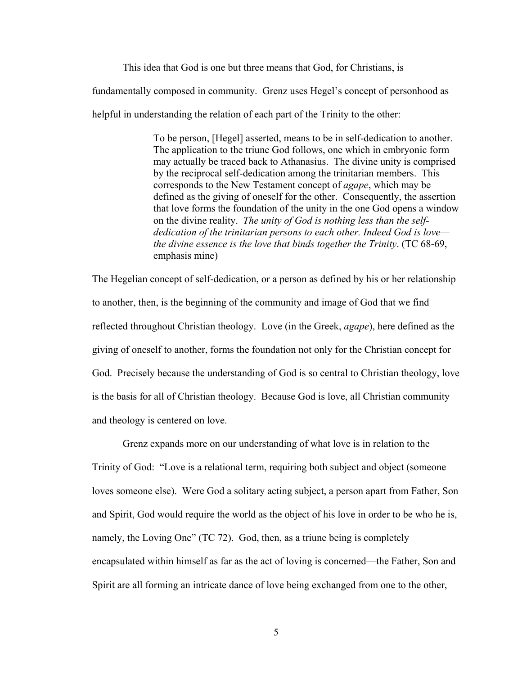This idea that God is one but three means that God, for Christians, is fundamentally composed in community. Grenz uses Hegel's concept of personhood as helpful in understanding the relation of each part of the Trinity to the other:

> To be person, [Hegel] asserted, means to be in self-dedication to another. The application to the triune God follows, one which in embryonic form may actually be traced back to Athanasius. The divine unity is comprised by the reciprocal self-dedication among the trinitarian members. This corresponds to the New Testament concept of *agape*, which may be defined as the giving of oneself for the other. Consequently, the assertion that love forms the foundation of the unity in the one God opens a window on the divine reality. *The unity of God is nothing less than the selfdedication of the trinitarian persons to each other. Indeed God is love the divine essence is the love that binds together the Trinity*. (TC 68-69, emphasis mine)

The Hegelian concept of self-dedication, or a person as defined by his or her relationship to another, then, is the beginning of the community and image of God that we find reflected throughout Christian theology. Love (in the Greek, *agape*), here defined as the giving of oneself to another, forms the foundation not only for the Christian concept for God. Precisely because the understanding of God is so central to Christian theology, love is the basis for all of Christian theology. Because God is love, all Christian community and theology is centered on love.

 Grenz expands more on our understanding of what love is in relation to the Trinity of God: "Love is a relational term, requiring both subject and object (someone loves someone else). Were God a solitary acting subject, a person apart from Father, Son and Spirit, God would require the world as the object of his love in order to be who he is, namely, the Loving One" (TC 72). God, then, as a triune being is completely encapsulated within himself as far as the act of loving is concerned—the Father, Son and Spirit are all forming an intricate dance of love being exchanged from one to the other,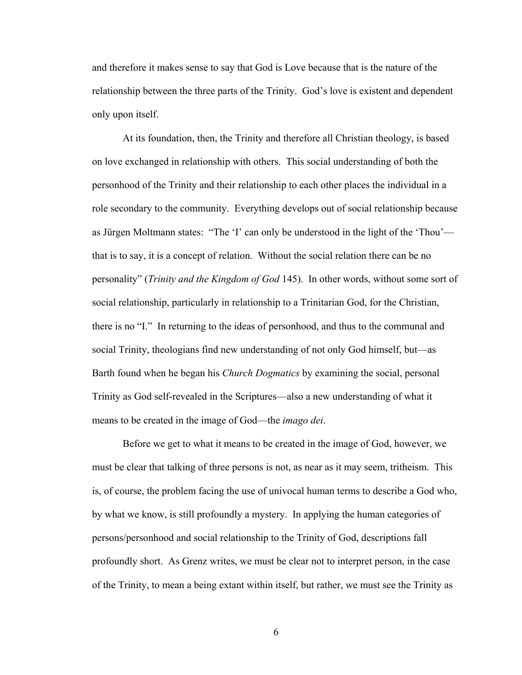and therefore it makes sense to say that God is Love because that is the nature of the relationship between the three parts of the Trinity. God's love is existent and dependent only upon itself.

At its foundation, then, the Trinity and therefore all Christian theology, is based on love exchanged in relationship with others. This social understanding of both the personhood of the Trinity and their relationship to each other places the individual in a role secondary to the community. Everything develops out of social relationship because as Jürgen Moltmann states: "The 'I' can only be understood in the light of the 'Thou' that is to say, it is a concept of relation. Without the social relation there can be no personality" (*Trinity and the Kingdom of God* 145). In other words, without some sort of social relationship, particularly in relationship to a Trinitarian God, for the Christian, there is no "I." In returning to the ideas of personhood, and thus to the communal and social Trinity, theologians find new understanding of not only God himself, but—as Barth found when he began his *Church Dogmatics* by examining the social, personal Trinity as God self-revealed in the Scriptures—also a new understanding of what it means to be created in the image of God—the *imago dei*.

 Before we get to what it means to be created in the image of God, however, we must be clear that talking of three persons is not, as near as it may seem, tritheism. This is, of course, the problem facing the use of univocal human terms to describe a God who, by what we know, is still profoundly a mystery. In applying the human categories of persons/personhood and social relationship to the Trinity of God, descriptions fall profoundly short. As Grenz writes, we must be clear not to interpret person, in the case of the Trinity, to mean a being extant within itself, but rather, we must see the Trinity as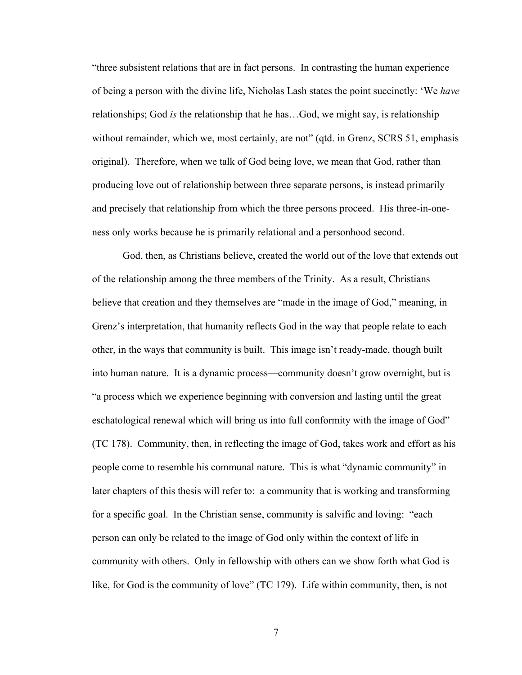"three subsistent relations that are in fact persons. In contrasting the human experience of being a person with the divine life, Nicholas Lash states the point succinctly: 'We *have* relationships; God *is* the relationship that he has…God, we might say, is relationship without remainder, which we, most certainly, are not" (qtd. in Grenz, SCRS 51, emphasis original). Therefore, when we talk of God being love, we mean that God, rather than producing love out of relationship between three separate persons, is instead primarily and precisely that relationship from which the three persons proceed. His three-in-oneness only works because he is primarily relational and a personhood second.

 God, then, as Christians believe, created the world out of the love that extends out of the relationship among the three members of the Trinity. As a result, Christians believe that creation and they themselves are "made in the image of God," meaning, in Grenz's interpretation, that humanity reflects God in the way that people relate to each other, in the ways that community is built. This image isn't ready-made, though built into human nature. It is a dynamic process—community doesn't grow overnight, but is "a process which we experience beginning with conversion and lasting until the great eschatological renewal which will bring us into full conformity with the image of God" (TC 178). Community, then, in reflecting the image of God, takes work and effort as his people come to resemble his communal nature. This is what "dynamic community" in later chapters of this thesis will refer to: a community that is working and transforming for a specific goal. In the Christian sense, community is salvific and loving: "each person can only be related to the image of God only within the context of life in community with others. Only in fellowship with others can we show forth what God is like, for God is the community of love" (TC 179). Life within community, then, is not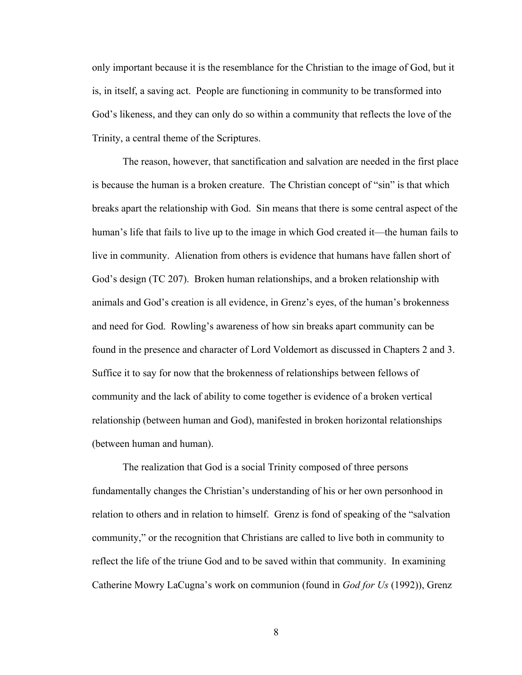only important because it is the resemblance for the Christian to the image of God, but it is, in itself, a saving act. People are functioning in community to be transformed into God's likeness, and they can only do so within a community that reflects the love of the Trinity, a central theme of the Scriptures.

 The reason, however, that sanctification and salvation are needed in the first place is because the human is a broken creature. The Christian concept of "sin" is that which breaks apart the relationship with God. Sin means that there is some central aspect of the human's life that fails to live up to the image in which God created it—the human fails to live in community. Alienation from others is evidence that humans have fallen short of God's design (TC 207). Broken human relationships, and a broken relationship with animals and God's creation is all evidence, in Grenz's eyes, of the human's brokenness and need for God. Rowling's awareness of how sin breaks apart community can be found in the presence and character of Lord Voldemort as discussed in Chapters 2 and 3. Suffice it to say for now that the brokenness of relationships between fellows of community and the lack of ability to come together is evidence of a broken vertical relationship (between human and God), manifested in broken horizontal relationships (between human and human).

 The realization that God is a social Trinity composed of three persons fundamentally changes the Christian's understanding of his or her own personhood in relation to others and in relation to himself. Grenz is fond of speaking of the "salvation community," or the recognition that Christians are called to live both in community to reflect the life of the triune God and to be saved within that community. In examining Catherine Mowry LaCugna's work on communion (found in *God for Us* (1992)), Grenz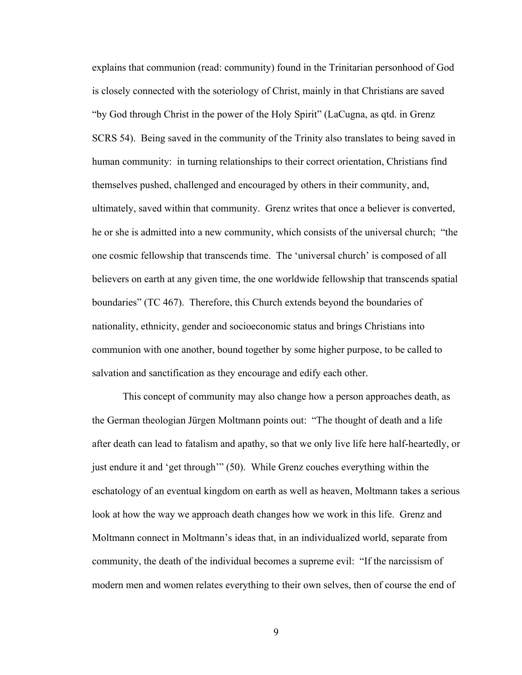explains that communion (read: community) found in the Trinitarian personhood of God is closely connected with the soteriology of Christ, mainly in that Christians are saved "by God through Christ in the power of the Holy Spirit" (LaCugna, as qtd. in Grenz SCRS 54). Being saved in the community of the Trinity also translates to being saved in human community: in turning relationships to their correct orientation, Christians find themselves pushed, challenged and encouraged by others in their community, and, ultimately, saved within that community. Grenz writes that once a believer is converted, he or she is admitted into a new community, which consists of the universal church; "the one cosmic fellowship that transcends time. The 'universal church' is composed of all believers on earth at any given time, the one worldwide fellowship that transcends spatial boundaries" (TC 467). Therefore, this Church extends beyond the boundaries of nationality, ethnicity, gender and socioeconomic status and brings Christians into communion with one another, bound together by some higher purpose, to be called to salvation and sanctification as they encourage and edify each other.

 This concept of community may also change how a person approaches death, as the German theologian Jürgen Moltmann points out: "The thought of death and a life after death can lead to fatalism and apathy, so that we only live life here half-heartedly, or just endure it and 'get through'" (50). While Grenz couches everything within the eschatology of an eventual kingdom on earth as well as heaven, Moltmann takes a serious look at how the way we approach death changes how we work in this life. Grenz and Moltmann connect in Moltmann's ideas that, in an individualized world, separate from community, the death of the individual becomes a supreme evil: "If the narcissism of modern men and women relates everything to their own selves, then of course the end of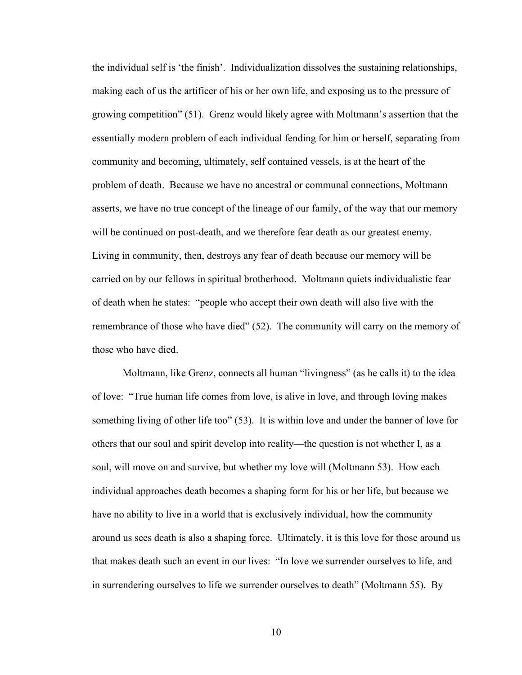the individual self is 'the finish'. Individualization dissolves the sustaining relationships, making each of us the artificer of his or her own life, and exposing us to the pressure of growing competition" (51). Grenz would likely agree with Moltmann's assertion that the essentially modern problem of each individual fending for him or herself, separating from community and becoming, ultimately, self contained vessels, is at the heart of the problem of death. Because we have no ancestral or communal connections, Moltmann asserts, we have no true concept of the lineage of our family, of the way that our memory will be continued on post-death, and we therefore fear death as our greatest enemy. Living in community, then, destroys any fear of death because our memory will be carried on by our fellows in spiritual brotherhood. Moltmann quiets individualistic fear of death when he states: "people who accept their own death will also live with the remembrance of those who have died" (52). The community will carry on the memory of those who have died.

 Moltmann, like Grenz, connects all human "livingness" (as he calls it) to the idea of love: "True human life comes from love, is alive in love, and through loving makes something living of other life too" (53). It is within love and under the banner of love for others that our soul and spirit develop into reality—the question is not whether I, as a soul, will move on and survive, but whether my love will (Moltmann 53). How each individual approaches death becomes a shaping form for his or her life, but because we have no ability to live in a world that is exclusively individual, how the community around us sees death is also a shaping force. Ultimately, it is this love for those around us that makes death such an event in our lives: "In love we surrender ourselves to life, and in surrendering ourselves to life we surrender ourselves to death" (Moltmann 55). By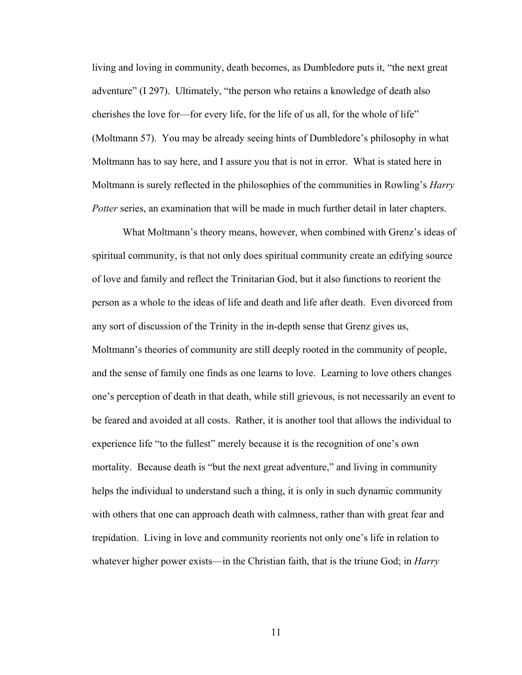living and loving in community, death becomes, as Dumbledore puts it, "the next great adventure" (I 297). Ultimately, "the person who retains a knowledge of death also cherishes the love for—for every life, for the life of us all, for the whole of life" (Moltmann 57). You may be already seeing hints of Dumbledore's philosophy in what Moltmann has to say here, and I assure you that is not in error. What is stated here in Moltmann is surely reflected in the philosophies of the communities in Rowling's *Harry Potter* series, an examination that will be made in much further detail in later chapters.

 What Moltmann's theory means, however, when combined with Grenz's ideas of spiritual community, is that not only does spiritual community create an edifying source of love and family and reflect the Trinitarian God, but it also functions to reorient the person as a whole to the ideas of life and death and life after death. Even divorced from any sort of discussion of the Trinity in the in-depth sense that Grenz gives us, Moltmann's theories of community are still deeply rooted in the community of people, and the sense of family one finds as one learns to love. Learning to love others changes one's perception of death in that death, while still grievous, is not necessarily an event to be feared and avoided at all costs. Rather, it is another tool that allows the individual to experience life "to the fullest" merely because it is the recognition of one's own mortality. Because death is "but the next great adventure," and living in community helps the individual to understand such a thing, it is only in such dynamic community with others that one can approach death with calmness, rather than with great fear and trepidation. Living in love and community reorients not only one's life in relation to whatever higher power exists—in the Christian faith, that is the triune God; in *Harry*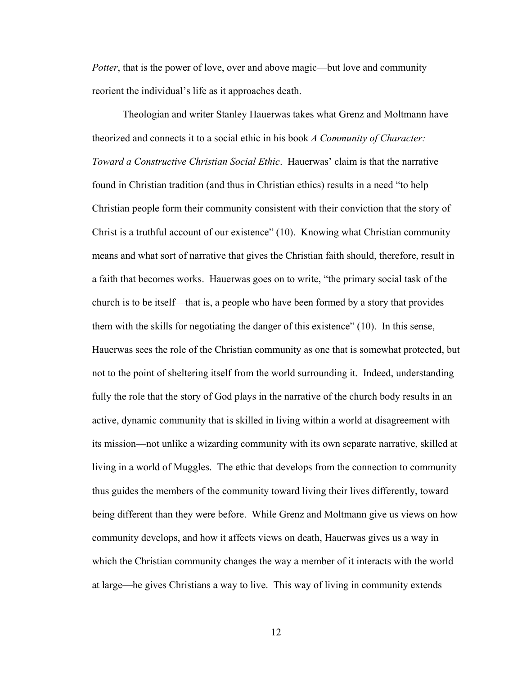*Potter*, that is the power of love, over and above magic—but love and community reorient the individual's life as it approaches death.

 Theologian and writer Stanley Hauerwas takes what Grenz and Moltmann have theorized and connects it to a social ethic in his book *A Community of Character: Toward a Constructive Christian Social Ethic*. Hauerwas' claim is that the narrative found in Christian tradition (and thus in Christian ethics) results in a need "to help Christian people form their community consistent with their conviction that the story of Christ is a truthful account of our existence" (10). Knowing what Christian community means and what sort of narrative that gives the Christian faith should, therefore, result in a faith that becomes works. Hauerwas goes on to write, "the primary social task of the church is to be itself—that is, a people who have been formed by a story that provides them with the skills for negotiating the danger of this existence" (10). In this sense, Hauerwas sees the role of the Christian community as one that is somewhat protected, but not to the point of sheltering itself from the world surrounding it. Indeed, understanding fully the role that the story of God plays in the narrative of the church body results in an active, dynamic community that is skilled in living within a world at disagreement with its mission—not unlike a wizarding community with its own separate narrative, skilled at living in a world of Muggles. The ethic that develops from the connection to community thus guides the members of the community toward living their lives differently, toward being different than they were before. While Grenz and Moltmann give us views on how community develops, and how it affects views on death, Hauerwas gives us a way in which the Christian community changes the way a member of it interacts with the world at large—he gives Christians a way to live. This way of living in community extends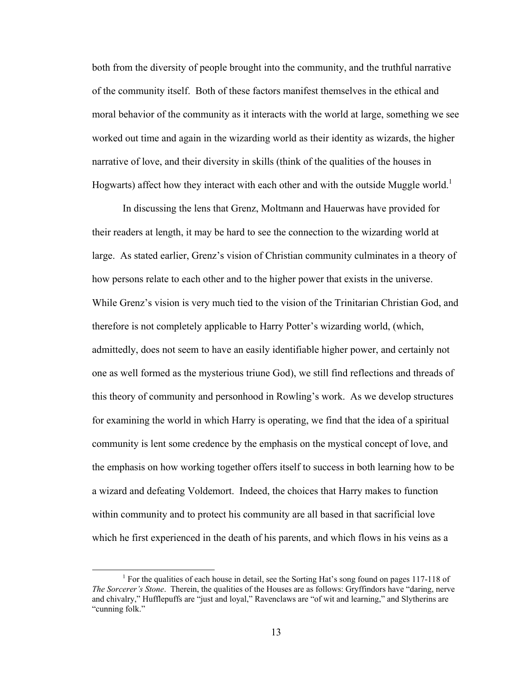both from the diversity of people brought into the community, and the truthful narrative of the community itself. Both of these factors manifest themselves in the ethical and moral behavior of the community as it interacts with the world at large, something we see worked out time and again in the wizarding world as their identity as wizards, the higher narrative of love, and their diversity in skills (think of the qualities of the houses in Hogwarts) affect how they interact with each other and with the outside Muggle world.<sup>1</sup>

 In discussing the lens that Grenz, Moltmann and Hauerwas have provided for their readers at length, it may be hard to see the connection to the wizarding world at large. As stated earlier, Grenz's vision of Christian community culminates in a theory of how persons relate to each other and to the higher power that exists in the universe. While Grenz's vision is very much tied to the vision of the Trinitarian Christian God, and therefore is not completely applicable to Harry Potter's wizarding world, (which, admittedly, does not seem to have an easily identifiable higher power, and certainly not one as well formed as the mysterious triune God), we still find reflections and threads of this theory of community and personhood in Rowling's work. As we develop structures for examining the world in which Harry is operating, we find that the idea of a spiritual community is lent some credence by the emphasis on the mystical concept of love, and the emphasis on how working together offers itself to success in both learning how to be a wizard and defeating Voldemort. Indeed, the choices that Harry makes to function within community and to protect his community are all based in that sacrificial love which he first experienced in the death of his parents, and which flows in his veins as a

<sup>&</sup>lt;sup>1</sup> For the qualities of each house in detail, see the Sorting Hat's song found on pages 117-118 of *The Sorcerer's Stone*. Therein, the qualities of the Houses are as follows: Gryffindors have "daring, nerve and chivalry," Hufflepuffs are "just and loyal," Ravenclaws are "of wit and learning," and Slytherins are "cunning folk."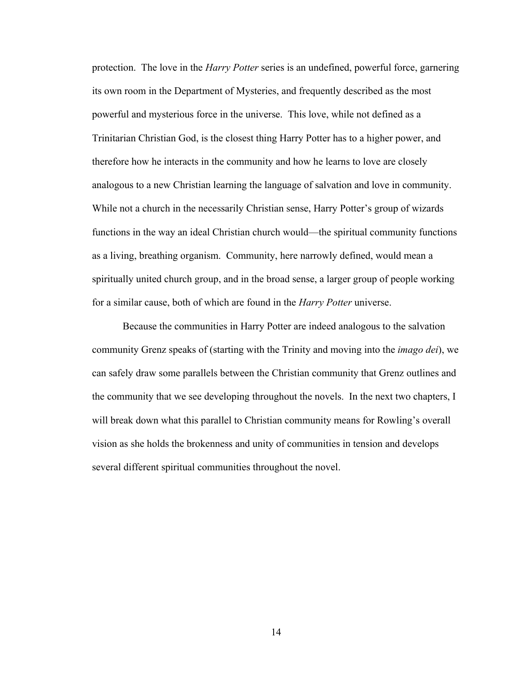protection. The love in the *Harry Potter* series is an undefined, powerful force, garnering its own room in the Department of Mysteries, and frequently described as the most powerful and mysterious force in the universe. This love, while not defined as a Trinitarian Christian God, is the closest thing Harry Potter has to a higher power, and therefore how he interacts in the community and how he learns to love are closely analogous to a new Christian learning the language of salvation and love in community. While not a church in the necessarily Christian sense, Harry Potter's group of wizards functions in the way an ideal Christian church would—the spiritual community functions as a living, breathing organism. Community, here narrowly defined, would mean a spiritually united church group, and in the broad sense, a larger group of people working for a similar cause, both of which are found in the *Harry Potter* universe.

 Because the communities in Harry Potter are indeed analogous to the salvation community Grenz speaks of (starting with the Trinity and moving into the *imago dei*), we can safely draw some parallels between the Christian community that Grenz outlines and the community that we see developing throughout the novels. In the next two chapters, I will break down what this parallel to Christian community means for Rowling's overall vision as she holds the brokenness and unity of communities in tension and develops several different spiritual communities throughout the novel.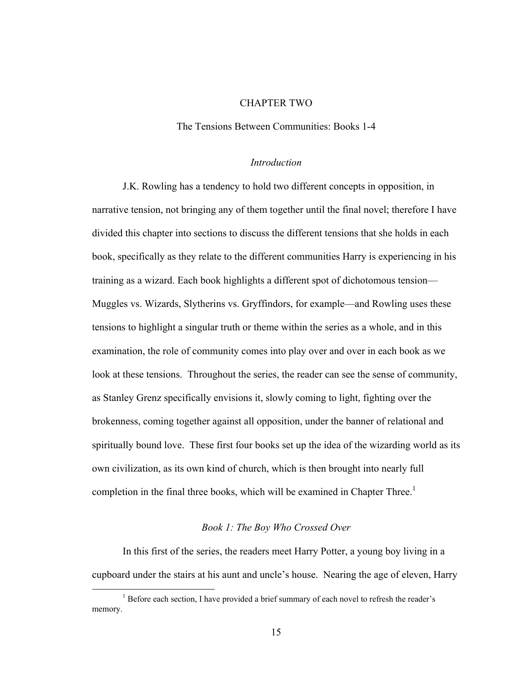### CHAPTER TWO

The Tensions Between Communities: Books 1-4

#### *Introduction*

J.K. Rowling has a tendency to hold two different concepts in opposition, in narrative tension, not bringing any of them together until the final novel; therefore I have divided this chapter into sections to discuss the different tensions that she holds in each book, specifically as they relate to the different communities Harry is experiencing in his training as a wizard. Each book highlights a different spot of dichotomous tension— Muggles vs. Wizards, Slytherins vs. Gryffindors, for example—and Rowling uses these tensions to highlight a singular truth or theme within the series as a whole, and in this examination, the role of community comes into play over and over in each book as we look at these tensions. Throughout the series, the reader can see the sense of community, as Stanley Grenz specifically envisions it, slowly coming to light, fighting over the brokenness, coming together against all opposition, under the banner of relational and spiritually bound love. These first four books set up the idea of the wizarding world as its own civilization, as its own kind of church, which is then brought into nearly full completion in the final three books, which will be examined in Chapter Three.<sup>1</sup>

### *Book 1: The Boy Who Crossed Over*

 In this first of the series, the readers meet Harry Potter, a young boy living in a cupboard under the stairs at his aunt and uncle's house. Nearing the age of eleven, Harry

<sup>&</sup>lt;sup>1</sup> Before each section, I have provided a brief summary of each novel to refresh the reader's memory.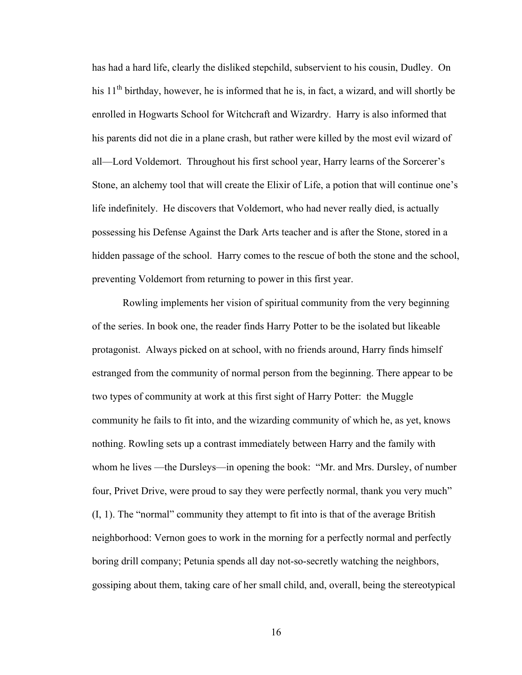has had a hard life, clearly the disliked stepchild, subservient to his cousin, Dudley. On his  $11<sup>th</sup>$  birthday, however, he is informed that he is, in fact, a wizard, and will shortly be enrolled in Hogwarts School for Witchcraft and Wizardry. Harry is also informed that his parents did not die in a plane crash, but rather were killed by the most evil wizard of all—Lord Voldemort. Throughout his first school year, Harry learns of the Sorcerer's Stone, an alchemy tool that will create the Elixir of Life, a potion that will continue one's life indefinitely. He discovers that Voldemort, who had never really died, is actually possessing his Defense Against the Dark Arts teacher and is after the Stone, stored in a hidden passage of the school. Harry comes to the rescue of both the stone and the school, preventing Voldemort from returning to power in this first year.

Rowling implements her vision of spiritual community from the very beginning of the series. In book one, the reader finds Harry Potter to be the isolated but likeable protagonist. Always picked on at school, with no friends around, Harry finds himself estranged from the community of normal person from the beginning. There appear to be two types of community at work at this first sight of Harry Potter: the Muggle community he fails to fit into, and the wizarding community of which he, as yet, knows nothing. Rowling sets up a contrast immediately between Harry and the family with whom he lives —the Dursleys—in opening the book: "Mr. and Mrs. Dursley, of number four, Privet Drive, were proud to say they were perfectly normal, thank you very much"  $(I, 1)$ . The "normal" community they attempt to fit into is that of the average British neighborhood: Vernon goes to work in the morning for a perfectly normal and perfectly boring drill company; Petunia spends all day not-so-secretly watching the neighbors, gossiping about them, taking care of her small child, and, overall, being the stereotypical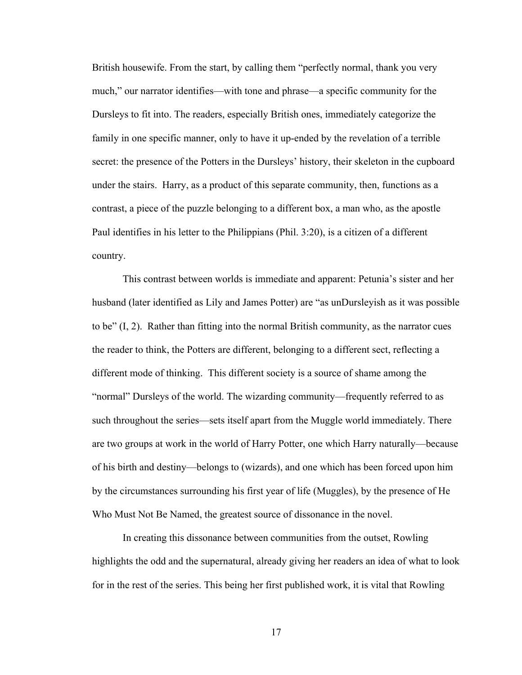British housewife. From the start, by calling them "perfectly normal, thank you very much," our narrator identifies—with tone and phrase—a specific community for the Dursleys to fit into. The readers, especially British ones, immediately categorize the family in one specific manner, only to have it up-ended by the revelation of a terrible secret: the presence of the Potters in the Dursleys' history, their skeleton in the cupboard under the stairs. Harry, as a product of this separate community, then, functions as a contrast, a piece of the puzzle belonging to a different box, a man who, as the apostle Paul identifies in his letter to the Philippians (Phil. 3:20), is a citizen of a different country.

This contrast between worlds is immediate and apparent: Petunia's sister and her husband (later identified as Lily and James Potter) are "as unDursleyish as it was possible to be"  $(I, 2)$ . Rather than fitting into the normal British community, as the narrator cues the reader to think, the Potters are different, belonging to a different sect, reflecting a different mode of thinking. This different society is a source of shame among the "normal" Dursleys of the world. The wizarding community—frequently referred to as such throughout the series—sets itself apart from the Muggle world immediately. There are two groups at work in the world of Harry Potter, one which Harry naturally—because of his birth and destiny—belongs to (wizards), and one which has been forced upon him by the circumstances surrounding his first year of life (Muggles), by the presence of He Who Must Not Be Named, the greatest source of dissonance in the novel.

In creating this dissonance between communities from the outset, Rowling highlights the odd and the supernatural, already giving her readers an idea of what to look for in the rest of the series. This being her first published work, it is vital that Rowling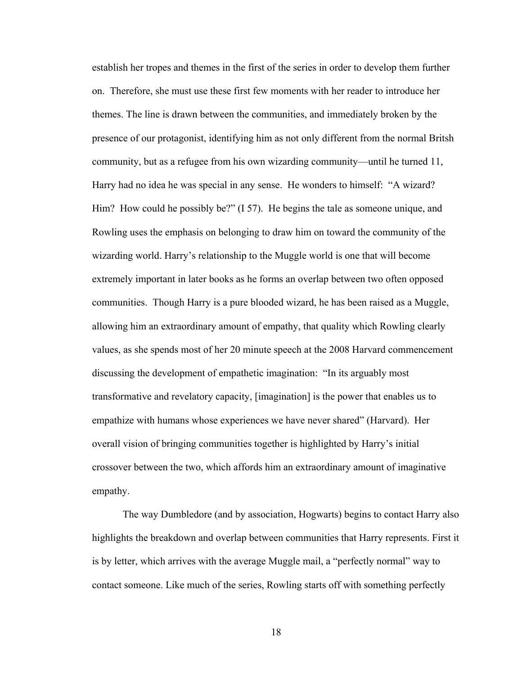establish her tropes and themes in the first of the series in order to develop them further on. Therefore, she must use these first few moments with her reader to introduce her themes. The line is drawn between the communities, and immediately broken by the presence of our protagonist, identifying him as not only different from the normal Britsh community, but as a refugee from his own wizarding community—until he turned 11, Harry had no idea he was special in any sense. He wonders to himself: "A wizard? Him? How could he possibly be?" (I 57). He begins the tale as someone unique, and Rowling uses the emphasis on belonging to draw him on toward the community of the wizarding world. Harry's relationship to the Muggle world is one that will become extremely important in later books as he forms an overlap between two often opposed communities. Though Harry is a pure blooded wizard, he has been raised as a Muggle, allowing him an extraordinary amount of empathy, that quality which Rowling clearly values, as she spends most of her 20 minute speech at the 2008 Harvard commencement discussing the development of empathetic imagination: "In its arguably most transformative and revelatory capacity, [imagination] is the power that enables us to empathize with humans whose experiences we have never shared" (Harvard). Her overall vision of bringing communities together is highlighted by Harry's initial crossover between the two, which affords him an extraordinary amount of imaginative empathy.

The way Dumbledore (and by association, Hogwarts) begins to contact Harry also highlights the breakdown and overlap between communities that Harry represents. First it is by letter, which arrives with the average Muggle mail, a "perfectly normal" way to contact someone. Like much of the series, Rowling starts off with something perfectly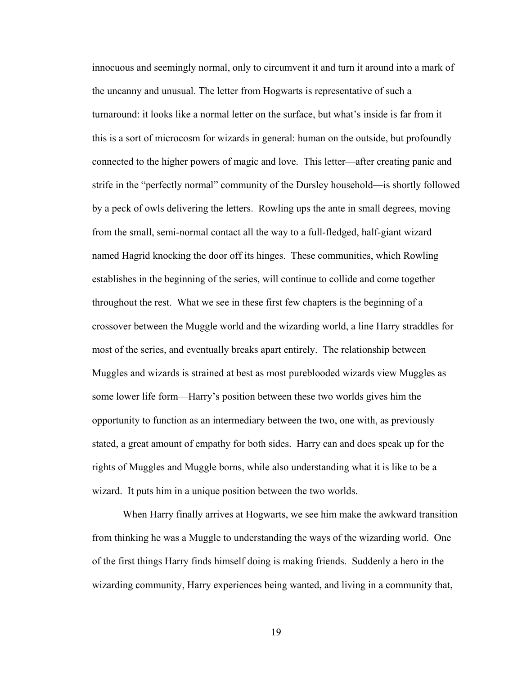innocuous and seemingly normal, only to circumvent it and turn it around into a mark of the uncanny and unusual. The letter from Hogwarts is representative of such a turnaround: it looks like a normal letter on the surface, but what's inside is far from it this is a sort of microcosm for wizards in general: human on the outside, but profoundly connected to the higher powers of magic and love. This letter—after creating panic and strife in the "perfectly normal" community of the Dursley household—is shortly followed by a peck of owls delivering the letters. Rowling ups the ante in small degrees, moving from the small, semi-normal contact all the way to a full-fledged, half-giant wizard named Hagrid knocking the door off its hinges. These communities, which Rowling establishes in the beginning of the series, will continue to collide and come together throughout the rest. What we see in these first few chapters is the beginning of a crossover between the Muggle world and the wizarding world, a line Harry straddles for most of the series, and eventually breaks apart entirely. The relationship between Muggles and wizards is strained at best as most pureblooded wizards view Muggles as some lower life form—Harry's position between these two worlds gives him the opportunity to function as an intermediary between the two, one with, as previously stated, a great amount of empathy for both sides. Harry can and does speak up for the rights of Muggles and Muggle borns, while also understanding what it is like to be a wizard. It puts him in a unique position between the two worlds.

When Harry finally arrives at Hogwarts, we see him make the awkward transition from thinking he was a Muggle to understanding the ways of the wizarding world. One of the first things Harry finds himself doing is making friends. Suddenly a hero in the wizarding community, Harry experiences being wanted, and living in a community that,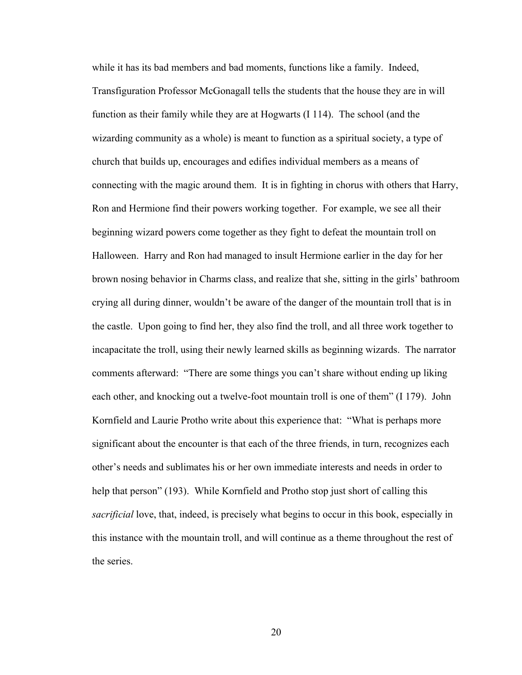while it has its bad members and bad moments, functions like a family. Indeed, Transfiguration Professor McGonagall tells the students that the house they are in will function as their family while they are at Hogwarts (I 114). The school (and the wizarding community as a whole) is meant to function as a spiritual society, a type of church that builds up, encourages and edifies individual members as a means of connecting with the magic around them. It is in fighting in chorus with others that Harry, Ron and Hermione find their powers working together. For example, we see all their beginning wizard powers come together as they fight to defeat the mountain troll on Halloween. Harry and Ron had managed to insult Hermione earlier in the day for her brown nosing behavior in Charms class, and realize that she, sitting in the girls' bathroom crying all during dinner, wouldn't be aware of the danger of the mountain troll that is in the castle. Upon going to find her, they also find the troll, and all three work together to incapacitate the troll, using their newly learned skills as beginning wizards. The narrator comments afterward: "There are some things you can't share without ending up liking each other, and knocking out a twelve-foot mountain troll is one of them" (I 179). John Kornfield and Laurie Protho write about this experience that: "What is perhaps more significant about the encounter is that each of the three friends, in turn, recognizes each other's needs and sublimates his or her own immediate interests and needs in order to help that person" (193). While Kornfield and Protho stop just short of calling this *sacrificial* love, that, indeed, is precisely what begins to occur in this book, especially in this instance with the mountain troll, and will continue as a theme throughout the rest of the series.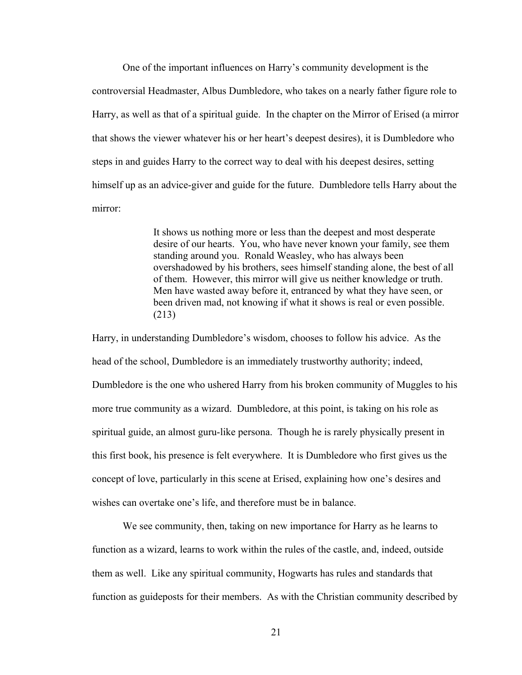One of the important influences on Harry's community development is the controversial Headmaster, Albus Dumbledore, who takes on a nearly father figure role to Harry, as well as that of a spiritual guide. In the chapter on the Mirror of Erised (a mirror that shows the viewer whatever his or her heart's deepest desires), it is Dumbledore who steps in and guides Harry to the correct way to deal with his deepest desires, setting himself up as an advice-giver and guide for the future. Dumbledore tells Harry about the mirror:

> It shows us nothing more or less than the deepest and most desperate desire of our hearts. You, who have never known your family, see them standing around you. Ronald Weasley, who has always been overshadowed by his brothers, sees himself standing alone, the best of all of them. However, this mirror will give us neither knowledge or truth. Men have wasted away before it, entranced by what they have seen, or been driven mad, not knowing if what it shows is real or even possible. (213)

Harry, in understanding Dumbledore's wisdom, chooses to follow his advice. As the head of the school, Dumbledore is an immediately trustworthy authority; indeed, Dumbledore is the one who ushered Harry from his broken community of Muggles to his more true community as a wizard. Dumbledore, at this point, is taking on his role as spiritual guide, an almost guru-like persona. Though he is rarely physically present in this first book, his presence is felt everywhere. It is Dumbledore who first gives us the concept of love, particularly in this scene at Erised, explaining how one's desires and wishes can overtake one's life, and therefore must be in balance.

We see community, then, taking on new importance for Harry as he learns to function as a wizard, learns to work within the rules of the castle, and, indeed, outside them as well. Like any spiritual community, Hogwarts has rules and standards that function as guideposts for their members. As with the Christian community described by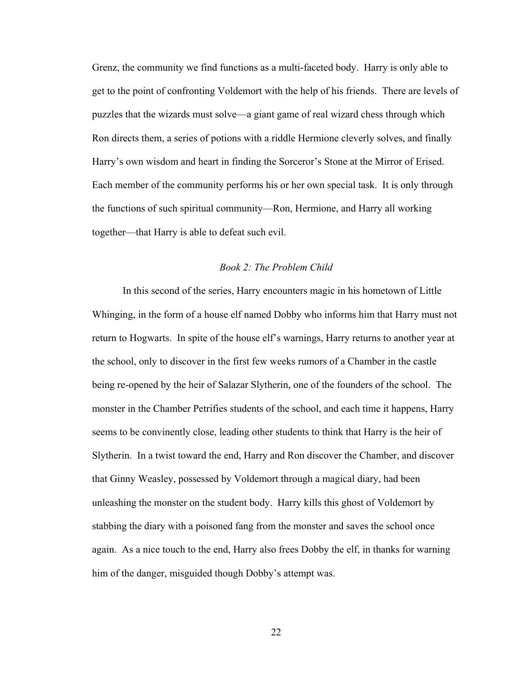Grenz, the community we find functions as a multi-faceted body. Harry is only able to get to the point of confronting Voldemort with the help of his friends. There are levels of puzzles that the wizards must solve—a giant game of real wizard chess through which Ron directs them, a series of potions with a riddle Hermione cleverly solves, and finally Harry's own wisdom and heart in finding the Sorceror's Stone at the Mirror of Erised. Each member of the community performs his or her own special task. It is only through the functions of such spiritual community—Ron, Hermione, and Harry all working together—that Harry is able to defeat such evil.

## *Book 2: The Problem Child*

 In this second of the series, Harry encounters magic in his hometown of Little Whinging, in the form of a house elf named Dobby who informs him that Harry must not return to Hogwarts. In spite of the house elf's warnings, Harry returns to another year at the school, only to discover in the first few weeks rumors of a Chamber in the castle being re-opened by the heir of Salazar Slytherin, one of the founders of the school. The monster in the Chamber Petrifies students of the school, and each time it happens, Harry seems to be convinently close, leading other students to think that Harry is the heir of Slytherin. In a twist toward the end, Harry and Ron discover the Chamber, and discover that Ginny Weasley, possessed by Voldemort through a magical diary, had been unleashing the monster on the student body. Harry kills this ghost of Voldemort by stabbing the diary with a poisoned fang from the monster and saves the school once again. As a nice touch to the end, Harry also frees Dobby the elf, in thanks for warning him of the danger, misguided though Dobby's attempt was.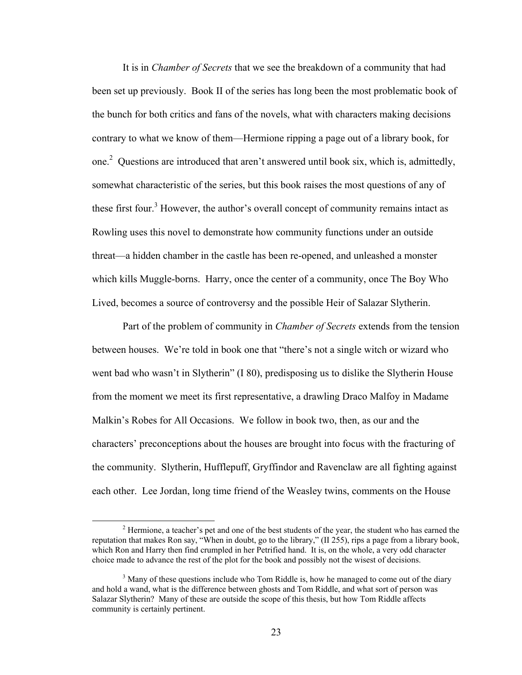It is in *Chamber of Secrets* that we see the breakdown of a community that had been set up previously. Book II of the series has long been the most problematic book of the bunch for both critics and fans of the novels, what with characters making decisions contrary to what we know of them—Hermione ripping a page out of a library book, for one.<sup>2</sup> Questions are introduced that aren't answered until book six, which is, admittedly, somewhat characteristic of the series, but this book raises the most questions of any of these first four.<sup>3</sup> However, the author's overall concept of community remains intact as Rowling uses this novel to demonstrate how community functions under an outside threat—a hidden chamber in the castle has been re-opened, and unleashed a monster which kills Muggle-borns. Harry, once the center of a community, once The Boy Who Lived, becomes a source of controversy and the possible Heir of Salazar Slytherin.

 Part of the problem of community in *Chamber of Secrets* extends from the tension between houses. We're told in book one that "there's not a single witch or wizard who went bad who wasn't in Slytherin" (I 80), predisposing us to dislike the Slytherin House from the moment we meet its first representative, a drawling Draco Malfoy in Madame Malkin's Robes for All Occasions. We follow in book two, then, as our and the characters' preconceptions about the houses are brought into focus with the fracturing of the community. Slytherin, Hufflepuff, Gryffindor and Ravenclaw are all fighting against each other. Lee Jordan, long time friend of the Weasley twins, comments on the House

<sup>&</sup>lt;sup>2</sup> Hermione, a teacher's pet and one of the best students of the year, the student who has earned the reputation that makes Ron say, "When in doubt, go to the library," (II 255), rips a page from a library book, which Ron and Harry then find crumpled in her Petrified hand. It is, on the whole, a very odd character choice made to advance the rest of the plot for the book and possibly not the wisest of decisions.

 $3$  Many of these questions include who Tom Riddle is, how he managed to come out of the diary and hold a wand, what is the difference between ghosts and Tom Riddle, and what sort of person was Salazar Slytherin? Many of these are outside the scope of this thesis, but how Tom Riddle affects community is certainly pertinent.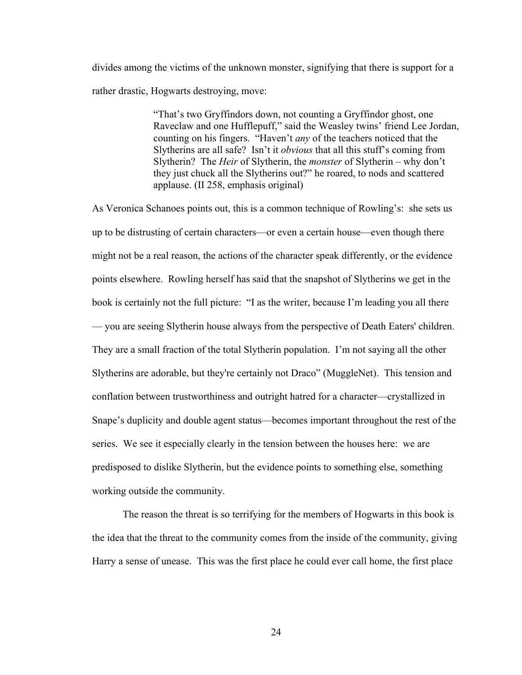divides among the victims of the unknown monster, signifying that there is support for a rather drastic, Hogwarts destroying, move:

> "That's two Gryffindors down, not counting a Gryffindor ghost, one Raveclaw and one Hufflepuff," said the Weasley twins' friend Lee Jordan, counting on his fingers. "Haven't *any* of the teachers noticed that the Slytherins are all safe? Isn't it *obvious* that all this stuff's coming from Slytherin? The *Heir* of Slytherin, the *monster* of Slytherin – why don't they just chuck all the Slytherins out?" he roared, to nods and scattered applause. (II 258, emphasis original)

As Veronica Schanoes points out, this is a common technique of Rowling's: she sets us up to be distrusting of certain characters—or even a certain house—even though there might not be a real reason, the actions of the character speak differently, or the evidence points elsewhere. Rowling herself has said that the snapshot of Slytherins we get in the book is certainly not the full picture: "I as the writer, because I'm leading you all there — you are seeing Slytherin house always from the perspective of Death Eaters' children. They are a small fraction of the total Slytherin population. I'm not saying all the other Slytherins are adorable, but they're certainly not Draco" (MuggleNet). This tension and conflation between trustworthiness and outright hatred for a character—crystallized in Snape's duplicity and double agent status—becomes important throughout the rest of the series. We see it especially clearly in the tension between the houses here: we are predisposed to dislike Slytherin, but the evidence points to something else, something working outside the community.

The reason the threat is so terrifying for the members of Hogwarts in this book is the idea that the threat to the community comes from the inside of the community, giving Harry a sense of unease. This was the first place he could ever call home, the first place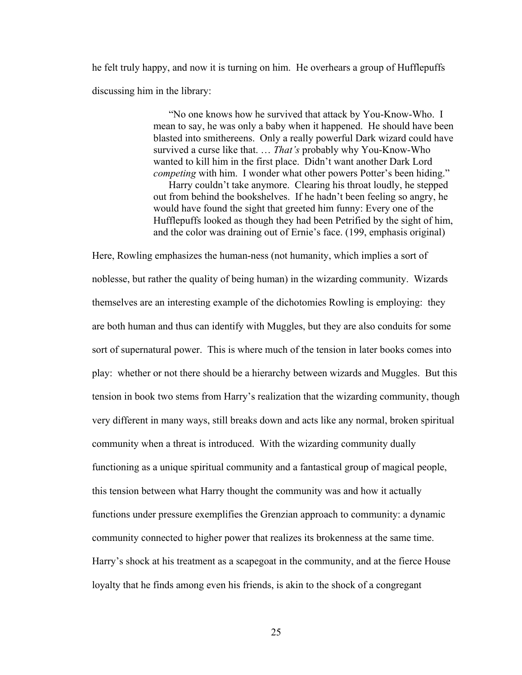he felt truly happy, and now it is turning on him. He overhears a group of Hufflepuffs discussing him in the library:

> "No one knows how he survived that attack by You-Know-Who. I mean to say, he was only a baby when it happened. He should have been blasted into smithereens. Only a really powerful Dark wizard could have survived a curse like that. … *That's* probably why You-Know-Who wanted to kill him in the first place. Didn't want another Dark Lord *competing* with him. I wonder what other powers Potter's been hiding." Harry couldn't take anymore. Clearing his throat loudly, he stepped out from behind the bookshelves. If he hadn't been feeling so angry, he would have found the sight that greeted him funny: Every one of the Hufflepuffs looked as though they had been Petrified by the sight of him, and the color was draining out of Ernie's face. (199, emphasis original)

Here, Rowling emphasizes the human-ness (not humanity, which implies a sort of noblesse, but rather the quality of being human) in the wizarding community. Wizards themselves are an interesting example of the dichotomies Rowling is employing: they are both human and thus can identify with Muggles, but they are also conduits for some sort of supernatural power. This is where much of the tension in later books comes into play: whether or not there should be a hierarchy between wizards and Muggles. But this tension in book two stems from Harry's realization that the wizarding community, though very different in many ways, still breaks down and acts like any normal, broken spiritual community when a threat is introduced. With the wizarding community dually functioning as a unique spiritual community and a fantastical group of magical people, this tension between what Harry thought the community was and how it actually functions under pressure exemplifies the Grenzian approach to community: a dynamic community connected to higher power that realizes its brokenness at the same time. Harry's shock at his treatment as a scapegoat in the community, and at the fierce House loyalty that he finds among even his friends, is akin to the shock of a congregant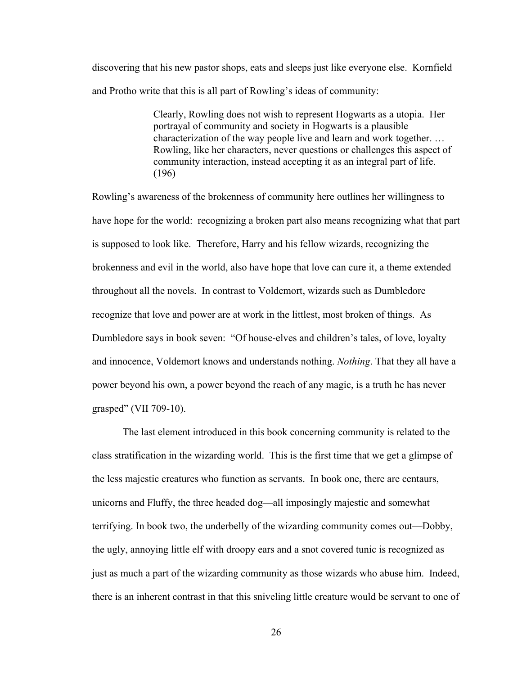discovering that his new pastor shops, eats and sleeps just like everyone else. Kornfield and Protho write that this is all part of Rowling's ideas of community:

> Clearly, Rowling does not wish to represent Hogwarts as a utopia. Her portrayal of community and society in Hogwarts is a plausible characterization of the way people live and learn and work together. … Rowling, like her characters, never questions or challenges this aspect of community interaction, instead accepting it as an integral part of life. (196)

Rowling's awareness of the brokenness of community here outlines her willingness to have hope for the world: recognizing a broken part also means recognizing what that part is supposed to look like. Therefore, Harry and his fellow wizards, recognizing the brokenness and evil in the world, also have hope that love can cure it, a theme extended throughout all the novels. In contrast to Voldemort, wizards such as Dumbledore recognize that love and power are at work in the littlest, most broken of things. As Dumbledore says in book seven: "Of house-elves and children's tales, of love, loyalty and innocence, Voldemort knows and understands nothing. *Nothing*. That they all have a power beyond his own, a power beyond the reach of any magic, is a truth he has never grasped" (VII 709-10).

The last element introduced in this book concerning community is related to the class stratification in the wizarding world. This is the first time that we get a glimpse of the less majestic creatures who function as servants. In book one, there are centaurs, unicorns and Fluffy, the three headed dog—all imposingly majestic and somewhat terrifying. In book two, the underbelly of the wizarding community comes out—Dobby, the ugly, annoying little elf with droopy ears and a snot covered tunic is recognized as just as much a part of the wizarding community as those wizards who abuse him. Indeed, there is an inherent contrast in that this sniveling little creature would be servant to one of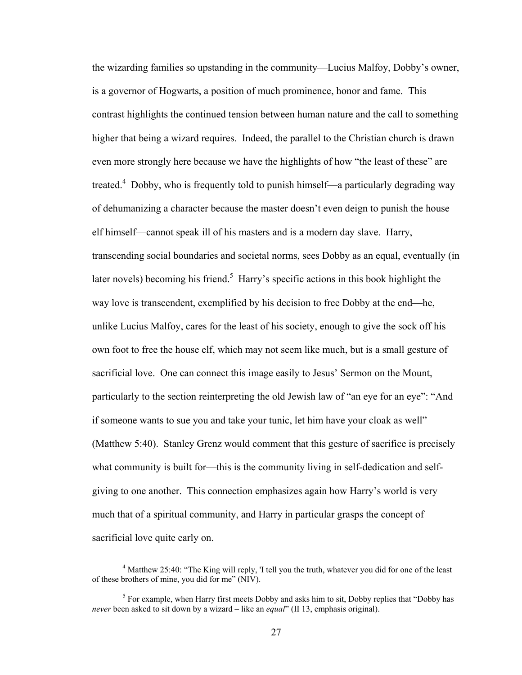the wizarding families so upstanding in the community—Lucius Malfoy, Dobby's owner, is a governor of Hogwarts, a position of much prominence, honor and fame. This contrast highlights the continued tension between human nature and the call to something higher that being a wizard requires. Indeed, the parallel to the Christian church is drawn even more strongly here because we have the highlights of how "the least of these" are treated.<sup>4</sup> Dobby, who is frequently told to punish himself—a particularly degrading way of dehumanizing a character because the master doesn't even deign to punish the house elf himself—cannot speak ill of his masters and is a modern day slave. Harry, transcending social boundaries and societal norms, sees Dobby as an equal, eventually (in later novels) becoming his friend.<sup>5</sup> Harry's specific actions in this book highlight the way love is transcendent, exemplified by his decision to free Dobby at the end—he, unlike Lucius Malfoy, cares for the least of his society, enough to give the sock off his own foot to free the house elf, which may not seem like much, but is a small gesture of sacrificial love. One can connect this image easily to Jesus' Sermon on the Mount, particularly to the section reinterpreting the old Jewish law of "an eye for an eye": "And if someone wants to sue you and take your tunic, let him have your cloak as well" (Matthew 5:40). Stanley Grenz would comment that this gesture of sacrifice is precisely what community is built for—this is the community living in self-dedication and selfgiving to one another. This connection emphasizes again how Harry's world is very much that of a spiritual community, and Harry in particular grasps the concept of sacrificial love quite early on.

 <sup>4</sup> Matthew 25:40: "The King will reply, 'I tell you the truth, whatever you did for one of the least of these brothers of mine, you did for me" (NIV).

<sup>&</sup>lt;sup>5</sup> For example, when Harry first meets Dobby and asks him to sit, Dobby replies that "Dobby has *never* been asked to sit down by a wizard – like an *equal*" (II 13, emphasis original).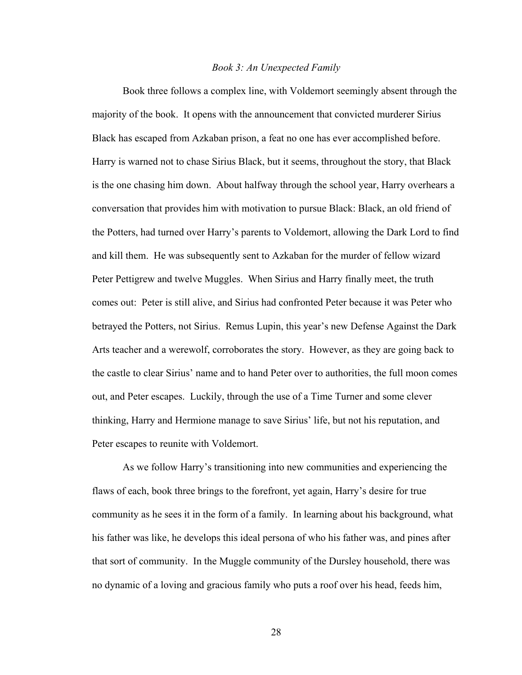#### *Book 3: An Unexpected Family*

 Book three follows a complex line, with Voldemort seemingly absent through the majority of the book. It opens with the announcement that convicted murderer Sirius Black has escaped from Azkaban prison, a feat no one has ever accomplished before. Harry is warned not to chase Sirius Black, but it seems, throughout the story, that Black is the one chasing him down. About halfway through the school year, Harry overhears a conversation that provides him with motivation to pursue Black: Black, an old friend of the Potters, had turned over Harry's parents to Voldemort, allowing the Dark Lord to find and kill them. He was subsequently sent to Azkaban for the murder of fellow wizard Peter Pettigrew and twelve Muggles. When Sirius and Harry finally meet, the truth comes out: Peter is still alive, and Sirius had confronted Peter because it was Peter who betrayed the Potters, not Sirius. Remus Lupin, this year's new Defense Against the Dark Arts teacher and a werewolf, corroborates the story. However, as they are going back to the castle to clear Sirius' name and to hand Peter over to authorities, the full moon comes out, and Peter escapes. Luckily, through the use of a Time Turner and some clever thinking, Harry and Hermione manage to save Sirius' life, but not his reputation, and Peter escapes to reunite with Voldemort.

As we follow Harry's transitioning into new communities and experiencing the flaws of each, book three brings to the forefront, yet again, Harry's desire for true community as he sees it in the form of a family. In learning about his background, what his father was like, he develops this ideal persona of who his father was, and pines after that sort of community. In the Muggle community of the Dursley household, there was no dynamic of a loving and gracious family who puts a roof over his head, feeds him,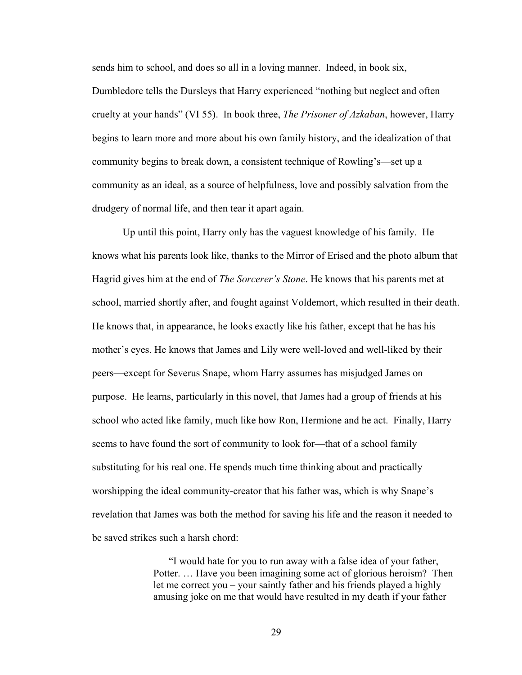sends him to school, and does so all in a loving manner. Indeed, in book six, Dumbledore tells the Dursleys that Harry experienced "nothing but neglect and often cruelty at your hands" (VI 55). In book three, *The Prisoner of Azkaban*, however, Harry begins to learn more and more about his own family history, and the idealization of that community begins to break down, a consistent technique of Rowling's—set up a

community as an ideal, as a source of helpfulness, love and possibly salvation from the

drudgery of normal life, and then tear it apart again.

 Up until this point, Harry only has the vaguest knowledge of his family. He knows what his parents look like, thanks to the Mirror of Erised and the photo album that Hagrid gives him at the end of *The Sorcerer's Stone*. He knows that his parents met at school, married shortly after, and fought against Voldemort, which resulted in their death. He knows that, in appearance, he looks exactly like his father, except that he has his mother's eyes. He knows that James and Lily were well-loved and well-liked by their peers—except for Severus Snape, whom Harry assumes has misjudged James on purpose. He learns, particularly in this novel, that James had a group of friends at his school who acted like family, much like how Ron, Hermione and he act. Finally, Harry seems to have found the sort of community to look for—that of a school family substituting for his real one. He spends much time thinking about and practically worshipping the ideal community-creator that his father was, which is why Snape's revelation that James was both the method for saving his life and the reason it needed to be saved strikes such a harsh chord:

> "I would hate for you to run away with a false idea of your father, Potter. … Have you been imagining some act of glorious heroism? Then let me correct you – your saintly father and his friends played a highly amusing joke on me that would have resulted in my death if your father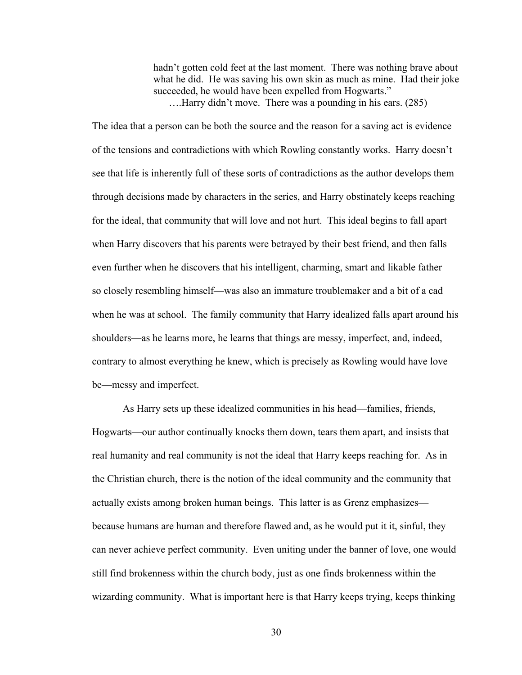hadn't gotten cold feet at the last moment. There was nothing brave about what he did. He was saving his own skin as much as mine. Had their joke succeeded, he would have been expelled from Hogwarts." ….Harry didn't move. There was a pounding in his ears. (285)

The idea that a person can be both the source and the reason for a saving act is evidence of the tensions and contradictions with which Rowling constantly works. Harry doesn't see that life is inherently full of these sorts of contradictions as the author develops them through decisions made by characters in the series, and Harry obstinately keeps reaching for the ideal, that community that will love and not hurt. This ideal begins to fall apart when Harry discovers that his parents were betrayed by their best friend, and then falls even further when he discovers that his intelligent, charming, smart and likable father so closely resembling himself—was also an immature troublemaker and a bit of a cad when he was at school. The family community that Harry idealized falls apart around his shoulders—as he learns more, he learns that things are messy, imperfect, and, indeed, contrary to almost everything he knew, which is precisely as Rowling would have love be—messy and imperfect.

As Harry sets up these idealized communities in his head—families, friends, Hogwarts—our author continually knocks them down, tears them apart, and insists that real humanity and real community is not the ideal that Harry keeps reaching for. As in the Christian church, there is the notion of the ideal community and the community that actually exists among broken human beings. This latter is as Grenz emphasizes because humans are human and therefore flawed and, as he would put it it, sinful, they can never achieve perfect community. Even uniting under the banner of love, one would still find brokenness within the church body, just as one finds brokenness within the wizarding community. What is important here is that Harry keeps trying, keeps thinking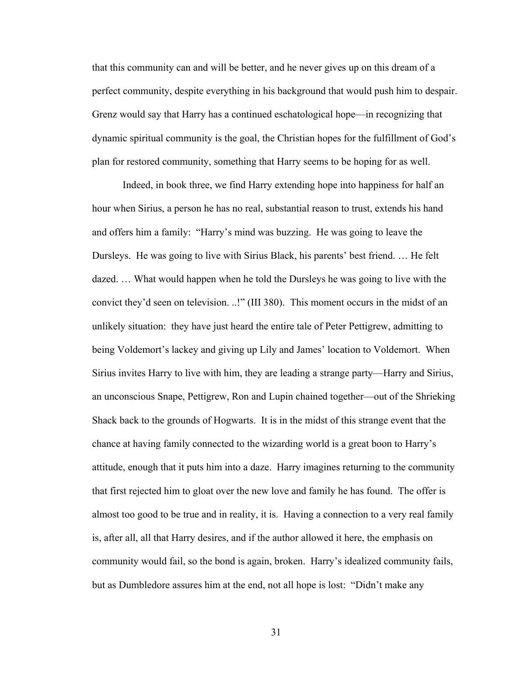that this community can and will be better, and he never gives up on this dream of a perfect community, despite everything in his background that would push him to despair. Grenz would say that Harry has a continued eschatological hope—in recognizing that dynamic spiritual community is the goal, the Christian hopes for the fulfillment of God's plan for restored community, something that Harry seems to be hoping for as well.

Indeed, in book three, we find Harry extending hope into happiness for half an hour when Sirius, a person he has no real, substantial reason to trust, extends his hand and offers him a family: "Harry's mind was buzzing. He was going to leave the Dursleys. He was going to live with Sirius Black, his parents' best friend. … He felt dazed. … What would happen when he told the Dursleys he was going to live with the convict they'd seen on television. ..!" (III 380). This moment occurs in the midst of an unlikely situation: they have just heard the entire tale of Peter Pettigrew, admitting to being Voldemort's lackey and giving up Lily and James' location to Voldemort. When Sirius invites Harry to live with him, they are leading a strange party—Harry and Sirius, an unconscious Snape, Pettigrew, Ron and Lupin chained together—out of the Shrieking Shack back to the grounds of Hogwarts. It is in the midst of this strange event that the chance at having family connected to the wizarding world is a great boon to Harry's attitude, enough that it puts him into a daze. Harry imagines returning to the community that first rejected him to gloat over the new love and family he has found. The offer is almost too good to be true and in reality, it is. Having a connection to a very real family is, after all, all that Harry desires, and if the author allowed it here, the emphasis on community would fail, so the bond is again, broken. Harry's idealized community fails, but as Dumbledore assures him at the end, not all hope is lost: "Didn't make any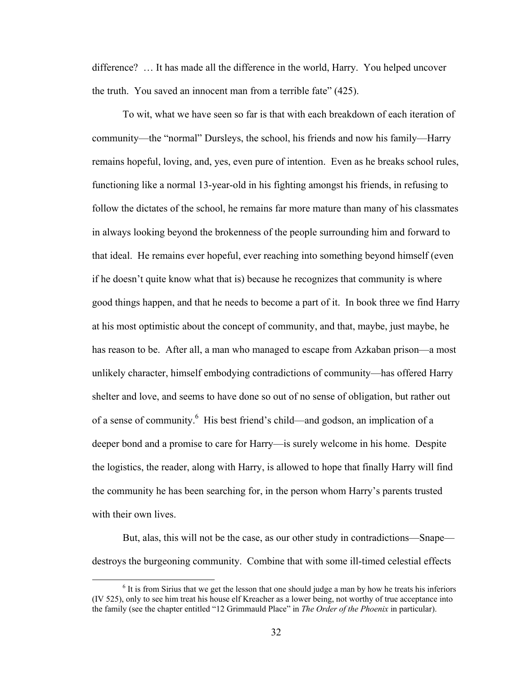difference? … It has made all the difference in the world, Harry. You helped uncover the truth. You saved an innocent man from a terrible fate" (425).

To wit, what we have seen so far is that with each breakdown of each iteration of community—the "normal" Dursleys, the school, his friends and now his family—Harry remains hopeful, loving, and, yes, even pure of intention. Even as he breaks school rules, functioning like a normal 13-year-old in his fighting amongst his friends, in refusing to follow the dictates of the school, he remains far more mature than many of his classmates in always looking beyond the brokenness of the people surrounding him and forward to that ideal. He remains ever hopeful, ever reaching into something beyond himself (even if he doesn't quite know what that is) because he recognizes that community is where good things happen, and that he needs to become a part of it. In book three we find Harry at his most optimistic about the concept of community, and that, maybe, just maybe, he has reason to be. After all, a man who managed to escape from Azkaban prison—a most unlikely character, himself embodying contradictions of community—has offered Harry shelter and love, and seems to have done so out of no sense of obligation, but rather out of a sense of community.<sup>6</sup> His best friend's child—and godson, an implication of a deeper bond and a promise to care for Harry—is surely welcome in his home. Despite the logistics, the reader, along with Harry, is allowed to hope that finally Harry will find the community he has been searching for, in the person whom Harry's parents trusted with their own lives.

But, alas, this will not be the case, as our other study in contradictions—Snape destroys the burgeoning community. Combine that with some ill-timed celestial effects

<sup>&</sup>lt;sup>6</sup> It is from Sirius that we get the lesson that one should judge a man by how he treats his inferiors (IV 525), only to see him treat his house elf Kreacher as a lower being, not worthy of true acceptance into the family (see the chapter entitled "12 Grimmauld Place" in *The Order of the Phoenix* in particular).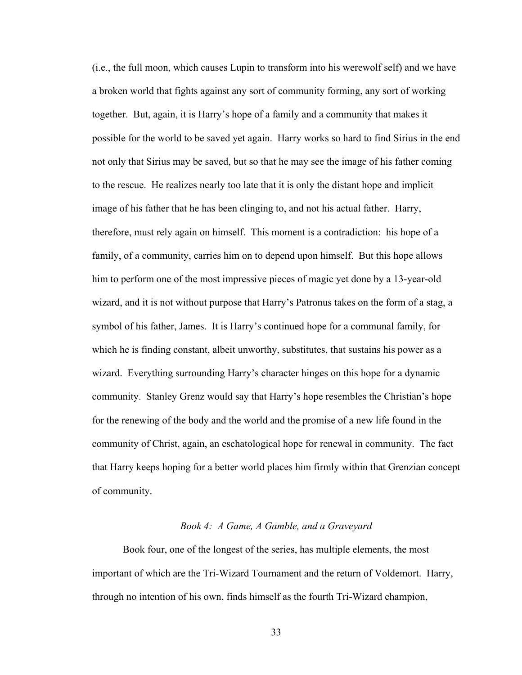(i.e., the full moon, which causes Lupin to transform into his werewolf self) and we have a broken world that fights against any sort of community forming, any sort of working together. But, again, it is Harry's hope of a family and a community that makes it possible for the world to be saved yet again. Harry works so hard to find Sirius in the end not only that Sirius may be saved, but so that he may see the image of his father coming to the rescue. He realizes nearly too late that it is only the distant hope and implicit image of his father that he has been clinging to, and not his actual father. Harry, therefore, must rely again on himself. This moment is a contradiction: his hope of a family, of a community, carries him on to depend upon himself. But this hope allows him to perform one of the most impressive pieces of magic yet done by a 13-year-old wizard, and it is not without purpose that Harry's Patronus takes on the form of a stag, a symbol of his father, James. It is Harry's continued hope for a communal family, for which he is finding constant, albeit unworthy, substitutes, that sustains his power as a wizard. Everything surrounding Harry's character hinges on this hope for a dynamic community. Stanley Grenz would say that Harry's hope resembles the Christian's hope for the renewing of the body and the world and the promise of a new life found in the community of Christ, again, an eschatological hope for renewal in community. The fact that Harry keeps hoping for a better world places him firmly within that Grenzian concept of community.

## *Book 4: A Game, A Gamble, and a Graveyard*

 Book four, one of the longest of the series, has multiple elements, the most important of which are the Tri-Wizard Tournament and the return of Voldemort. Harry, through no intention of his own, finds himself as the fourth Tri-Wizard champion,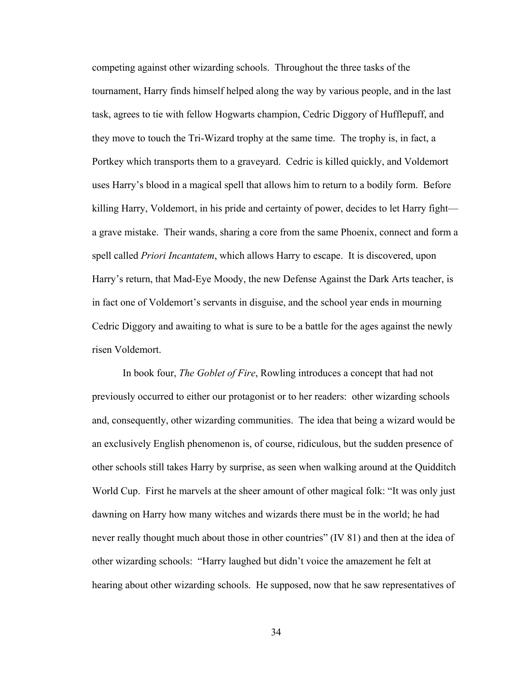competing against other wizarding schools. Throughout the three tasks of the tournament, Harry finds himself helped along the way by various people, and in the last task, agrees to tie with fellow Hogwarts champion, Cedric Diggory of Hufflepuff, and they move to touch the Tri-Wizard trophy at the same time. The trophy is, in fact, a Portkey which transports them to a graveyard. Cedric is killed quickly, and Voldemort uses Harry's blood in a magical spell that allows him to return to a bodily form. Before killing Harry, Voldemort, in his pride and certainty of power, decides to let Harry fight a grave mistake. Their wands, sharing a core from the same Phoenix, connect and form a spell called *Priori Incantatem*, which allows Harry to escape. It is discovered, upon Harry's return, that Mad-Eye Moody, the new Defense Against the Dark Arts teacher, is in fact one of Voldemort's servants in disguise, and the school year ends in mourning Cedric Diggory and awaiting to what is sure to be a battle for the ages against the newly risen Voldemort.

In book four, *The Goblet of Fire*, Rowling introduces a concept that had not previously occurred to either our protagonist or to her readers: other wizarding schools and, consequently, other wizarding communities. The idea that being a wizard would be an exclusively English phenomenon is, of course, ridiculous, but the sudden presence of other schools still takes Harry by surprise, as seen when walking around at the Quidditch World Cup. First he marvels at the sheer amount of other magical folk: "It was only just dawning on Harry how many witches and wizards there must be in the world; he had never really thought much about those in other countries" (IV 81) and then at the idea of other wizarding schools: "Harry laughed but didn't voice the amazement he felt at hearing about other wizarding schools. He supposed, now that he saw representatives of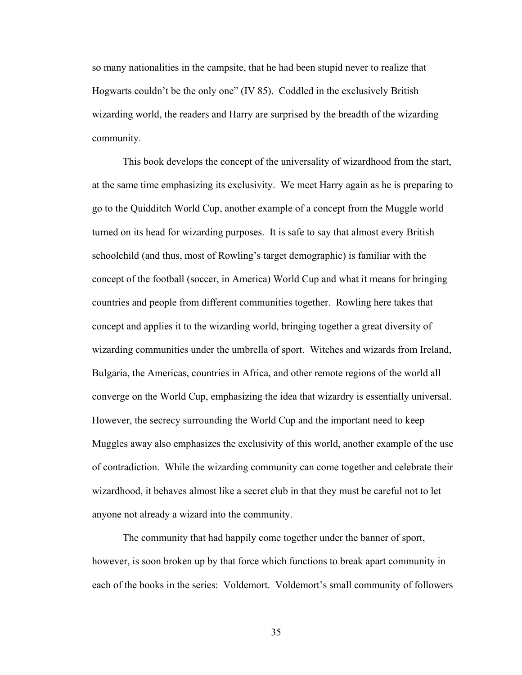so many nationalities in the campsite, that he had been stupid never to realize that Hogwarts couldn't be the only one" (IV 85). Coddled in the exclusively British wizarding world, the readers and Harry are surprised by the breadth of the wizarding community.

This book develops the concept of the universality of wizardhood from the start, at the same time emphasizing its exclusivity. We meet Harry again as he is preparing to go to the Quidditch World Cup, another example of a concept from the Muggle world turned on its head for wizarding purposes. It is safe to say that almost every British schoolchild (and thus, most of Rowling's target demographic) is familiar with the concept of the football (soccer, in America) World Cup and what it means for bringing countries and people from different communities together. Rowling here takes that concept and applies it to the wizarding world, bringing together a great diversity of wizarding communities under the umbrella of sport. Witches and wizards from Ireland, Bulgaria, the Americas, countries in Africa, and other remote regions of the world all converge on the World Cup, emphasizing the idea that wizardry is essentially universal. However, the secrecy surrounding the World Cup and the important need to keep Muggles away also emphasizes the exclusivity of this world, another example of the use of contradiction. While the wizarding community can come together and celebrate their wizardhood, it behaves almost like a secret club in that they must be careful not to let anyone not already a wizard into the community.

The community that had happily come together under the banner of sport, however, is soon broken up by that force which functions to break apart community in each of the books in the series: Voldemort. Voldemort's small community of followers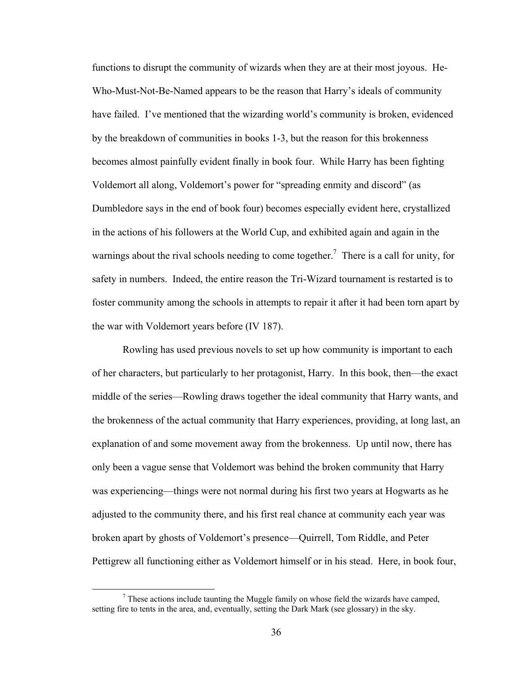functions to disrupt the community of wizards when they are at their most joyous. He-Who-Must-Not-Be-Named appears to be the reason that Harry's ideals of community have failed. I've mentioned that the wizarding world's community is broken, evidenced by the breakdown of communities in books 1-3, but the reason for this brokenness becomes almost painfully evident finally in book four. While Harry has been fighting Voldemort all along, Voldemort's power for "spreading enmity and discord" (as Dumbledore says in the end of book four) becomes especially evident here, crystallized in the actions of his followers at the World Cup, and exhibited again and again in the warnings about the rival schools needing to come together.<sup>7</sup> There is a call for unity, for safety in numbers. Indeed, the entire reason the Tri-Wizard tournament is restarted is to foster community among the schools in attempts to repair it after it had been torn apart by the war with Voldemort years before (IV 187).

Rowling has used previous novels to set up how community is important to each of her characters, but particularly to her protagonist, Harry. In this book, then—the exact middle of the series—Rowling draws together the ideal community that Harry wants, and the brokenness of the actual community that Harry experiences, providing, at long last, an explanation of and some movement away from the brokenness. Up until now, there has only been a vague sense that Voldemort was behind the broken community that Harry was experiencing—things were not normal during his first two years at Hogwarts as he adjusted to the community there, and his first real chance at community each year was broken apart by ghosts of Voldemort's presence—Quirrell, Tom Riddle, and Peter Pettigrew all functioning either as Voldemort himself or in his stead. Here, in book four,

 <sup>7</sup> These actions include taunting the Muggle family on whose field the wizards have camped, setting fire to tents in the area, and, eventually, setting the Dark Mark (see glossary) in the sky.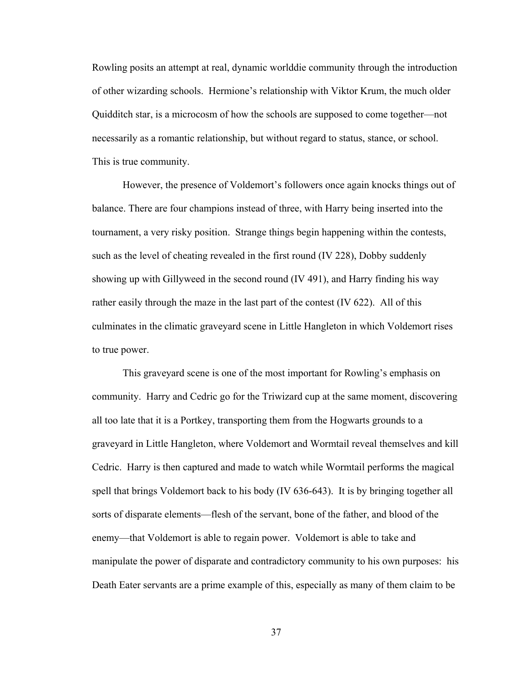Rowling posits an attempt at real, dynamic worlddie community through the introduction of other wizarding schools. Hermione's relationship with Viktor Krum, the much older Quidditch star, is a microcosm of how the schools are supposed to come together—not necessarily as a romantic relationship, but without regard to status, stance, or school. This is true community.

However, the presence of Voldemort's followers once again knocks things out of balance. There are four champions instead of three, with Harry being inserted into the tournament, a very risky position. Strange things begin happening within the contests, such as the level of cheating revealed in the first round (IV 228), Dobby suddenly showing up with Gillyweed in the second round (IV 491), and Harry finding his way rather easily through the maze in the last part of the contest (IV 622). All of this culminates in the climatic graveyard scene in Little Hangleton in which Voldemort rises to true power.

This graveyard scene is one of the most important for Rowling's emphasis on community. Harry and Cedric go for the Triwizard cup at the same moment, discovering all too late that it is a Portkey, transporting them from the Hogwarts grounds to a graveyard in Little Hangleton, where Voldemort and Wormtail reveal themselves and kill Cedric. Harry is then captured and made to watch while Wormtail performs the magical spell that brings Voldemort back to his body (IV 636-643). It is by bringing together all sorts of disparate elements—flesh of the servant, bone of the father, and blood of the enemy—that Voldemort is able to regain power. Voldemort is able to take and manipulate the power of disparate and contradictory community to his own purposes: his Death Eater servants are a prime example of this, especially as many of them claim to be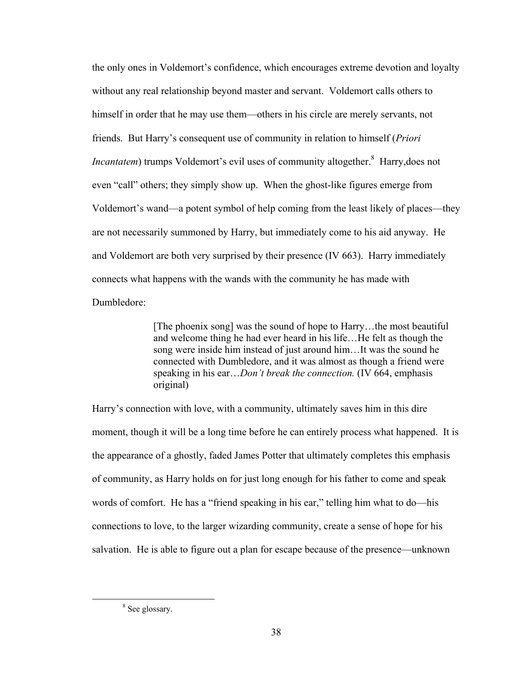the only ones in Voldemort's confidence, which encourages extreme devotion and loyalty without any real relationship beyond master and servant. Voldemort calls others to himself in order that he may use them—others in his circle are merely servants, not friends. But Harry's consequent use of community in relation to himself (*Priori Incantatem*) trumps Voldemort's evil uses of community altogether.<sup>8</sup> Harry, does not even "call" others; they simply show up. When the ghost-like figures emerge from Voldemort's wand—a potent symbol of help coming from the least likely of places—they are not necessarily summoned by Harry, but immediately come to his aid anyway. He and Voldemort are both very surprised by their presence (IV 663). Harry immediately connects what happens with the wands with the community he has made with Dumbledore:

> [The phoenix song] was the sound of hope to Harry…the most beautiful and welcome thing he had ever heard in his life…He felt as though the song were inside him instead of just around him…It was the sound he connected with Dumbledore, and it was almost as though a friend were speaking in his ear…*Don't break the connection.* (IV 664, emphasis original)

Harry's connection with love, with a community, ultimately saves him in this dire moment, though it will be a long time before he can entirely process what happened. It is the appearance of a ghostly, faded James Potter that ultimately completes this emphasis of community, as Harry holds on for just long enough for his father to come and speak words of comfort. He has a "friend speaking in his ear," telling him what to do—his connections to love, to the larger wizarding community, create a sense of hope for his salvation. He is able to figure out a plan for escape because of the presence—unknown

<sup>&</sup>lt;sup>8</sup> See glossary.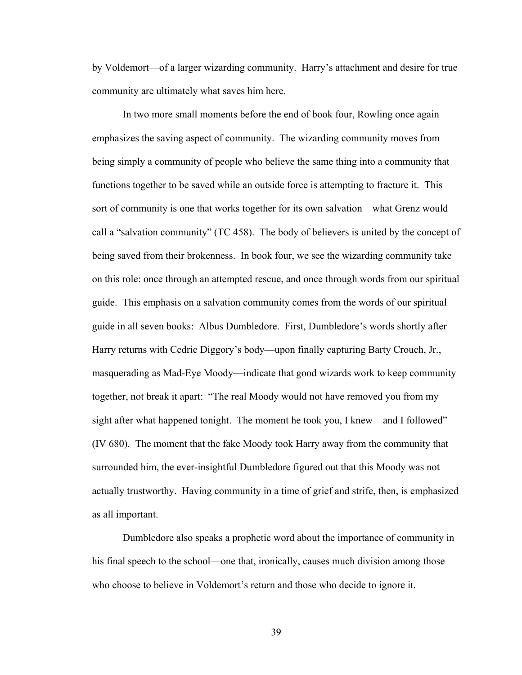by Voldemort—of a larger wizarding community. Harry's attachment and desire for true community are ultimately what saves him here.

In two more small moments before the end of book four, Rowling once again emphasizes the saving aspect of community. The wizarding community moves from being simply a community of people who believe the same thing into a community that functions together to be saved while an outside force is attempting to fracture it. This sort of community is one that works together for its own salvation—what Grenz would call a "salvation community" (TC 458). The body of believers is united by the concept of being saved from their brokenness. In book four, we see the wizarding community take on this role: once through an attempted rescue, and once through words from our spiritual guide. This emphasis on a salvation community comes from the words of our spiritual guide in all seven books: Albus Dumbledore. First, Dumbledore's words shortly after Harry returns with Cedric Diggory's body—upon finally capturing Barty Crouch, Jr., masquerading as Mad-Eye Moody—indicate that good wizards work to keep community together, not break it apart: "The real Moody would not have removed you from my sight after what happened tonight. The moment he took you, I knew—and I followed" (IV 680). The moment that the fake Moody took Harry away from the community that surrounded him, the ever-insightful Dumbledore figured out that this Moody was not actually trustworthy. Having community in a time of grief and strife, then, is emphasized as all important.

Dumbledore also speaks a prophetic word about the importance of community in his final speech to the school—one that, ironically, causes much division among those who choose to believe in Voldemort's return and those who decide to ignore it.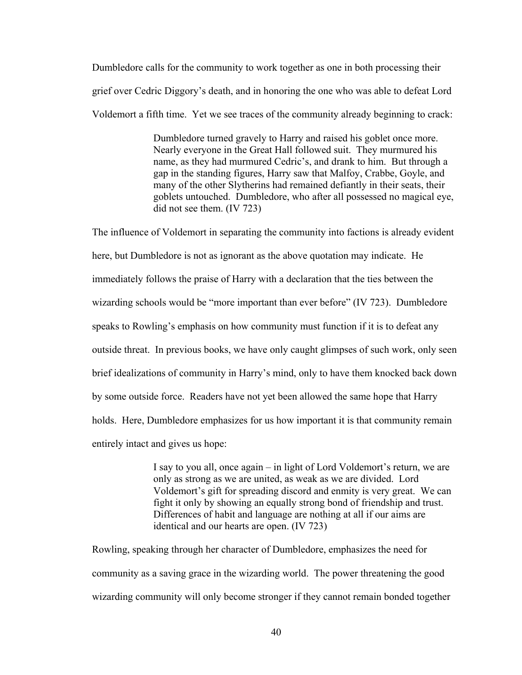Dumbledore calls for the community to work together as one in both processing their grief over Cedric Diggory's death, and in honoring the one who was able to defeat Lord Voldemort a fifth time. Yet we see traces of the community already beginning to crack:

> Dumbledore turned gravely to Harry and raised his goblet once more. Nearly everyone in the Great Hall followed suit. They murmured his name, as they had murmured Cedric's, and drank to him. But through a gap in the standing figures, Harry saw that Malfoy, Crabbe, Goyle, and many of the other Slytherins had remained defiantly in their seats, their goblets untouched. Dumbledore, who after all possessed no magical eye, did not see them. (IV 723)

The influence of Voldemort in separating the community into factions is already evident here, but Dumbledore is not as ignorant as the above quotation may indicate. He immediately follows the praise of Harry with a declaration that the ties between the wizarding schools would be "more important than ever before" (IV 723). Dumbledore speaks to Rowling's emphasis on how community must function if it is to defeat any outside threat. In previous books, we have only caught glimpses of such work, only seen brief idealizations of community in Harry's mind, only to have them knocked back down by some outside force. Readers have not yet been allowed the same hope that Harry holds. Here, Dumbledore emphasizes for us how important it is that community remain entirely intact and gives us hope:

> I say to you all, once again – in light of Lord Voldemort's return, we are only as strong as we are united, as weak as we are divided. Lord Voldemort's gift for spreading discord and enmity is very great. We can fight it only by showing an equally strong bond of friendship and trust. Differences of habit and language are nothing at all if our aims are identical and our hearts are open. (IV 723)

Rowling, speaking through her character of Dumbledore, emphasizes the need for community as a saving grace in the wizarding world. The power threatening the good wizarding community will only become stronger if they cannot remain bonded together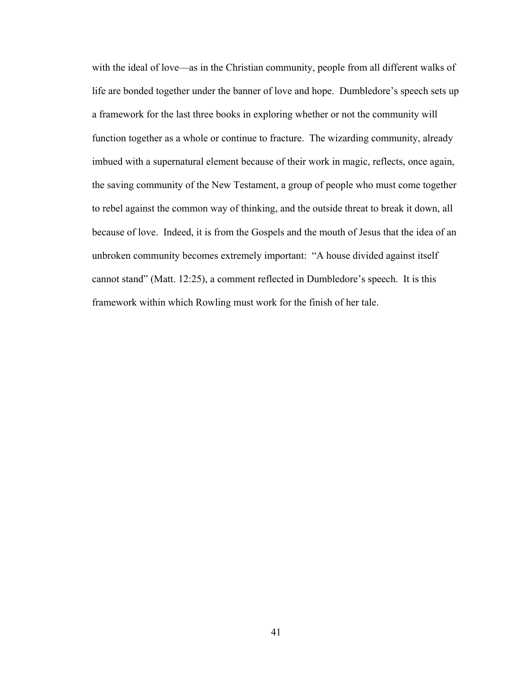with the ideal of love—as in the Christian community, people from all different walks of life are bonded together under the banner of love and hope. Dumbledore's speech sets up a framework for the last three books in exploring whether or not the community will function together as a whole or continue to fracture. The wizarding community, already imbued with a supernatural element because of their work in magic, reflects, once again, the saving community of the New Testament, a group of people who must come together to rebel against the common way of thinking, and the outside threat to break it down, all because of love. Indeed, it is from the Gospels and the mouth of Jesus that the idea of an unbroken community becomes extremely important: "A house divided against itself cannot stand" (Matt. 12:25), a comment reflected in Dumbledore's speech. It is this framework within which Rowling must work for the finish of her tale.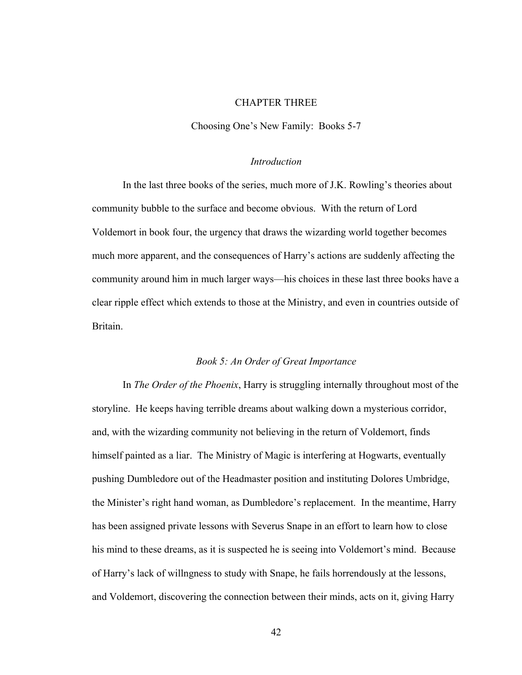# CHAPTER THREE

Choosing One's New Family: Books 5-7

## *Introduction*

In the last three books of the series, much more of J.K. Rowling's theories about community bubble to the surface and become obvious. With the return of Lord Voldemort in book four, the urgency that draws the wizarding world together becomes much more apparent, and the consequences of Harry's actions are suddenly affecting the community around him in much larger ways—his choices in these last three books have a clear ripple effect which extends to those at the Ministry, and even in countries outside of Britain.

### *Book 5: An Order of Great Importance*

In *The Order of the Phoenix*, Harry is struggling internally throughout most of the storyline. He keeps having terrible dreams about walking down a mysterious corridor, and, with the wizarding community not believing in the return of Voldemort, finds himself painted as a liar. The Ministry of Magic is interfering at Hogwarts, eventually pushing Dumbledore out of the Headmaster position and instituting Dolores Umbridge, the Minister's right hand woman, as Dumbledore's replacement. In the meantime, Harry has been assigned private lessons with Severus Snape in an effort to learn how to close his mind to these dreams, as it is suspected he is seeing into Voldemort's mind. Because of Harry's lack of willngness to study with Snape, he fails horrendously at the lessons, and Voldemort, discovering the connection between their minds, acts on it, giving Harry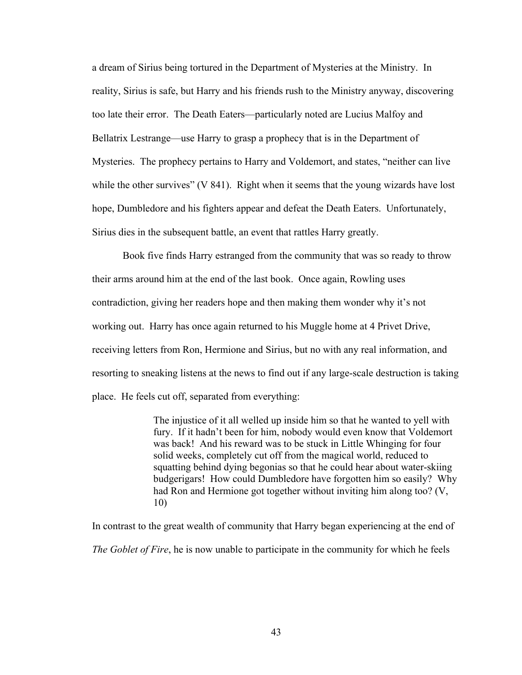a dream of Sirius being tortured in the Department of Mysteries at the Ministry. In reality, Sirius is safe, but Harry and his friends rush to the Ministry anyway, discovering too late their error. The Death Eaters—particularly noted are Lucius Malfoy and Bellatrix Lestrange—use Harry to grasp a prophecy that is in the Department of Mysteries. The prophecy pertains to Harry and Voldemort, and states, "neither can live while the other survives" (V 841). Right when it seems that the young wizards have lost hope, Dumbledore and his fighters appear and defeat the Death Eaters. Unfortunately, Sirius dies in the subsequent battle, an event that rattles Harry greatly.

Book five finds Harry estranged from the community that was so ready to throw their arms around him at the end of the last book. Once again, Rowling uses contradiction, giving her readers hope and then making them wonder why it's not working out. Harry has once again returned to his Muggle home at 4 Privet Drive, receiving letters from Ron, Hermione and Sirius, but no with any real information, and resorting to sneaking listens at the news to find out if any large-scale destruction is taking place. He feels cut off, separated from everything:

> The injustice of it all welled up inside him so that he wanted to yell with fury. If it hadn't been for him, nobody would even know that Voldemort was back! And his reward was to be stuck in Little Whinging for four solid weeks, completely cut off from the magical world, reduced to squatting behind dying begonias so that he could hear about water-skiing budgerigars! How could Dumbledore have forgotten him so easily? Why had Ron and Hermione got together without inviting him along too? (V, 10)

In contrast to the great wealth of community that Harry began experiencing at the end of *The Goblet of Fire*, he is now unable to participate in the community for which he feels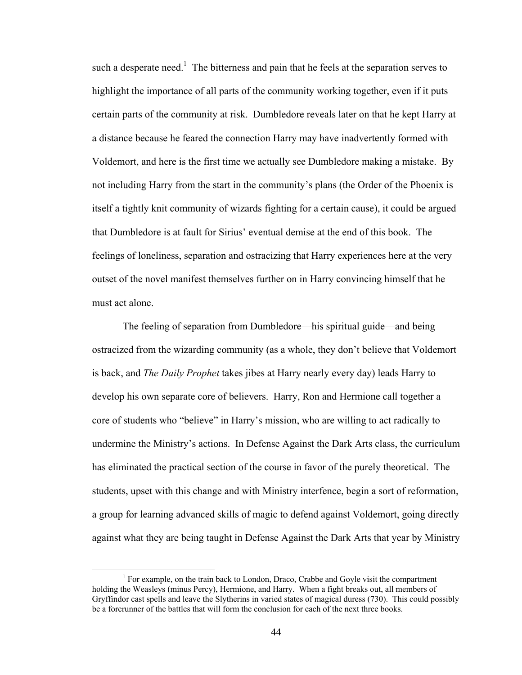such a desperate need.<sup>1</sup> The bitterness and pain that he feels at the separation serves to highlight the importance of all parts of the community working together, even if it puts certain parts of the community at risk. Dumbledore reveals later on that he kept Harry at a distance because he feared the connection Harry may have inadvertently formed with Voldemort, and here is the first time we actually see Dumbledore making a mistake. By not including Harry from the start in the community's plans (the Order of the Phoenix is itself a tightly knit community of wizards fighting for a certain cause), it could be argued that Dumbledore is at fault for Sirius' eventual demise at the end of this book. The feelings of loneliness, separation and ostracizing that Harry experiences here at the very outset of the novel manifest themselves further on in Harry convincing himself that he must act alone.

 The feeling of separation from Dumbledore—his spiritual guide—and being ostracized from the wizarding community (as a whole, they don't believe that Voldemort is back, and *The Daily Prophet* takes jibes at Harry nearly every day) leads Harry to develop his own separate core of believers. Harry, Ron and Hermione call together a core of students who "believe" in Harry's mission, who are willing to act radically to undermine the Ministry's actions. In Defense Against the Dark Arts class, the curriculum has eliminated the practical section of the course in favor of the purely theoretical. The students, upset with this change and with Ministry interfence, begin a sort of reformation, a group for learning advanced skills of magic to defend against Voldemort, going directly against what they are being taught in Defense Against the Dark Arts that year by Ministry

<sup>&</sup>lt;sup>1</sup> For example, on the train back to London, Draco, Crabbe and Goyle visit the compartment holding the Weasleys (minus Percy), Hermione, and Harry. When a fight breaks out, all members of Gryffindor cast spells and leave the Slytherins in varied states of magical duress (730). This could possibly be a forerunner of the battles that will form the conclusion for each of the next three books.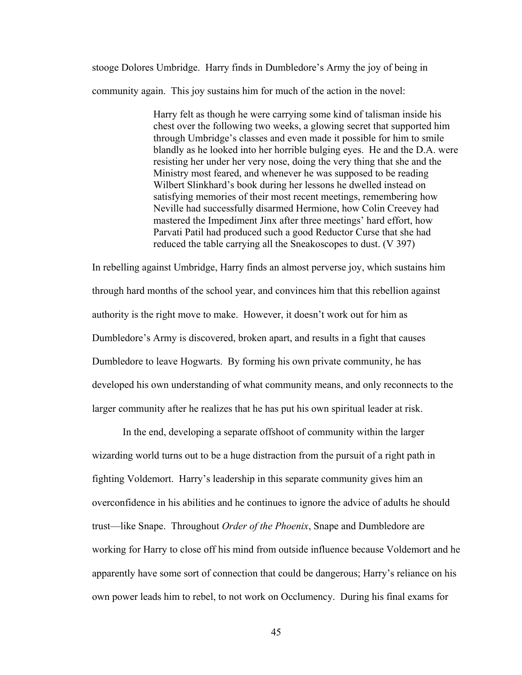stooge Dolores Umbridge. Harry finds in Dumbledore's Army the joy of being in community again. This joy sustains him for much of the action in the novel:

> Harry felt as though he were carrying some kind of talisman inside his chest over the following two weeks, a glowing secret that supported him through Umbridge's classes and even made it possible for him to smile blandly as he looked into her horrible bulging eyes. He and the D.A. were resisting her under her very nose, doing the very thing that she and the Ministry most feared, and whenever he was supposed to be reading Wilbert Slinkhard's book during her lessons he dwelled instead on satisfying memories of their most recent meetings, remembering how Neville had successfully disarmed Hermione, how Colin Creevey had mastered the Impediment Jinx after three meetings' hard effort, how Parvati Patil had produced such a good Reductor Curse that she had reduced the table carrying all the Sneakoscopes to dust. (V 397)

In rebelling against Umbridge, Harry finds an almost perverse joy, which sustains him through hard months of the school year, and convinces him that this rebellion against authority is the right move to make. However, it doesn't work out for him as Dumbledore's Army is discovered, broken apart, and results in a fight that causes Dumbledore to leave Hogwarts. By forming his own private community, he has developed his own understanding of what community means, and only reconnects to the larger community after he realizes that he has put his own spiritual leader at risk.

In the end, developing a separate offshoot of community within the larger wizarding world turns out to be a huge distraction from the pursuit of a right path in fighting Voldemort. Harry's leadership in this separate community gives him an overconfidence in his abilities and he continues to ignore the advice of adults he should trust—like Snape. Throughout *Order of the Phoenix*, Snape and Dumbledore are working for Harry to close off his mind from outside influence because Voldemort and he apparently have some sort of connection that could be dangerous; Harry's reliance on his own power leads him to rebel, to not work on Occlumency. During his final exams for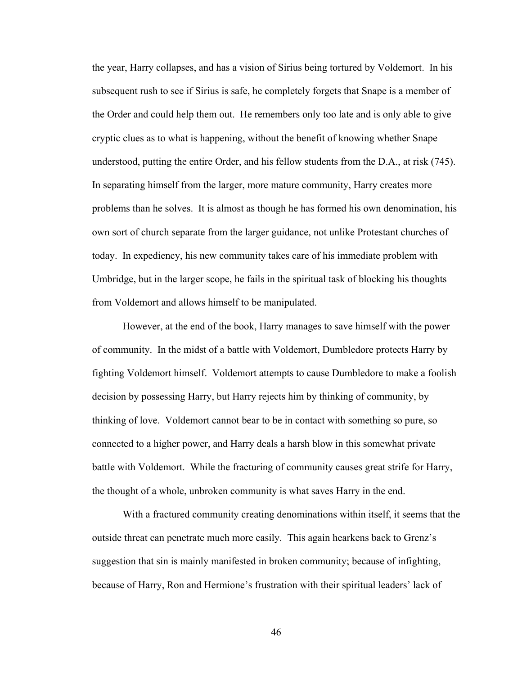the year, Harry collapses, and has a vision of Sirius being tortured by Voldemort. In his subsequent rush to see if Sirius is safe, he completely forgets that Snape is a member of the Order and could help them out. He remembers only too late and is only able to give cryptic clues as to what is happening, without the benefit of knowing whether Snape understood, putting the entire Order, and his fellow students from the D.A., at risk (745). In separating himself from the larger, more mature community, Harry creates more problems than he solves. It is almost as though he has formed his own denomination, his own sort of church separate from the larger guidance, not unlike Protestant churches of today. In expediency, his new community takes care of his immediate problem with Umbridge, but in the larger scope, he fails in the spiritual task of blocking his thoughts from Voldemort and allows himself to be manipulated.

However, at the end of the book, Harry manages to save himself with the power of community. In the midst of a battle with Voldemort, Dumbledore protects Harry by fighting Voldemort himself. Voldemort attempts to cause Dumbledore to make a foolish decision by possessing Harry, but Harry rejects him by thinking of community, by thinking of love. Voldemort cannot bear to be in contact with something so pure, so connected to a higher power, and Harry deals a harsh blow in this somewhat private battle with Voldemort. While the fracturing of community causes great strife for Harry, the thought of a whole, unbroken community is what saves Harry in the end.

With a fractured community creating denominations within itself, it seems that the outside threat can penetrate much more easily. This again hearkens back to Grenz's suggestion that sin is mainly manifested in broken community; because of infighting, because of Harry, Ron and Hermione's frustration with their spiritual leaders' lack of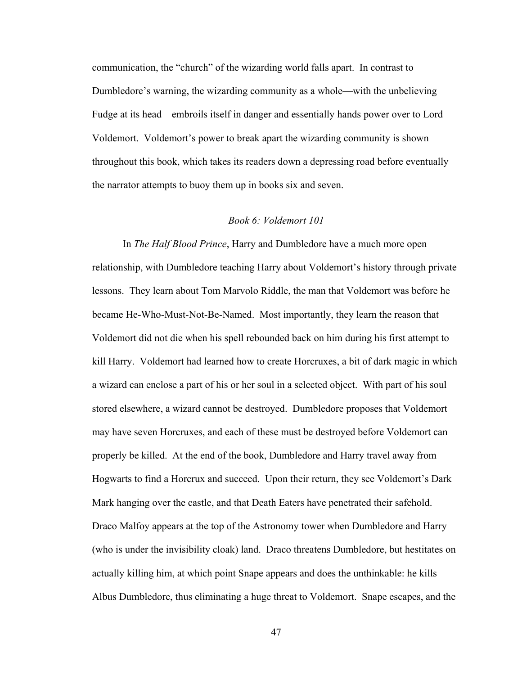communication, the "church" of the wizarding world falls apart. In contrast to Dumbledore's warning, the wizarding community as a whole—with the unbelieving Fudge at its head—embroils itself in danger and essentially hands power over to Lord Voldemort. Voldemort's power to break apart the wizarding community is shown throughout this book, which takes its readers down a depressing road before eventually the narrator attempts to buoy them up in books six and seven.

### *Book 6: Voldemort 101*

In *The Half Blood Prince*, Harry and Dumbledore have a much more open relationship, with Dumbledore teaching Harry about Voldemort's history through private lessons. They learn about Tom Marvolo Riddle, the man that Voldemort was before he became He-Who-Must-Not-Be-Named. Most importantly, they learn the reason that Voldemort did not die when his spell rebounded back on him during his first attempt to kill Harry. Voldemort had learned how to create Horcruxes, a bit of dark magic in which a wizard can enclose a part of his or her soul in a selected object. With part of his soul stored elsewhere, a wizard cannot be destroyed. Dumbledore proposes that Voldemort may have seven Horcruxes, and each of these must be destroyed before Voldemort can properly be killed. At the end of the book, Dumbledore and Harry travel away from Hogwarts to find a Horcrux and succeed. Upon their return, they see Voldemort's Dark Mark hanging over the castle, and that Death Eaters have penetrated their safehold. Draco Malfoy appears at the top of the Astronomy tower when Dumbledore and Harry (who is under the invisibility cloak) land. Draco threatens Dumbledore, but hestitates on actually killing him, at which point Snape appears and does the unthinkable: he kills Albus Dumbledore, thus eliminating a huge threat to Voldemort. Snape escapes, and the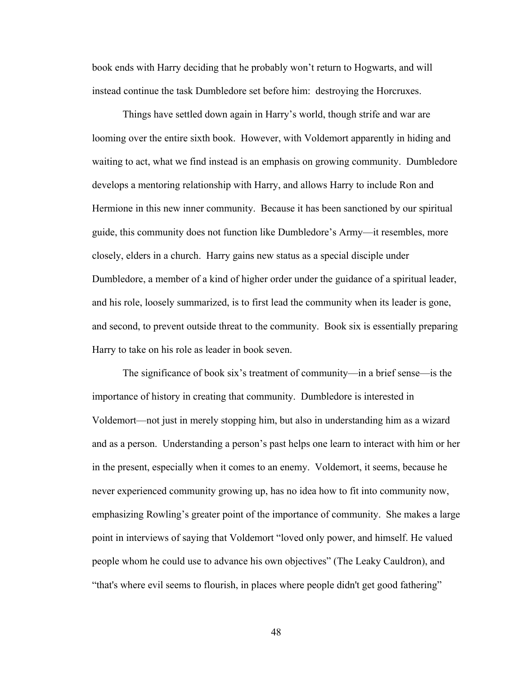book ends with Harry deciding that he probably won't return to Hogwarts, and will instead continue the task Dumbledore set before him: destroying the Horcruxes.

Things have settled down again in Harry's world, though strife and war are looming over the entire sixth book. However, with Voldemort apparently in hiding and waiting to act, what we find instead is an emphasis on growing community. Dumbledore develops a mentoring relationship with Harry, and allows Harry to include Ron and Hermione in this new inner community. Because it has been sanctioned by our spiritual guide, this community does not function like Dumbledore's Army—it resembles, more closely, elders in a church. Harry gains new status as a special disciple under Dumbledore, a member of a kind of higher order under the guidance of a spiritual leader, and his role, loosely summarized, is to first lead the community when its leader is gone, and second, to prevent outside threat to the community. Book six is essentially preparing Harry to take on his role as leader in book seven.

 The significance of book six's treatment of community—in a brief sense—is the importance of history in creating that community. Dumbledore is interested in Voldemort—not just in merely stopping him, but also in understanding him as a wizard and as a person. Understanding a person's past helps one learn to interact with him or her in the present, especially when it comes to an enemy. Voldemort, it seems, because he never experienced community growing up, has no idea how to fit into community now, emphasizing Rowling's greater point of the importance of community. She makes a large point in interviews of saying that Voldemort "loved only power, and himself. He valued people whom he could use to advance his own objectives" (The Leaky Cauldron), and "that's where evil seems to flourish, in places where people didn't get good fathering"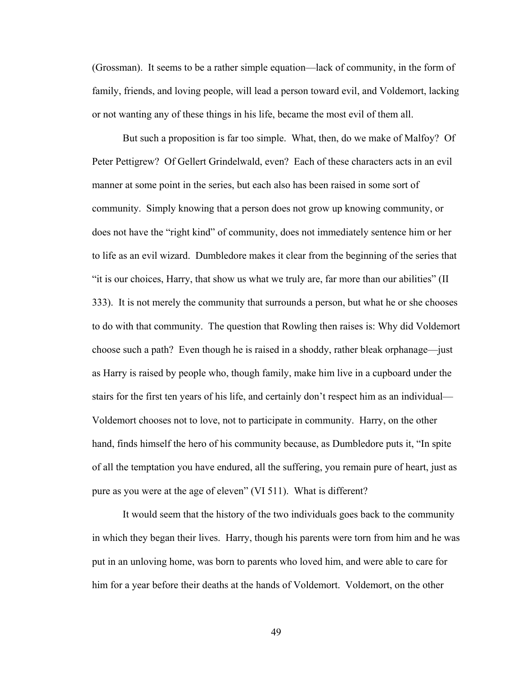(Grossman). It seems to be a rather simple equation—lack of community, in the form of family, friends, and loving people, will lead a person toward evil, and Voldemort, lacking or not wanting any of these things in his life, became the most evil of them all.

 But such a proposition is far too simple. What, then, do we make of Malfoy? Of Peter Pettigrew? Of Gellert Grindelwald, even? Each of these characters acts in an evil manner at some point in the series, but each also has been raised in some sort of community. Simply knowing that a person does not grow up knowing community, or does not have the "right kind" of community, does not immediately sentence him or her to life as an evil wizard. Dumbledore makes it clear from the beginning of the series that "it is our choices, Harry, that show us what we truly are, far more than our abilities" (II 333). It is not merely the community that surrounds a person, but what he or she chooses to do with that community. The question that Rowling then raises is: Why did Voldemort choose such a path? Even though he is raised in a shoddy, rather bleak orphanage—just as Harry is raised by people who, though family, make him live in a cupboard under the stairs for the first ten years of his life, and certainly don't respect him as an individual— Voldemort chooses not to love, not to participate in community. Harry, on the other hand, finds himself the hero of his community because, as Dumbledore puts it, "In spite of all the temptation you have endured, all the suffering, you remain pure of heart, just as pure as you were at the age of eleven" (VI 511). What is different?

 It would seem that the history of the two individuals goes back to the community in which they began their lives. Harry, though his parents were torn from him and he was put in an unloving home, was born to parents who loved him, and were able to care for him for a year before their deaths at the hands of Voldemort. Voldemort, on the other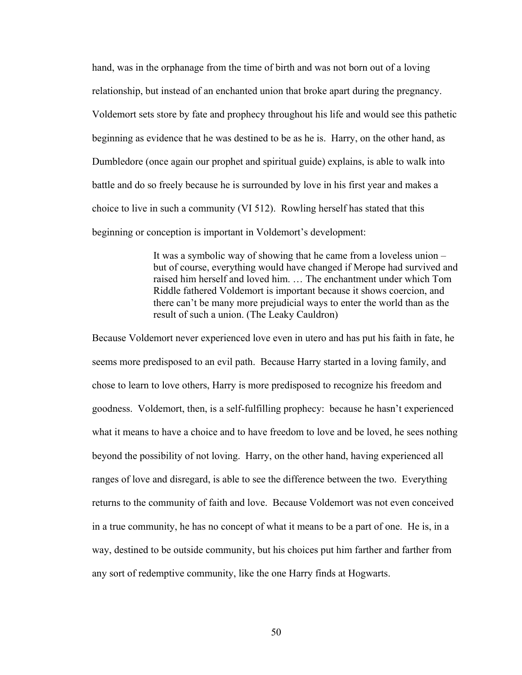hand, was in the orphanage from the time of birth and was not born out of a loving relationship, but instead of an enchanted union that broke apart during the pregnancy. Voldemort sets store by fate and prophecy throughout his life and would see this pathetic beginning as evidence that he was destined to be as he is. Harry, on the other hand, as Dumbledore (once again our prophet and spiritual guide) explains, is able to walk into battle and do so freely because he is surrounded by love in his first year and makes a choice to live in such a community (VI 512). Rowling herself has stated that this beginning or conception is important in Voldemort's development:

> It was a symbolic way of showing that he came from a loveless union – but of course, everything would have changed if Merope had survived and raised him herself and loved him. … The enchantment under which Tom Riddle fathered Voldemort is important because it shows coercion, and there can't be many more prejudicial ways to enter the world than as the result of such a union. (The Leaky Cauldron)

Because Voldemort never experienced love even in utero and has put his faith in fate, he seems more predisposed to an evil path. Because Harry started in a loving family, and chose to learn to love others, Harry is more predisposed to recognize his freedom and goodness. Voldemort, then, is a self-fulfilling prophecy: because he hasn't experienced what it means to have a choice and to have freedom to love and be loved, he sees nothing beyond the possibility of not loving. Harry, on the other hand, having experienced all ranges of love and disregard, is able to see the difference between the two. Everything returns to the community of faith and love. Because Voldemort was not even conceived in a true community, he has no concept of what it means to be a part of one. He is, in a way, destined to be outside community, but his choices put him farther and farther from any sort of redemptive community, like the one Harry finds at Hogwarts.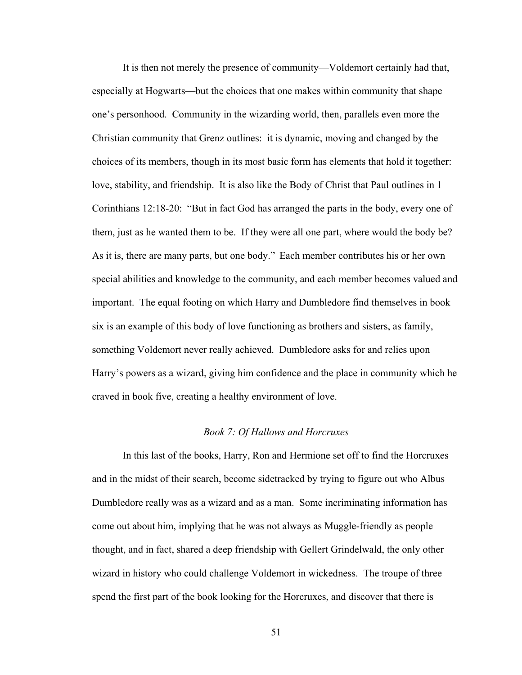It is then not merely the presence of community—Voldemort certainly had that, especially at Hogwarts—but the choices that one makes within community that shape one's personhood. Community in the wizarding world, then, parallels even more the Christian community that Grenz outlines: it is dynamic, moving and changed by the choices of its members, though in its most basic form has elements that hold it together: love, stability, and friendship. It is also like the Body of Christ that Paul outlines in 1 Corinthians 12:18-20: "But in fact God has arranged the parts in the body, every one of them, just as he wanted them to be. If they were all one part, where would the body be? As it is, there are many parts, but one body." Each member contributes his or her own special abilities and knowledge to the community, and each member becomes valued and important. The equal footing on which Harry and Dumbledore find themselves in book six is an example of this body of love functioning as brothers and sisters, as family, something Voldemort never really achieved. Dumbledore asks for and relies upon Harry's powers as a wizard, giving him confidence and the place in community which he craved in book five, creating a healthy environment of love.

## *Book 7: Of Hallows and Horcruxes*

In this last of the books, Harry, Ron and Hermione set off to find the Horcruxes and in the midst of their search, become sidetracked by trying to figure out who Albus Dumbledore really was as a wizard and as a man. Some incriminating information has come out about him, implying that he was not always as Muggle-friendly as people thought, and in fact, shared a deep friendship with Gellert Grindelwald, the only other wizard in history who could challenge Voldemort in wickedness. The troupe of three spend the first part of the book looking for the Horcruxes, and discover that there is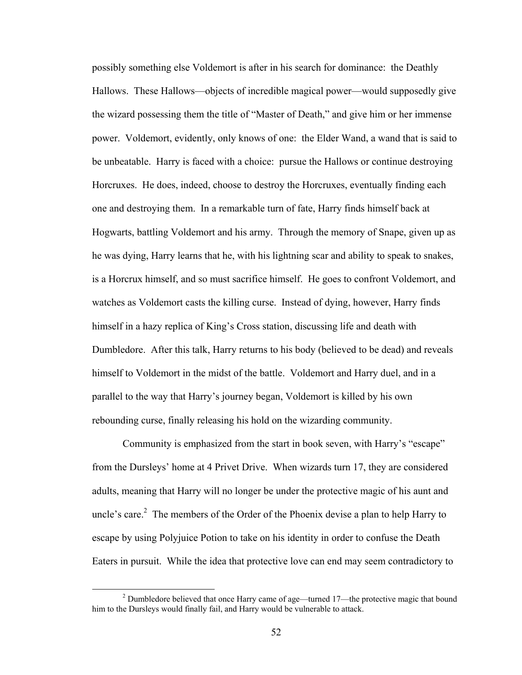possibly something else Voldemort is after in his search for dominance: the Deathly Hallows. These Hallows—objects of incredible magical power—would supposedly give the wizard possessing them the title of "Master of Death," and give him or her immense power. Voldemort, evidently, only knows of one: the Elder Wand, a wand that is said to be unbeatable. Harry is faced with a choice: pursue the Hallows or continue destroying Horcruxes. He does, indeed, choose to destroy the Horcruxes, eventually finding each one and destroying them. In a remarkable turn of fate, Harry finds himself back at Hogwarts, battling Voldemort and his army. Through the memory of Snape, given up as he was dying, Harry learns that he, with his lightning scar and ability to speak to snakes, is a Horcrux himself, and so must sacrifice himself. He goes to confront Voldemort, and watches as Voldemort casts the killing curse. Instead of dying, however, Harry finds himself in a hazy replica of King's Cross station, discussing life and death with Dumbledore. After this talk, Harry returns to his body (believed to be dead) and reveals himself to Voldemort in the midst of the battle. Voldemort and Harry duel, and in a parallel to the way that Harry's journey began, Voldemort is killed by his own rebounding curse, finally releasing his hold on the wizarding community.

Community is emphasized from the start in book seven, with Harry's "escape" from the Dursleys' home at 4 Privet Drive. When wizards turn 17, they are considered adults, meaning that Harry will no longer be under the protective magic of his aunt and uncle's care.<sup>2</sup> The members of the Order of the Phoenix devise a plan to help Harry to escape by using Polyjuice Potion to take on his identity in order to confuse the Death Eaters in pursuit. While the idea that protective love can end may seem contradictory to

<sup>&</sup>lt;sup>2</sup> Dumbledore believed that once Harry came of age—turned 17—the protective magic that bound him to the Dursleys would finally fail, and Harry would be vulnerable to attack.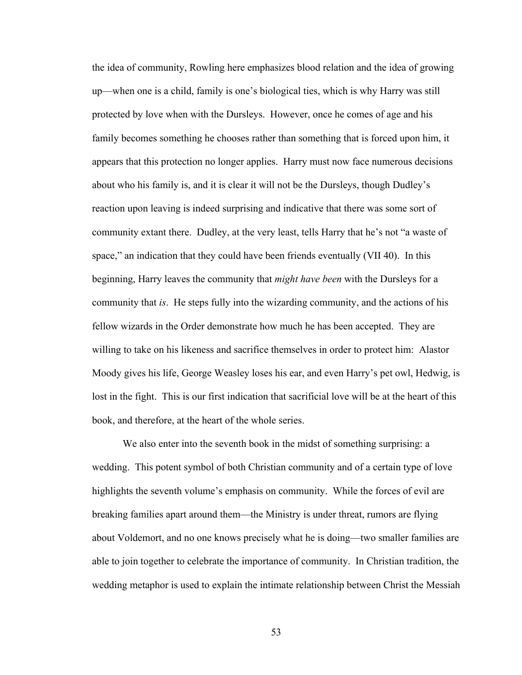the idea of community, Rowling here emphasizes blood relation and the idea of growing up—when one is a child, family is one's biological ties, which is why Harry was still protected by love when with the Dursleys. However, once he comes of age and his family becomes something he chooses rather than something that is forced upon him, it appears that this protection no longer applies. Harry must now face numerous decisions about who his family is, and it is clear it will not be the Dursleys, though Dudley's reaction upon leaving is indeed surprising and indicative that there was some sort of community extant there. Dudley, at the very least, tells Harry that he's not "a waste of space," an indication that they could have been friends eventually (VII 40). In this beginning, Harry leaves the community that *might have been* with the Dursleys for a community that *is*. He steps fully into the wizarding community, and the actions of his fellow wizards in the Order demonstrate how much he has been accepted. They are willing to take on his likeness and sacrifice themselves in order to protect him: Alastor Moody gives his life, George Weasley loses his ear, and even Harry's pet owl, Hedwig, is lost in the fight. This is our first indication that sacrificial love will be at the heart of this book, and therefore, at the heart of the whole series.

We also enter into the seventh book in the midst of something surprising: a wedding. This potent symbol of both Christian community and of a certain type of love highlights the seventh volume's emphasis on community. While the forces of evil are breaking families apart around them—the Ministry is under threat, rumors are flying about Voldemort, and no one knows precisely what he is doing—two smaller families are able to join together to celebrate the importance of community. In Christian tradition, the wedding metaphor is used to explain the intimate relationship between Christ the Messiah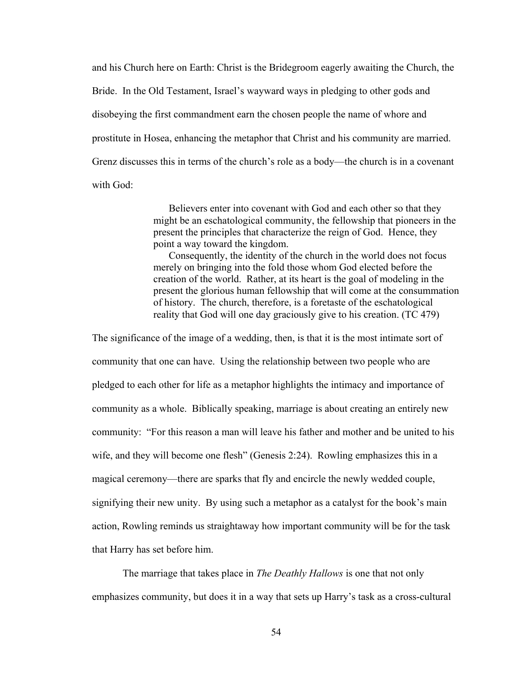and his Church here on Earth: Christ is the Bridegroom eagerly awaiting the Church, the Bride. In the Old Testament, Israel's wayward ways in pledging to other gods and disobeying the first commandment earn the chosen people the name of whore and prostitute in Hosea, enhancing the metaphor that Christ and his community are married. Grenz discusses this in terms of the church's role as a body—the church is in a covenant with God:

> Believers enter into covenant with God and each other so that they might be an eschatological community, the fellowship that pioneers in the present the principles that characterize the reign of God. Hence, they point a way toward the kingdom.

Consequently, the identity of the church in the world does not focus merely on bringing into the fold those whom God elected before the creation of the world. Rather, at its heart is the goal of modeling in the present the glorious human fellowship that will come at the consummation of history. The church, therefore, is a foretaste of the eschatological reality that God will one day graciously give to his creation. (TC 479)

The significance of the image of a wedding, then, is that it is the most intimate sort of community that one can have. Using the relationship between two people who are pledged to each other for life as a metaphor highlights the intimacy and importance of community as a whole. Biblically speaking, marriage is about creating an entirely new community: "For this reason a man will leave his father and mother and be united to his wife, and they will become one flesh" (Genesis 2:24). Rowling emphasizes this in a magical ceremony—there are sparks that fly and encircle the newly wedded couple, signifying their new unity. By using such a metaphor as a catalyst for the book's main action, Rowling reminds us straightaway how important community will be for the task that Harry has set before him.

 The marriage that takes place in *The Deathly Hallows* is one that not only emphasizes community, but does it in a way that sets up Harry's task as a cross-cultural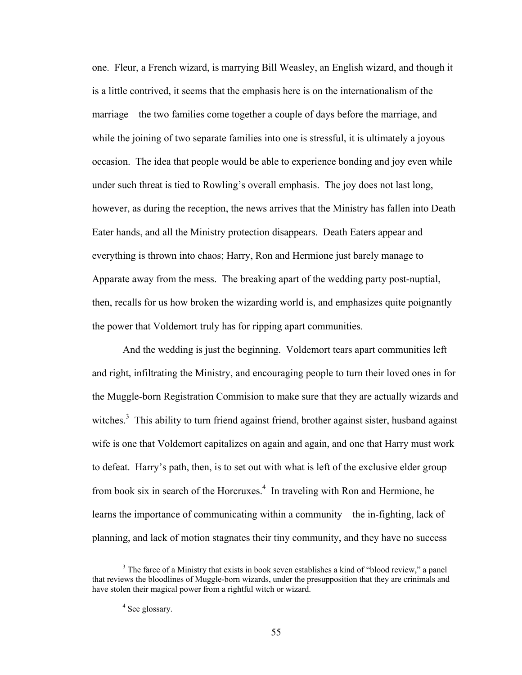one. Fleur, a French wizard, is marrying Bill Weasley, an English wizard, and though it is a little contrived, it seems that the emphasis here is on the internationalism of the marriage—the two families come together a couple of days before the marriage, and while the joining of two separate families into one is stressful, it is ultimately a joyous occasion. The idea that people would be able to experience bonding and joy even while under such threat is tied to Rowling's overall emphasis. The joy does not last long, however, as during the reception, the news arrives that the Ministry has fallen into Death Eater hands, and all the Ministry protection disappears. Death Eaters appear and everything is thrown into chaos; Harry, Ron and Hermione just barely manage to Apparate away from the mess. The breaking apart of the wedding party post-nuptial, then, recalls for us how broken the wizarding world is, and emphasizes quite poignantly the power that Voldemort truly has for ripping apart communities.

 And the wedding is just the beginning. Voldemort tears apart communities left and right, infiltrating the Ministry, and encouraging people to turn their loved ones in for the Muggle-born Registration Commision to make sure that they are actually wizards and witches.<sup>3</sup> This ability to turn friend against friend, brother against sister, husband against wife is one that Voldemort capitalizes on again and again, and one that Harry must work to defeat. Harry's path, then, is to set out with what is left of the exclusive elder group from book six in search of the Horcruxes.<sup>4</sup> In traveling with Ron and Hermione, he learns the importance of communicating within a community—the in-fighting, lack of planning, and lack of motion stagnates their tiny community, and they have no success

<sup>&</sup>lt;sup>3</sup> The farce of a Ministry that exists in book seven establishes a kind of "blood review," a panel that reviews the bloodlines of Muggle-born wizards, under the presupposition that they are crinimals and have stolen their magical power from a rightful witch or wizard.

<sup>&</sup>lt;sup>4</sup> See glossary.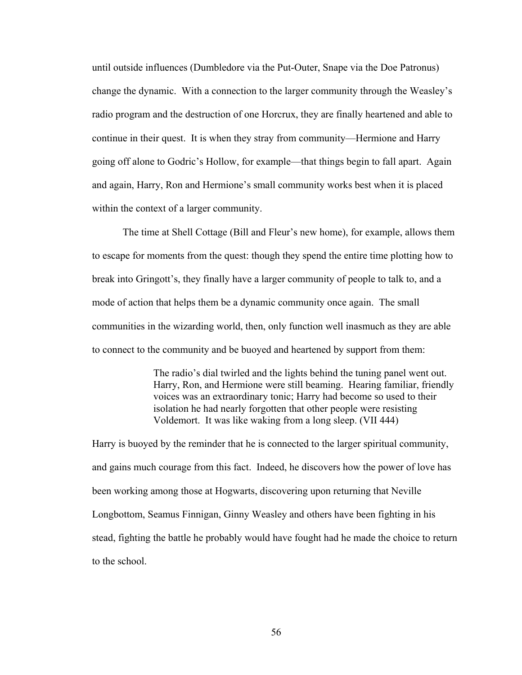until outside influences (Dumbledore via the Put-Outer, Snape via the Doe Patronus) change the dynamic. With a connection to the larger community through the Weasley's radio program and the destruction of one Horcrux, they are finally heartened and able to continue in their quest. It is when they stray from community—Hermione and Harry going off alone to Godric's Hollow, for example—that things begin to fall apart. Again and again, Harry, Ron and Hermione's small community works best when it is placed within the context of a larger community.

The time at Shell Cottage (Bill and Fleur's new home), for example, allows them to escape for moments from the quest: though they spend the entire time plotting how to break into Gringott's, they finally have a larger community of people to talk to, and a mode of action that helps them be a dynamic community once again. The small communities in the wizarding world, then, only function well inasmuch as they are able to connect to the community and be buoyed and heartened by support from them:

> The radio's dial twirled and the lights behind the tuning panel went out. Harry, Ron, and Hermione were still beaming. Hearing familiar, friendly voices was an extraordinary tonic; Harry had become so used to their isolation he had nearly forgotten that other people were resisting Voldemort. It was like waking from a long sleep. (VII 444)

Harry is buoyed by the reminder that he is connected to the larger spiritual community, and gains much courage from this fact. Indeed, he discovers how the power of love has been working among those at Hogwarts, discovering upon returning that Neville Longbottom, Seamus Finnigan, Ginny Weasley and others have been fighting in his stead, fighting the battle he probably would have fought had he made the choice to return to the school.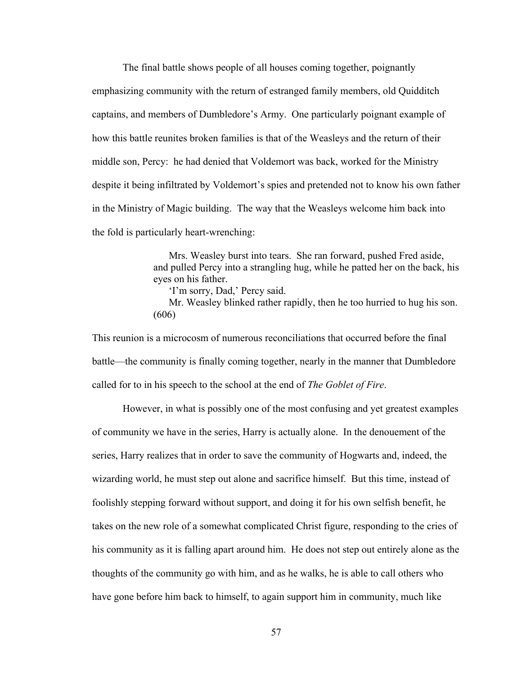The final battle shows people of all houses coming together, poignantly emphasizing community with the return of estranged family members, old Quidditch captains, and members of Dumbledore's Army. One particularly poignant example of how this battle reunites broken families is that of the Weasleys and the return of their middle son, Percy: he had denied that Voldemort was back, worked for the Ministry despite it being infiltrated by Voldemort's spies and pretended not to know his own father in the Ministry of Magic building. The way that the Weasleys welcome him back into the fold is particularly heart-wrenching:

> Mrs. Weasley burst into tears. She ran forward, pushed Fred aside, and pulled Percy into a strangling hug, while he patted her on the back, his eyes on his father.

'I'm sorry, Dad,' Percy said.

Mr. Weasley blinked rather rapidly, then he too hurried to hug his son. (606)

This reunion is a microcosm of numerous reconciliations that occurred before the final battle—the community is finally coming together, nearly in the manner that Dumbledore called for to in his speech to the school at the end of *The Goblet of Fire*.

However, in what is possibly one of the most confusing and yet greatest examples of community we have in the series, Harry is actually alone. In the denouement of the series, Harry realizes that in order to save the community of Hogwarts and, indeed, the wizarding world, he must step out alone and sacrifice himself. But this time, instead of foolishly stepping forward without support, and doing it for his own selfish benefit, he takes on the new role of a somewhat complicated Christ figure, responding to the cries of his community as it is falling apart around him. He does not step out entirely alone as the thoughts of the community go with him, and as he walks, he is able to call others who have gone before him back to himself, to again support him in community, much like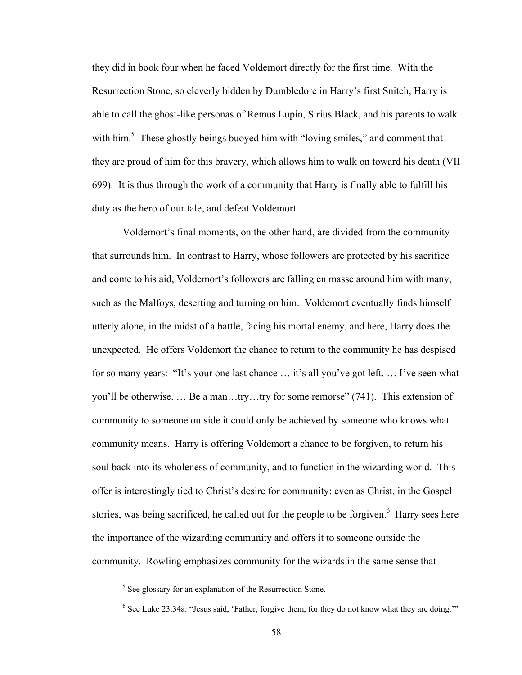they did in book four when he faced Voldemort directly for the first time. With the Resurrection Stone, so cleverly hidden by Dumbledore in Harry's first Snitch, Harry is able to call the ghost-like personas of Remus Lupin, Sirius Black, and his parents to walk with him.<sup>5</sup> These ghostly beings buoyed him with "loving smiles," and comment that they are proud of him for this bravery, which allows him to walk on toward his death (VII 699). It is thus through the work of a community that Harry is finally able to fulfill his duty as the hero of our tale, and defeat Voldemort.

 Voldemort's final moments, on the other hand, are divided from the community that surrounds him. In contrast to Harry, whose followers are protected by his sacrifice and come to his aid, Voldemort's followers are falling en masse around him with many, such as the Malfoys, deserting and turning on him. Voldemort eventually finds himself utterly alone, in the midst of a battle, facing his mortal enemy, and here, Harry does the unexpected. He offers Voldemort the chance to return to the community he has despised for so many years: "It's your one last chance … it's all you've got left. … I've seen what you'll be otherwise. … Be a man…try…try for some remorse" (741). This extension of community to someone outside it could only be achieved by someone who knows what community means. Harry is offering Voldemort a chance to be forgiven, to return his soul back into its wholeness of community, and to function in the wizarding world. This offer is interestingly tied to Christ's desire for community: even as Christ, in the Gospel stories, was being sacrificed, he called out for the people to be forgiven. $<sup>6</sup>$  Harry sees here</sup> the importance of the wizarding community and offers it to someone outside the community. Rowling emphasizes community for the wizards in the same sense that

<sup>&</sup>lt;sup>5</sup> See glossary for an explanation of the Resurrection Stone.

 $6$  See Luke 23:34a: "Jesus said, 'Father, forgive them, for they do not know what they are doing.""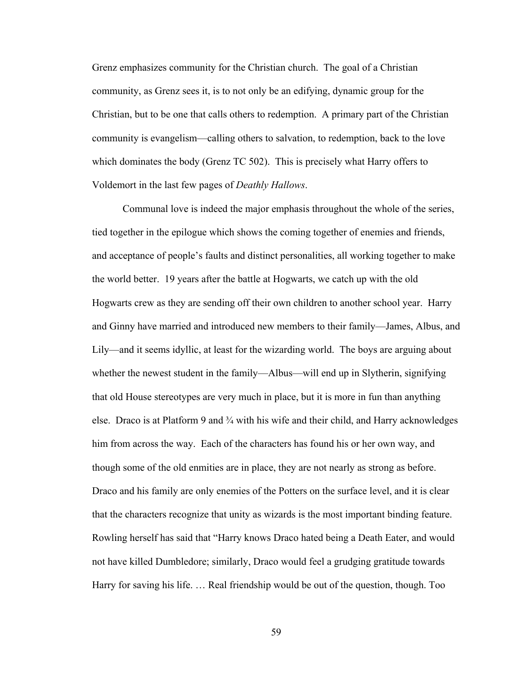Grenz emphasizes community for the Christian church. The goal of a Christian community, as Grenz sees it, is to not only be an edifying, dynamic group for the Christian, but to be one that calls others to redemption. A primary part of the Christian community is evangelism—calling others to salvation, to redemption, back to the love which dominates the body (Grenz TC 502). This is precisely what Harry offers to Voldemort in the last few pages of *Deathly Hallows*.

Communal love is indeed the major emphasis throughout the whole of the series, tied together in the epilogue which shows the coming together of enemies and friends, and acceptance of people's faults and distinct personalities, all working together to make the world better. 19 years after the battle at Hogwarts, we catch up with the old Hogwarts crew as they are sending off their own children to another school year. Harry and Ginny have married and introduced new members to their family—James, Albus, and Lily—and it seems idyllic, at least for the wizarding world. The boys are arguing about whether the newest student in the family—Albus—will end up in Slytherin, signifying that old House stereotypes are very much in place, but it is more in fun than anything else. Draco is at Platform 9 and  $\frac{3}{4}$  with his wife and their child, and Harry acknowledges him from across the way. Each of the characters has found his or her own way, and though some of the old enmities are in place, they are not nearly as strong as before. Draco and his family are only enemies of the Potters on the surface level, and it is clear that the characters recognize that unity as wizards is the most important binding feature. Rowling herself has said that "Harry knows Draco hated being a Death Eater, and would not have killed Dumbledore; similarly, Draco would feel a grudging gratitude towards Harry for saving his life. … Real friendship would be out of the question, though. Too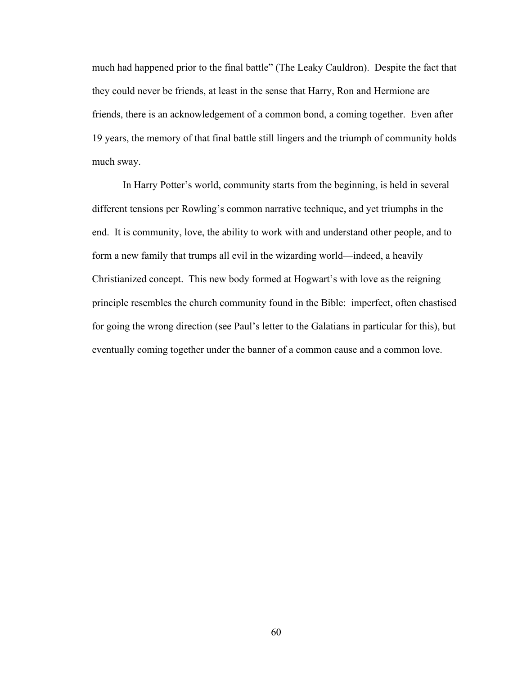much had happened prior to the final battle" (The Leaky Cauldron). Despite the fact that they could never be friends, at least in the sense that Harry, Ron and Hermione are friends, there is an acknowledgement of a common bond, a coming together. Even after 19 years, the memory of that final battle still lingers and the triumph of community holds much sway.

In Harry Potter's world, community starts from the beginning, is held in several different tensions per Rowling's common narrative technique, and yet triumphs in the end. It is community, love, the ability to work with and understand other people, and to form a new family that trumps all evil in the wizarding world—indeed, a heavily Christianized concept. This new body formed at Hogwart's with love as the reigning principle resembles the church community found in the Bible: imperfect, often chastised for going the wrong direction (see Paul's letter to the Galatians in particular for this), but eventually coming together under the banner of a common cause and a common love.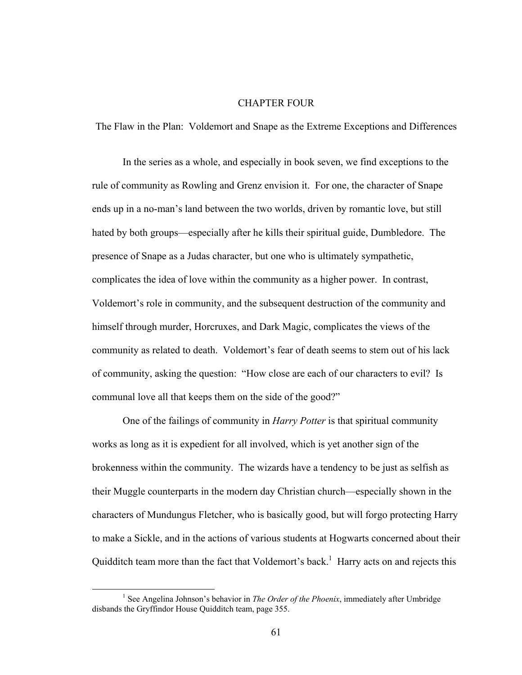## CHAPTER FOUR

The Flaw in the Plan: Voldemort and Snape as the Extreme Exceptions and Differences

In the series as a whole, and especially in book seven, we find exceptions to the rule of community as Rowling and Grenz envision it. For one, the character of Snape ends up in a no-man's land between the two worlds, driven by romantic love, but still hated by both groups—especially after he kills their spiritual guide, Dumbledore. The presence of Snape as a Judas character, but one who is ultimately sympathetic, complicates the idea of love within the community as a higher power. In contrast, Voldemort's role in community, and the subsequent destruction of the community and himself through murder, Horcruxes, and Dark Magic, complicates the views of the community as related to death. Voldemort's fear of death seems to stem out of his lack of community, asking the question: "How close are each of our characters to evil? Is communal love all that keeps them on the side of the good?"

One of the failings of community in *Harry Potter* is that spiritual community works as long as it is expedient for all involved, which is yet another sign of the brokenness within the community. The wizards have a tendency to be just as selfish as their Muggle counterparts in the modern day Christian church—especially shown in the characters of Mundungus Fletcher, who is basically good, but will forgo protecting Harry to make a Sickle, and in the actions of various students at Hogwarts concerned about their Quidditch team more than the fact that Voldemort's back.<sup>1</sup> Harry acts on and rejects this

<sup>&</sup>lt;sup>1</sup> See Angelina Johnson's behavior in *The Order of the Phoenix*, immediately after Umbridge disbands the Gryffindor House Quidditch team, page 355.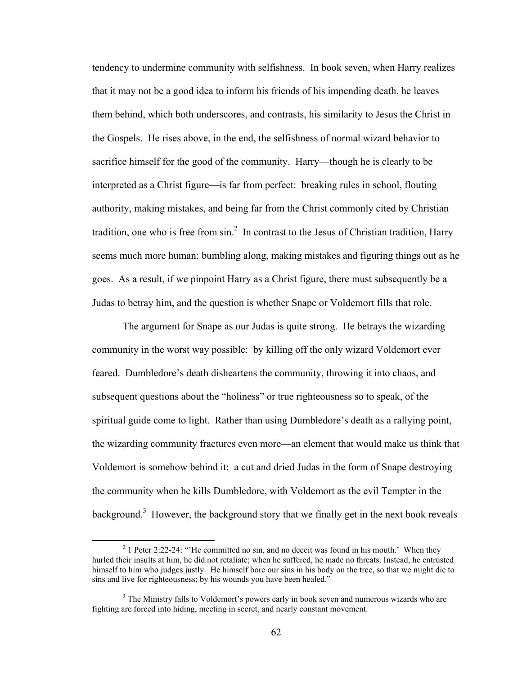tendency to undermine community with selfishness. In book seven, when Harry realizes that it may not be a good idea to inform his friends of his impending death, he leaves them behind, which both underscores, and contrasts, his similarity to Jesus the Christ in the Gospels. He rises above, in the end, the selfishness of normal wizard behavior to sacrifice himself for the good of the community. Harry—though he is clearly to be interpreted as a Christ figure—is far from perfect: breaking rules in school, flouting authority, making mistakes, and being far from the Christ commonly cited by Christian tradition, one who is free from  $\sin^2$  In contrast to the Jesus of Christian tradition, Harry seems much more human: bumbling along, making mistakes and figuring things out as he goes. As a result, if we pinpoint Harry as a Christ figure, there must subsequently be a Judas to betray him, and the question is whether Snape or Voldemort fills that role.

The argument for Snape as our Judas is quite strong. He betrays the wizarding community in the worst way possible: by killing off the only wizard Voldemort ever feared. Dumbledore's death disheartens the community, throwing it into chaos, and subsequent questions about the "holiness" or true righteousness so to speak, of the spiritual guide come to light. Rather than using Dumbledore's death as a rallying point, the wizarding community fractures even more—an element that would make us think that Voldemort is somehow behind it: a cut and dried Judas in the form of Snape destroying the community when he kills Dumbledore, with Voldemort as the evil Tempter in the background.<sup>3</sup> However, the background story that we finally get in the next book reveals

<sup>&</sup>lt;sup>2</sup> 1 Peter 2:22-24: "He committed no sin, and no deceit was found in his mouth.' When they hurled their insults at him, he did not retaliate; when he suffered, he made no threats. Instead, he entrusted himself to him who judges justly. He himself bore our sins in his body on the tree, so that we might die to sins and live for righteousness; by his wounds you have been healed."

<sup>&</sup>lt;sup>3</sup> The Ministry falls to Voldemort's powers early in book seven and numerous wizards who are fighting are forced into hiding, meeting in secret, and nearly constant movement.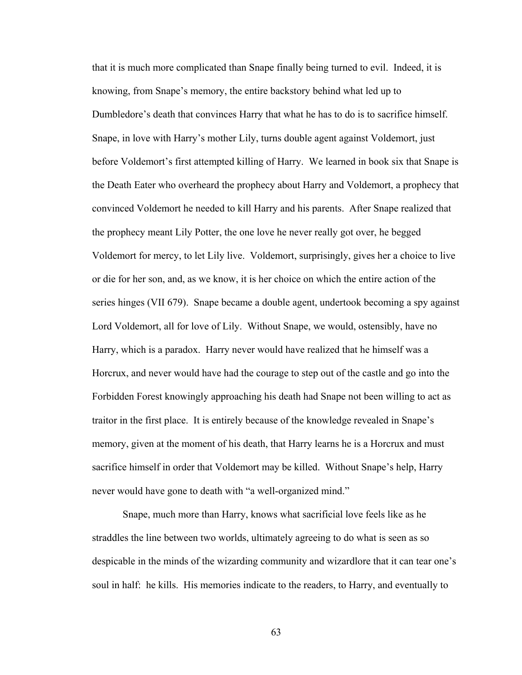that it is much more complicated than Snape finally being turned to evil. Indeed, it is knowing, from Snape's memory, the entire backstory behind what led up to Dumbledore's death that convinces Harry that what he has to do is to sacrifice himself. Snape, in love with Harry's mother Lily, turns double agent against Voldemort, just before Voldemort's first attempted killing of Harry. We learned in book six that Snape is the Death Eater who overheard the prophecy about Harry and Voldemort, a prophecy that convinced Voldemort he needed to kill Harry and his parents. After Snape realized that the prophecy meant Lily Potter, the one love he never really got over, he begged Voldemort for mercy, to let Lily live. Voldemort, surprisingly, gives her a choice to live or die for her son, and, as we know, it is her choice on which the entire action of the series hinges (VII 679). Snape became a double agent, undertook becoming a spy against Lord Voldemort, all for love of Lily. Without Snape, we would, ostensibly, have no Harry, which is a paradox. Harry never would have realized that he himself was a Horcrux, and never would have had the courage to step out of the castle and go into the Forbidden Forest knowingly approaching his death had Snape not been willing to act as traitor in the first place. It is entirely because of the knowledge revealed in Snape's memory, given at the moment of his death, that Harry learns he is a Horcrux and must sacrifice himself in order that Voldemort may be killed. Without Snape's help, Harry never would have gone to death with "a well-organized mind."

Snape, much more than Harry, knows what sacrificial love feels like as he straddles the line between two worlds, ultimately agreeing to do what is seen as so despicable in the minds of the wizarding community and wizardlore that it can tear one's soul in half: he kills. His memories indicate to the readers, to Harry, and eventually to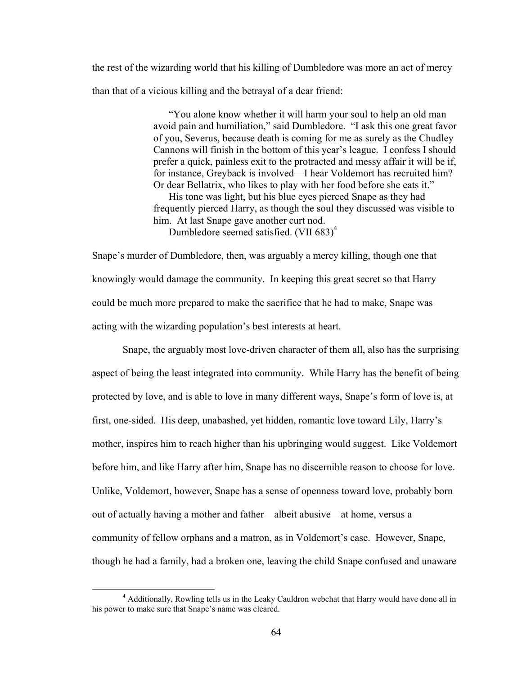the rest of the wizarding world that his killing of Dumbledore was more an act of mercy than that of a vicious killing and the betrayal of a dear friend:

> "You alone know whether it will harm your soul to help an old man avoid pain and humiliation," said Dumbledore. "I ask this one great favor of you, Severus, because death is coming for me as surely as the Chudley Cannons will finish in the bottom of this year's league. I confess I should prefer a quick, painless exit to the protracted and messy affair it will be if, for instance, Greyback is involved—I hear Voldemort has recruited him? Or dear Bellatrix, who likes to play with her food before she eats it."

> His tone was light, but his blue eyes pierced Snape as they had frequently pierced Harry, as though the soul they discussed was visible to him. At last Snape gave another curt nod.

Dumbledore seemed satisfied. (VII 683)<sup>4</sup>

Snape's murder of Dumbledore, then, was arguably a mercy killing, though one that knowingly would damage the community. In keeping this great secret so that Harry could be much more prepared to make the sacrifice that he had to make, Snape was acting with the wizarding population's best interests at heart.

Snape, the arguably most love-driven character of them all, also has the surprising aspect of being the least integrated into community. While Harry has the benefit of being protected by love, and is able to love in many different ways, Snape's form of love is, at first, one-sided. His deep, unabashed, yet hidden, romantic love toward Lily, Harry's mother, inspires him to reach higher than his upbringing would suggest. Like Voldemort before him, and like Harry after him, Snape has no discernible reason to choose for love. Unlike, Voldemort, however, Snape has a sense of openness toward love, probably born out of actually having a mother and father—albeit abusive—at home, versus a community of fellow orphans and a matron, as in Voldemort's case. However, Snape, though he had a family, had a broken one, leaving the child Snape confused and unaware

 <sup>4</sup> Additionally, Rowling tells us in the Leaky Cauldron webchat that Harry would have done all in his power to make sure that Snape's name was cleared.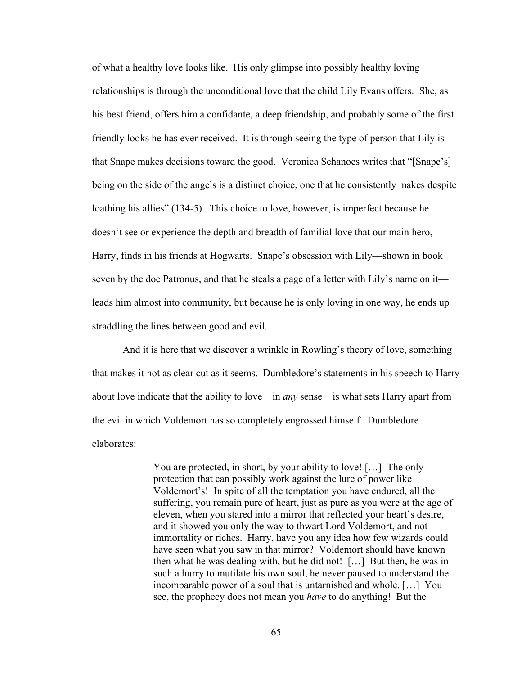of what a healthy love looks like. His only glimpse into possibly healthy loving relationships is through the unconditional love that the child Lily Evans offers. She, as his best friend, offers him a confidante, a deep friendship, and probably some of the first friendly looks he has ever received. It is through seeing the type of person that Lily is that Snape makes decisions toward the good. Veronica Schanoes writes that "[Snape's] being on the side of the angels is a distinct choice, one that he consistently makes despite loathing his allies" (134-5). This choice to love, however, is imperfect because he doesn't see or experience the depth and breadth of familial love that our main hero, Harry, finds in his friends at Hogwarts. Snape's obsession with Lily—shown in book seven by the doe Patronus, and that he steals a page of a letter with Lily's name on it leads him almost into community, but because he is only loving in one way, he ends up straddling the lines between good and evil.

And it is here that we discover a wrinkle in Rowling's theory of love, something that makes it not as clear cut as it seems. Dumbledore's statements in his speech to Harry about love indicate that the ability to love—in *any* sense—is what sets Harry apart from the evil in which Voldemort has so completely engrossed himself. Dumbledore elaborates:

> You are protected, in short, by your ability to love! [...] The only protection that can possibly work against the lure of power like Voldemort's! In spite of all the temptation you have endured, all the suffering, you remain pure of heart, just as pure as you were at the age of eleven, when you stared into a mirror that reflected your heart's desire, and it showed you only the way to thwart Lord Voldemort, and not immortality or riches. Harry, have you any idea how few wizards could have seen what you saw in that mirror? Voldemort should have known then what he was dealing with, but he did not! […] But then, he was in such a hurry to mutilate his own soul, he never paused to understand the incomparable power of a soul that is untarnished and whole. […] You see, the prophecy does not mean you *have* to do anything! But the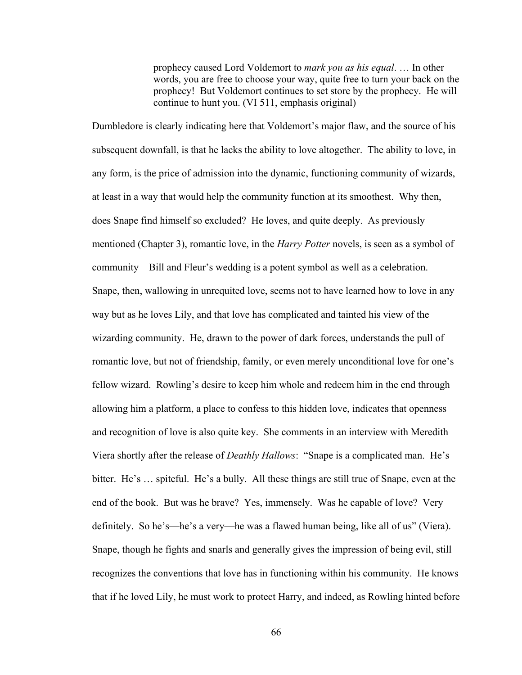prophecy caused Lord Voldemort to *mark you as his equal*. … In other words, you are free to choose your way, quite free to turn your back on the prophecy! But Voldemort continues to set store by the prophecy. He will continue to hunt you. (VI 511, emphasis original)

Dumbledore is clearly indicating here that Voldemort's major flaw, and the source of his subsequent downfall, is that he lacks the ability to love altogether. The ability to love, in any form, is the price of admission into the dynamic, functioning community of wizards, at least in a way that would help the community function at its smoothest. Why then, does Snape find himself so excluded? He loves, and quite deeply. As previously mentioned (Chapter 3), romantic love, in the *Harry Potter* novels, is seen as a symbol of community—Bill and Fleur's wedding is a potent symbol as well as a celebration. Snape, then, wallowing in unrequited love, seems not to have learned how to love in any way but as he loves Lily, and that love has complicated and tainted his view of the wizarding community. He, drawn to the power of dark forces, understands the pull of romantic love, but not of friendship, family, or even merely unconditional love for one's fellow wizard. Rowling's desire to keep him whole and redeem him in the end through allowing him a platform, a place to confess to this hidden love, indicates that openness and recognition of love is also quite key. She comments in an interview with Meredith Viera shortly after the release of *Deathly Hallows*: "Snape is a complicated man. He's bitter. He's … spiteful. He's a bully. All these things are still true of Snape, even at the end of the book. But was he brave? Yes, immensely. Was he capable of love? Very definitely. So he's—he's a very—he was a flawed human being, like all of us" (Viera). Snape, though he fights and snarls and generally gives the impression of being evil, still recognizes the conventions that love has in functioning within his community. He knows that if he loved Lily, he must work to protect Harry, and indeed, as Rowling hinted before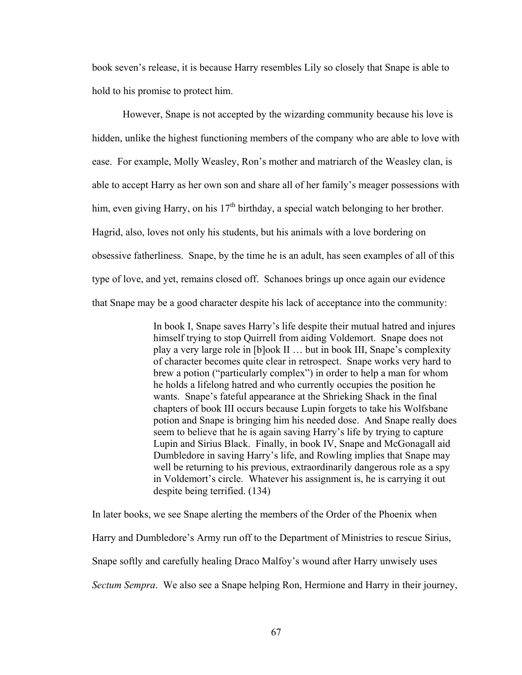book seven's release, it is because Harry resembles Lily so closely that Snape is able to hold to his promise to protect him.

However, Snape is not accepted by the wizarding community because his love is hidden, unlike the highest functioning members of the company who are able to love with ease. For example, Molly Weasley, Ron's mother and matriarch of the Weasley clan, is able to accept Harry as her own son and share all of her family's meager possessions with him, even giving Harry, on his  $17<sup>th</sup>$  birthday, a special watch belonging to her brother. Hagrid, also, loves not only his students, but his animals with a love bordering on obsessive fatherliness. Snape, by the time he is an adult, has seen examples of all of this type of love, and yet, remains closed off. Schanoes brings up once again our evidence that Snape may be a good character despite his lack of acceptance into the community:

> In book I, Snape saves Harry's life despite their mutual hatred and injures himself trying to stop Quirrell from aiding Voldemort. Snape does not play a very large role in [b]ook II … but in book III, Snape's complexity of character becomes quite clear in retrospect. Snape works very hard to brew a potion ("particularly complex") in order to help a man for whom he holds a lifelong hatred and who currently occupies the position he wants. Snape's fateful appearance at the Shrieking Shack in the final chapters of book III occurs because Lupin forgets to take his Wolfsbane potion and Snape is bringing him his needed dose. And Snape really does seem to believe that he is again saving Harry's life by trying to capture Lupin and Sirius Black. Finally, in book IV, Snape and McGonagall aid Dumbledore in saving Harry's life, and Rowling implies that Snape may well be returning to his previous, extraordinarily dangerous role as a spy in Voldemort's circle. Whatever his assignment is, he is carrying it out despite being terrified. (134)

In later books, we see Snape alerting the members of the Order of the Phoenix when Harry and Dumbledore's Army run off to the Department of Ministries to rescue Sirius, Snape softly and carefully healing Draco Malfoy's wound after Harry unwisely uses *Sectum Sempra*. We also see a Snape helping Ron, Hermione and Harry in their journey,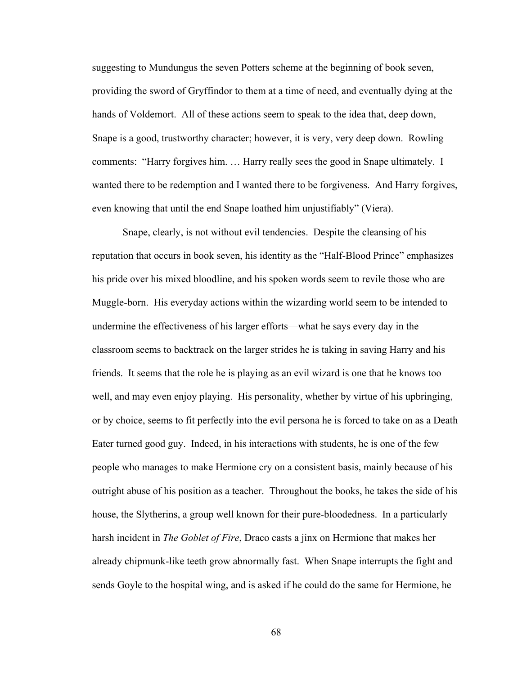suggesting to Mundungus the seven Potters scheme at the beginning of book seven, providing the sword of Gryffindor to them at a time of need, and eventually dying at the hands of Voldemort. All of these actions seem to speak to the idea that, deep down, Snape is a good, trustworthy character; however, it is very, very deep down. Rowling comments: "Harry forgives him. … Harry really sees the good in Snape ultimately. I wanted there to be redemption and I wanted there to be forgiveness. And Harry forgives, even knowing that until the end Snape loathed him unjustifiably" (Viera).

 Snape, clearly, is not without evil tendencies. Despite the cleansing of his reputation that occurs in book seven, his identity as the "Half-Blood Prince" emphasizes his pride over his mixed bloodline, and his spoken words seem to revile those who are Muggle-born. His everyday actions within the wizarding world seem to be intended to undermine the effectiveness of his larger efforts—what he says every day in the classroom seems to backtrack on the larger strides he is taking in saving Harry and his friends. It seems that the role he is playing as an evil wizard is one that he knows too well, and may even enjoy playing. His personality, whether by virtue of his upbringing, or by choice, seems to fit perfectly into the evil persona he is forced to take on as a Death Eater turned good guy. Indeed, in his interactions with students, he is one of the few people who manages to make Hermione cry on a consistent basis, mainly because of his outright abuse of his position as a teacher. Throughout the books, he takes the side of his house, the Slytherins, a group well known for their pure-bloodedness. In a particularly harsh incident in *The Goblet of Fire*, Draco casts a jinx on Hermione that makes her already chipmunk-like teeth grow abnormally fast. When Snape interrupts the fight and sends Goyle to the hospital wing, and is asked if he could do the same for Hermione, he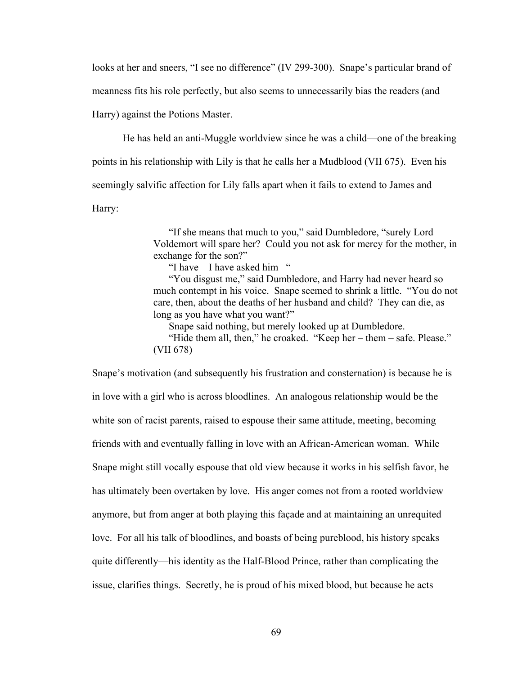looks at her and sneers, "I see no difference" (IV 299-300). Snape's particular brand of

meanness fits his role perfectly, but also seems to unnecessarily bias the readers (and

Harry) against the Potions Master.

He has held an anti-Muggle worldview since he was a child—one of the breaking points in his relationship with Lily is that he calls her a Mudblood (VII 675). Even his seemingly salvific affection for Lily falls apart when it fails to extend to James and Harry:

> "If she means that much to you," said Dumbledore, "surely Lord Voldemort will spare her? Could you not ask for mercy for the mother, in exchange for the son?"

"I have  $-$  I have asked him  $-$ "

"You disgust me," said Dumbledore, and Harry had never heard so much contempt in his voice. Snape seemed to shrink a little. "You do not care, then, about the deaths of her husband and child? They can die, as long as you have what you want?"

Snape said nothing, but merely looked up at Dumbledore.

"Hide them all, then," he croaked. "Keep her – them – safe. Please." (VII 678)

Snape's motivation (and subsequently his frustration and consternation) is because he is in love with a girl who is across bloodlines. An analogous relationship would be the white son of racist parents, raised to espouse their same attitude, meeting, becoming friends with and eventually falling in love with an African-American woman. While Snape might still vocally espouse that old view because it works in his selfish favor, he has ultimately been overtaken by love. His anger comes not from a rooted worldview anymore, but from anger at both playing this façade and at maintaining an unrequited love. For all his talk of bloodlines, and boasts of being pureblood, his history speaks quite differently—his identity as the Half-Blood Prince, rather than complicating the issue, clarifies things. Secretly, he is proud of his mixed blood, but because he acts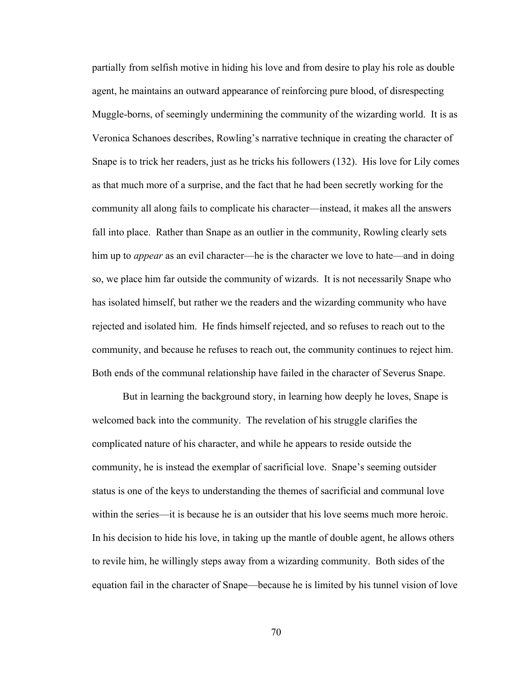partially from selfish motive in hiding his love and from desire to play his role as double agent, he maintains an outward appearance of reinforcing pure blood, of disrespecting Muggle-borns, of seemingly undermining the community of the wizarding world. It is as Veronica Schanoes describes, Rowling's narrative technique in creating the character of Snape is to trick her readers, just as he tricks his followers (132). His love for Lily comes as that much more of a surprise, and the fact that he had been secretly working for the community all along fails to complicate his character—instead, it makes all the answers fall into place. Rather than Snape as an outlier in the community, Rowling clearly sets him up to *appear* as an evil character—he is the character we love to hate—and in doing so, we place him far outside the community of wizards. It is not necessarily Snape who has isolated himself, but rather we the readers and the wizarding community who have rejected and isolated him. He finds himself rejected, and so refuses to reach out to the community, and because he refuses to reach out, the community continues to reject him. Both ends of the communal relationship have failed in the character of Severus Snape.

But in learning the background story, in learning how deeply he loves, Snape is welcomed back into the community. The revelation of his struggle clarifies the complicated nature of his character, and while he appears to reside outside the community, he is instead the exemplar of sacrificial love. Snape's seeming outsider status is one of the keys to understanding the themes of sacrificial and communal love within the series—it is because he is an outsider that his love seems much more heroic. In his decision to hide his love, in taking up the mantle of double agent, he allows others to revile him, he willingly steps away from a wizarding community. Both sides of the equation fail in the character of Snape—because he is limited by his tunnel vision of love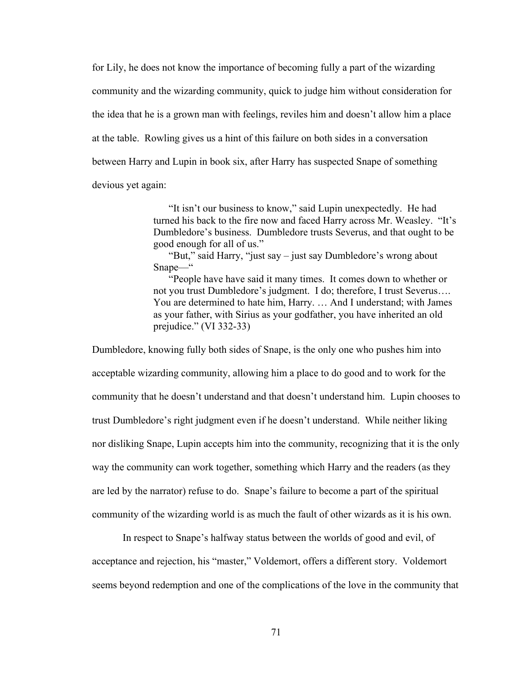for Lily, he does not know the importance of becoming fully a part of the wizarding community and the wizarding community, quick to judge him without consideration for the idea that he is a grown man with feelings, reviles him and doesn't allow him a place at the table. Rowling gives us a hint of this failure on both sides in a conversation between Harry and Lupin in book six, after Harry has suspected Snape of something devious yet again:

> "It isn't our business to know," said Lupin unexpectedly. He had turned his back to the fire now and faced Harry across Mr. Weasley. "It's Dumbledore's business. Dumbledore trusts Severus, and that ought to be good enough for all of us."

"But," said Harry, "just say – just say Dumbledore's wrong about Snape—"

"People have have said it many times. It comes down to whether or not you trust Dumbledore's judgment. I do; therefore, I trust Severus…. You are determined to hate him, Harry. … And I understand; with James as your father, with Sirius as your godfather, you have inherited an old prejudice." (VI 332-33)

Dumbledore, knowing fully both sides of Snape, is the only one who pushes him into acceptable wizarding community, allowing him a place to do good and to work for the community that he doesn't understand and that doesn't understand him. Lupin chooses to trust Dumbledore's right judgment even if he doesn't understand. While neither liking nor disliking Snape, Lupin accepts him into the community, recognizing that it is the only way the community can work together, something which Harry and the readers (as they are led by the narrator) refuse to do. Snape's failure to become a part of the spiritual community of the wizarding world is as much the fault of other wizards as it is his own.

 In respect to Snape's halfway status between the worlds of good and evil, of acceptance and rejection, his "master," Voldemort, offers a different story. Voldemort seems beyond redemption and one of the complications of the love in the community that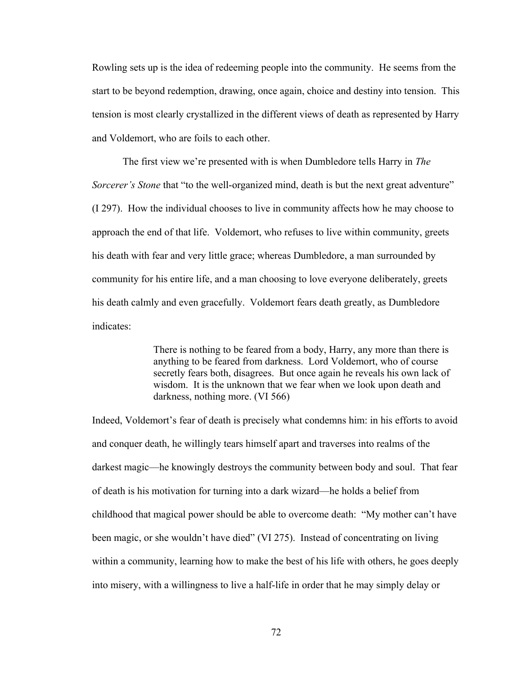Rowling sets up is the idea of redeeming people into the community. He seems from the start to be beyond redemption, drawing, once again, choice and destiny into tension. This tension is most clearly crystallized in the different views of death as represented by Harry and Voldemort, who are foils to each other.

 The first view we're presented with is when Dumbledore tells Harry in *The Sorcerer's Stone* that "to the well-organized mind, death is but the next great adventure" (I 297). How the individual chooses to live in community affects how he may choose to approach the end of that life. Voldemort, who refuses to live within community, greets his death with fear and very little grace; whereas Dumbledore, a man surrounded by community for his entire life, and a man choosing to love everyone deliberately, greets his death calmly and even gracefully. Voldemort fears death greatly, as Dumbledore indicates:

> There is nothing to be feared from a body, Harry, any more than there is anything to be feared from darkness. Lord Voldemort, who of course secretly fears both, disagrees. But once again he reveals his own lack of wisdom. It is the unknown that we fear when we look upon death and darkness, nothing more. (VI 566)

Indeed, Voldemort's fear of death is precisely what condemns him: in his efforts to avoid and conquer death, he willingly tears himself apart and traverses into realms of the darkest magic—he knowingly destroys the community between body and soul. That fear of death is his motivation for turning into a dark wizard—he holds a belief from childhood that magical power should be able to overcome death: "My mother can't have been magic, or she wouldn't have died" (VI 275). Instead of concentrating on living within a community, learning how to make the best of his life with others, he goes deeply into misery, with a willingness to live a half-life in order that he may simply delay or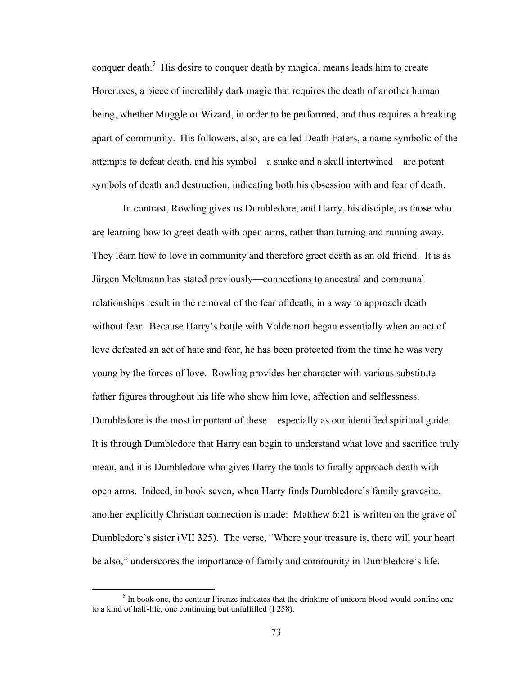conquer death.<sup>5</sup> His desire to conquer death by magical means leads him to create Horcruxes, a piece of incredibly dark magic that requires the death of another human being, whether Muggle or Wizard, in order to be performed, and thus requires a breaking apart of community. His followers, also, are called Death Eaters, a name symbolic of the attempts to defeat death, and his symbol—a snake and a skull intertwined—are potent symbols of death and destruction, indicating both his obsession with and fear of death.

 In contrast, Rowling gives us Dumbledore, and Harry, his disciple, as those who are learning how to greet death with open arms, rather than turning and running away. They learn how to love in community and therefore greet death as an old friend. It is as Jürgen Moltmann has stated previously—connections to ancestral and communal relationships result in the removal of the fear of death, in a way to approach death without fear. Because Harry's battle with Voldemort began essentially when an act of love defeated an act of hate and fear, he has been protected from the time he was very young by the forces of love. Rowling provides her character with various substitute father figures throughout his life who show him love, affection and selflessness. Dumbledore is the most important of these—especially as our identified spiritual guide. It is through Dumbledore that Harry can begin to understand what love and sacrifice truly mean, and it is Dumbledore who gives Harry the tools to finally approach death with open arms. Indeed, in book seven, when Harry finds Dumbledore's family gravesite, another explicitly Christian connection is made: Matthew 6:21 is written on the grave of Dumbledore's sister (VII 325). The verse, "Where your treasure is, there will your heart be also," underscores the importance of family and community in Dumbledore's life.

<sup>&</sup>lt;sup>5</sup> In book one, the centaur Firenze indicates that the drinking of unicorn blood would confine one to a kind of half-life, one continuing but unfulfilled (I 258).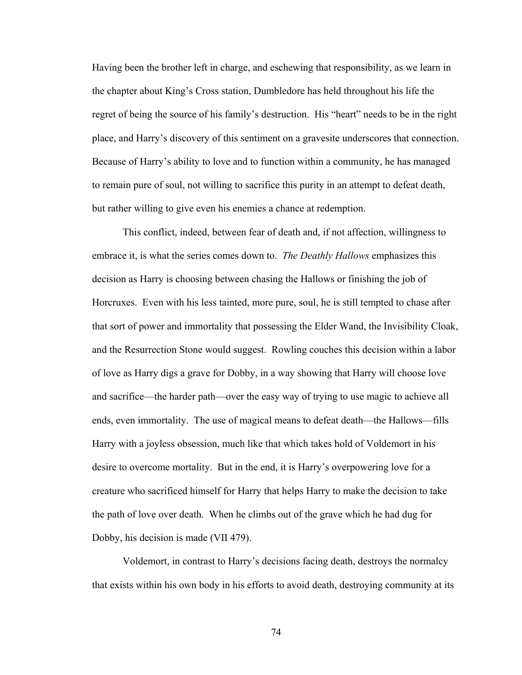Having been the brother left in charge, and eschewing that responsibility, as we learn in the chapter about King's Cross station, Dumbledore has held throughout his life the regret of being the source of his family's destruction. His "heart" needs to be in the right place, and Harry's discovery of this sentiment on a gravesite underscores that connection. Because of Harry's ability to love and to function within a community, he has managed to remain pure of soul, not willing to sacrifice this purity in an attempt to defeat death, but rather willing to give even his enemies a chance at redemption.

 This conflict, indeed, between fear of death and, if not affection, willingness to embrace it, is what the series comes down to. *The Deathly Hallows* emphasizes this decision as Harry is choosing between chasing the Hallows or finishing the job of Horcruxes. Even with his less tainted, more pure, soul, he is still tempted to chase after that sort of power and immortality that possessing the Elder Wand, the Invisibility Cloak, and the Resurrection Stone would suggest. Rowling couches this decision within a labor of love as Harry digs a grave for Dobby, in a way showing that Harry will choose love and sacrifice—the harder path—over the easy way of trying to use magic to achieve all ends, even immortality. The use of magical means to defeat death—the Hallows—fills Harry with a joyless obsession, much like that which takes hold of Voldemort in his desire to overcome mortality. But in the end, it is Harry's overpowering love for a creature who sacrificed himself for Harry that helps Harry to make the decision to take the path of love over death. When he climbs out of the grave which he had dug for Dobby, his decision is made (VII 479).

 Voldemort, in contrast to Harry's decisions facing death, destroys the normalcy that exists within his own body in his efforts to avoid death, destroying community at its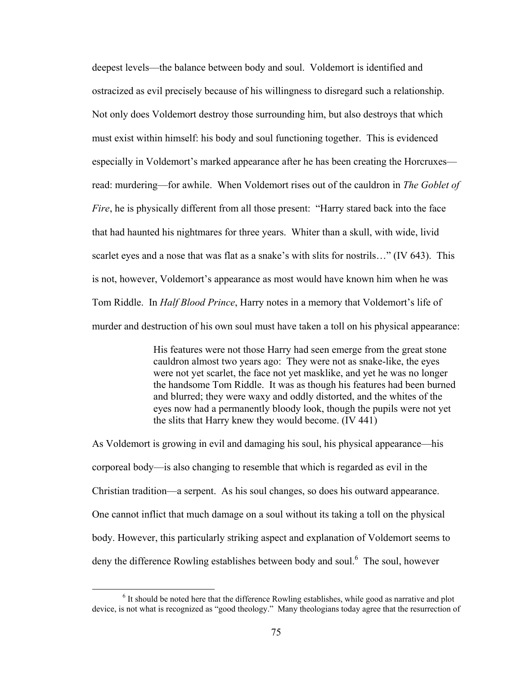deepest levels—the balance between body and soul. Voldemort is identified and ostracized as evil precisely because of his willingness to disregard such a relationship. Not only does Voldemort destroy those surrounding him, but also destroys that which must exist within himself: his body and soul functioning together. This is evidenced especially in Voldemort's marked appearance after he has been creating the Horcruxes read: murdering—for awhile. When Voldemort rises out of the cauldron in *The Goblet of Fire*, he is physically different from all those present: "Harry stared back into the face that had haunted his nightmares for three years. Whiter than a skull, with wide, livid scarlet eyes and a nose that was flat as a snake's with slits for nostrils..." (IV 643). This is not, however, Voldemort's appearance as most would have known him when he was Tom Riddle. In *Half Blood Prince*, Harry notes in a memory that Voldemort's life of murder and destruction of his own soul must have taken a toll on his physical appearance:

> His features were not those Harry had seen emerge from the great stone cauldron almost two years ago: They were not as snake-like, the eyes were not yet scarlet, the face not yet masklike, and yet he was no longer the handsome Tom Riddle. It was as though his features had been burned and blurred; they were waxy and oddly distorted, and the whites of the eyes now had a permanently bloody look, though the pupils were not yet the slits that Harry knew they would become. (IV 441)

As Voldemort is growing in evil and damaging his soul, his physical appearance—his corporeal body—is also changing to resemble that which is regarded as evil in the Christian tradition—a serpent. As his soul changes, so does his outward appearance. One cannot inflict that much damage on a soul without its taking a toll on the physical body. However, this particularly striking aspect and explanation of Voldemort seems to deny the difference Rowling establishes between body and soul.<sup>6</sup> The soul, however

 <sup>6</sup> It should be noted here that the difference Rowling establishes, while good as narrative and plot device, is not what is recognized as "good theology." Many theologians today agree that the resurrection of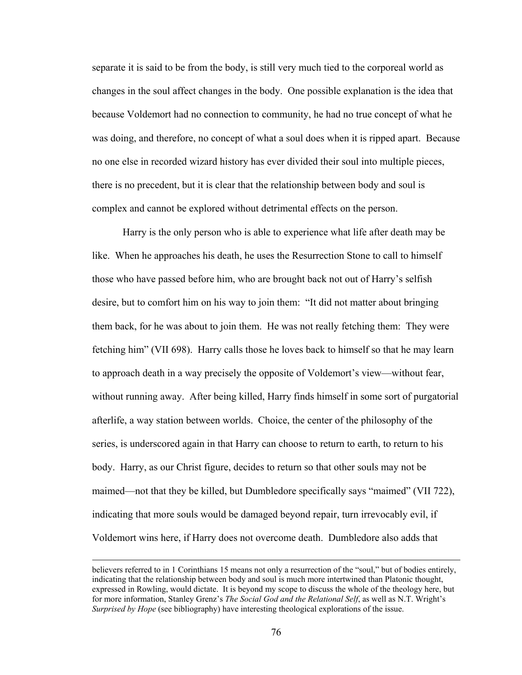separate it is said to be from the body, is still very much tied to the corporeal world as changes in the soul affect changes in the body. One possible explanation is the idea that because Voldemort had no connection to community, he had no true concept of what he was doing, and therefore, no concept of what a soul does when it is ripped apart. Because no one else in recorded wizard history has ever divided their soul into multiple pieces, there is no precedent, but it is clear that the relationship between body and soul is complex and cannot be explored without detrimental effects on the person.

Harry is the only person who is able to experience what life after death may be like. When he approaches his death, he uses the Resurrection Stone to call to himself those who have passed before him, who are brought back not out of Harry's selfish desire, but to comfort him on his way to join them: "It did not matter about bringing them back, for he was about to join them. He was not really fetching them: They were fetching him" (VII 698). Harry calls those he loves back to himself so that he may learn to approach death in a way precisely the opposite of Voldemort's view—without fear, without running away. After being killed, Harry finds himself in some sort of purgatorial afterlife, a way station between worlds. Choice, the center of the philosophy of the series, is underscored again in that Harry can choose to return to earth, to return to his body. Harry, as our Christ figure, decides to return so that other souls may not be maimed—not that they be killed, but Dumbledore specifically says "maimed" (VII 722), indicating that more souls would be damaged beyond repair, turn irrevocably evil, if Voldemort wins here, if Harry does not overcome death. Dumbledore also adds that

<u> 1989 - Andrea San Andrea San Andrea San Andrea San Andrea San Andrea San Andrea San Andrea San Andrea San An</u>

believers referred to in 1 Corinthians 15 means not only a resurrection of the "soul," but of bodies entirely, indicating that the relationship between body and soul is much more intertwined than Platonic thought, expressed in Rowling, would dictate. It is beyond my scope to discuss the whole of the theology here, but for more information, Stanley Grenz's *The Social God and the Relational Self*, as well as N.T. Wright's *Surprised by Hope* (see bibliography) have interesting theological explorations of the issue.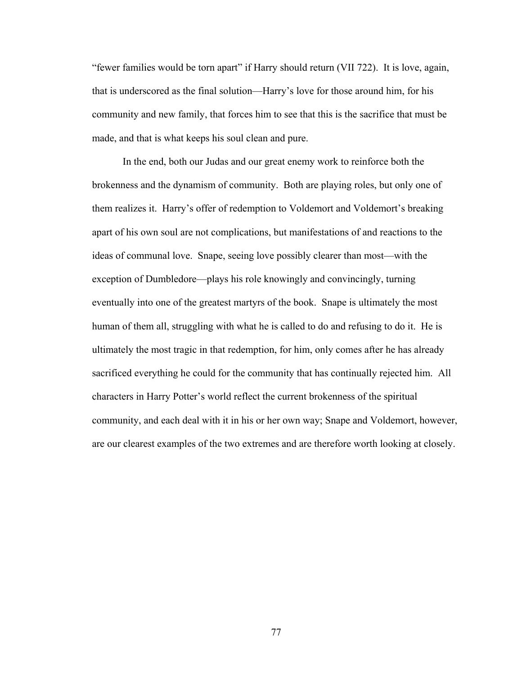"fewer families would be torn apart" if Harry should return (VII 722). It is love, again, that is underscored as the final solution—Harry's love for those around him, for his community and new family, that forces him to see that this is the sacrifice that must be made, and that is what keeps his soul clean and pure.

 In the end, both our Judas and our great enemy work to reinforce both the brokenness and the dynamism of community. Both are playing roles, but only one of them realizes it. Harry's offer of redemption to Voldemort and Voldemort's breaking apart of his own soul are not complications, but manifestations of and reactions to the ideas of communal love. Snape, seeing love possibly clearer than most—with the exception of Dumbledore—plays his role knowingly and convincingly, turning eventually into one of the greatest martyrs of the book. Snape is ultimately the most human of them all, struggling with what he is called to do and refusing to do it. He is ultimately the most tragic in that redemption, for him, only comes after he has already sacrificed everything he could for the community that has continually rejected him. All characters in Harry Potter's world reflect the current brokenness of the spiritual community, and each deal with it in his or her own way; Snape and Voldemort, however, are our clearest examples of the two extremes and are therefore worth looking at closely.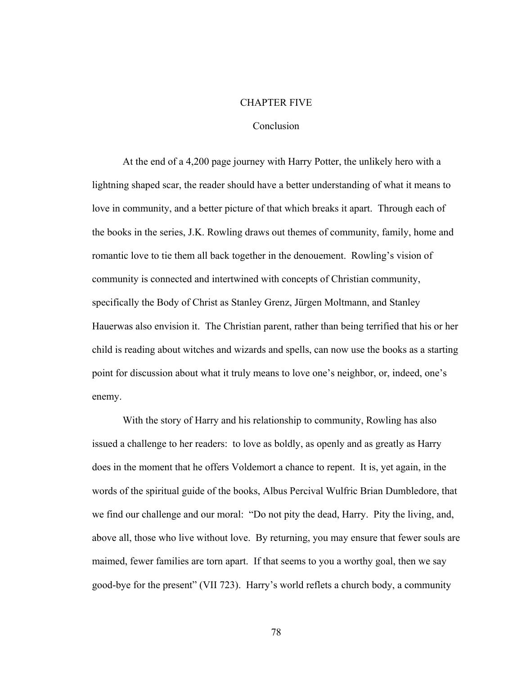#### CHAPTER FIVE

# **Conclusion**

At the end of a 4,200 page journey with Harry Potter, the unlikely hero with a lightning shaped scar, the reader should have a better understanding of what it means to love in community, and a better picture of that which breaks it apart. Through each of the books in the series, J.K. Rowling draws out themes of community, family, home and romantic love to tie them all back together in the denouement. Rowling's vision of community is connected and intertwined with concepts of Christian community, specifically the Body of Christ as Stanley Grenz, Jürgen Moltmann, and Stanley Hauerwas also envision it. The Christian parent, rather than being terrified that his or her child is reading about witches and wizards and spells, can now use the books as a starting point for discussion about what it truly means to love one's neighbor, or, indeed, one's enemy.

With the story of Harry and his relationship to community, Rowling has also issued a challenge to her readers: to love as boldly, as openly and as greatly as Harry does in the moment that he offers Voldemort a chance to repent. It is, yet again, in the words of the spiritual guide of the books, Albus Percival Wulfric Brian Dumbledore, that we find our challenge and our moral: "Do not pity the dead, Harry. Pity the living, and, above all, those who live without love. By returning, you may ensure that fewer souls are maimed, fewer families are torn apart. If that seems to you a worthy goal, then we say good-bye for the present" (VII 723). Harry's world reflets a church body, a community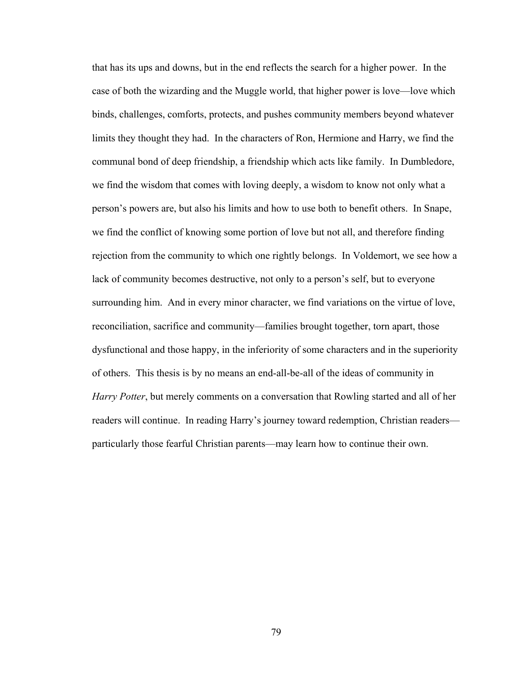that has its ups and downs, but in the end reflects the search for a higher power. In the case of both the wizarding and the Muggle world, that higher power is love—love which binds, challenges, comforts, protects, and pushes community members beyond whatever limits they thought they had. In the characters of Ron, Hermione and Harry, we find the communal bond of deep friendship, a friendship which acts like family. In Dumbledore, we find the wisdom that comes with loving deeply, a wisdom to know not only what a person's powers are, but also his limits and how to use both to benefit others. In Snape, we find the conflict of knowing some portion of love but not all, and therefore finding rejection from the community to which one rightly belongs. In Voldemort, we see how a lack of community becomes destructive, not only to a person's self, but to everyone surrounding him. And in every minor character, we find variations on the virtue of love, reconciliation, sacrifice and community—families brought together, torn apart, those dysfunctional and those happy, in the inferiority of some characters and in the superiority of others. This thesis is by no means an end-all-be-all of the ideas of community in *Harry Potter*, but merely comments on a conversation that Rowling started and all of her readers will continue. In reading Harry's journey toward redemption, Christian readers particularly those fearful Christian parents—may learn how to continue their own.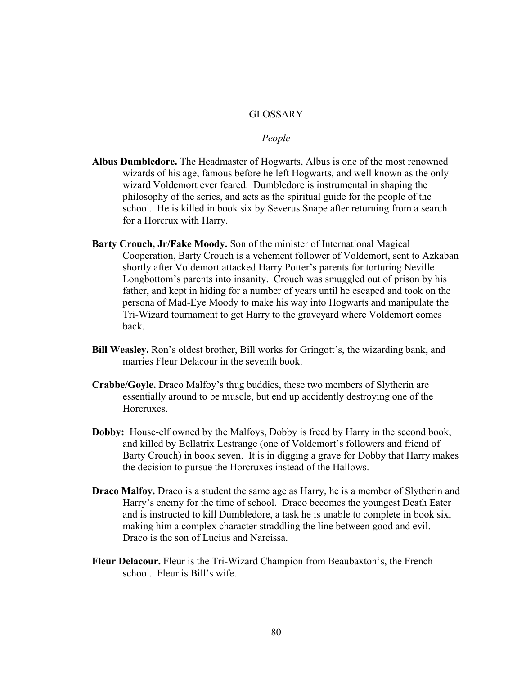## **GLOSSARY**

## *People*

- **Albus Dumbledore.** The Headmaster of Hogwarts, Albus is one of the most renowned wizards of his age, famous before he left Hogwarts, and well known as the only wizard Voldemort ever feared. Dumbledore is instrumental in shaping the philosophy of the series, and acts as the spiritual guide for the people of the school. He is killed in book six by Severus Snape after returning from a search for a Horcrux with Harry.
- **Barty Crouch, Jr/Fake Moody.** Son of the minister of International Magical Cooperation, Barty Crouch is a vehement follower of Voldemort, sent to Azkaban shortly after Voldemort attacked Harry Potter's parents for torturing Neville Longbottom's parents into insanity. Crouch was smuggled out of prison by his father, and kept in hiding for a number of years until he escaped and took on the persona of Mad-Eye Moody to make his way into Hogwarts and manipulate the Tri-Wizard tournament to get Harry to the graveyard where Voldemort comes back.
- **Bill Weasley.** Ron's oldest brother, Bill works for Gringott's, the wizarding bank, and marries Fleur Delacour in the seventh book.
- **Crabbe/Goyle.** Draco Malfoy's thug buddies, these two members of Slytherin are essentially around to be muscle, but end up accidently destroying one of the Horcruxes.
- **Dobby:** House-elf owned by the Malfoys, Dobby is freed by Harry in the second book, and killed by Bellatrix Lestrange (one of Voldemort's followers and friend of Barty Crouch) in book seven. It is in digging a grave for Dobby that Harry makes the decision to pursue the Horcruxes instead of the Hallows.
- **Draco Malfoy.** Draco is a student the same age as Harry, he is a member of Slytherin and Harry's enemy for the time of school. Draco becomes the youngest Death Eater and is instructed to kill Dumbledore, a task he is unable to complete in book six, making him a complex character straddling the line between good and evil. Draco is the son of Lucius and Narcissa.
- **Fleur Delacour.** Fleur is the Tri-Wizard Champion from Beaubaxton's, the French school. Fleur is Bill's wife.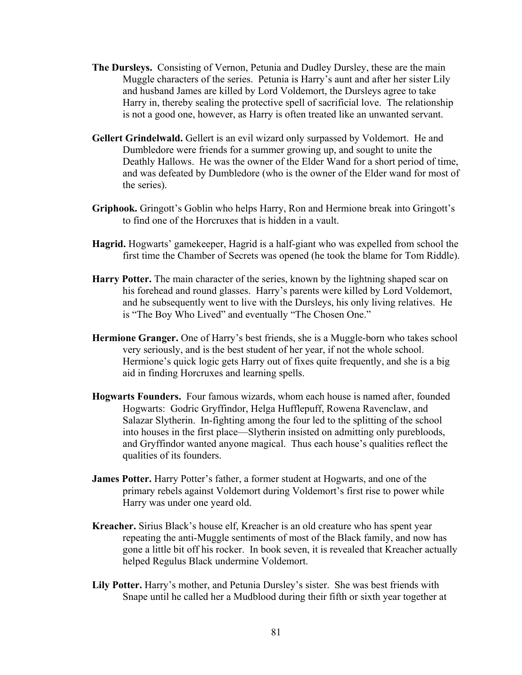- **The Dursleys.** Consisting of Vernon, Petunia and Dudley Dursley, these are the main Muggle characters of the series. Petunia is Harry's aunt and after her sister Lily and husband James are killed by Lord Voldemort, the Dursleys agree to take Harry in, thereby sealing the protective spell of sacrificial love. The relationship is not a good one, however, as Harry is often treated like an unwanted servant.
- **Gellert Grindelwald.** Gellert is an evil wizard only surpassed by Voldemort. He and Dumbledore were friends for a summer growing up, and sought to unite the Deathly Hallows. He was the owner of the Elder Wand for a short period of time, and was defeated by Dumbledore (who is the owner of the Elder wand for most of the series).
- **Griphook.** Gringott's Goblin who helps Harry, Ron and Hermione break into Gringott's to find one of the Horcruxes that is hidden in a vault.
- **Hagrid.** Hogwarts' gamekeeper, Hagrid is a half-giant who was expelled from school the first time the Chamber of Secrets was opened (he took the blame for Tom Riddle).
- **Harry Potter.** The main character of the series, known by the lightning shaped scar on his forehead and round glasses. Harry's parents were killed by Lord Voldemort, and he subsequently went to live with the Dursleys, his only living relatives. He is "The Boy Who Lived" and eventually "The Chosen One."
- **Hermione Granger.** One of Harry's best friends, she is a Muggle-born who takes school very seriously, and is the best student of her year, if not the whole school. Hermione's quick logic gets Harry out of fixes quite frequently, and she is a big aid in finding Horcruxes and learning spells.
- **Hogwarts Founders.** Four famous wizards, whom each house is named after, founded Hogwarts: Godric Gryffindor, Helga Hufflepuff, Rowena Ravenclaw, and Salazar Slytherin. In-fighting among the four led to the splitting of the school into houses in the first place—Slytherin insisted on admitting only purebloods, and Gryffindor wanted anyone magical. Thus each house's qualities reflect the qualities of its founders.
- **James Potter.** Harry Potter's father, a former student at Hogwarts, and one of the primary rebels against Voldemort during Voldemort's first rise to power while Harry was under one yeard old.
- **Kreacher.** Sirius Black's house elf, Kreacher is an old creature who has spent year repeating the anti-Muggle sentiments of most of the Black family, and now has gone a little bit off his rocker. In book seven, it is revealed that Kreacher actually helped Regulus Black undermine Voldemort.
- **Lily Potter.** Harry's mother, and Petunia Dursley's sister. She was best friends with Snape until he called her a Mudblood during their fifth or sixth year together at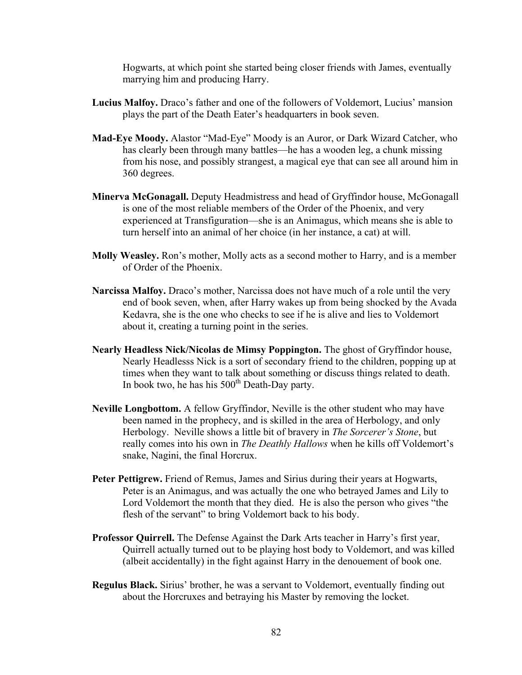Hogwarts, at which point she started being closer friends with James, eventually marrying him and producing Harry.

- **Lucius Malfoy.** Draco's father and one of the followers of Voldemort, Lucius' mansion plays the part of the Death Eater's headquarters in book seven.
- **Mad-Eye Moody.** Alastor "Mad-Eye" Moody is an Auror, or Dark Wizard Catcher, who has clearly been through many battles—he has a wooden leg, a chunk missing from his nose, and possibly strangest, a magical eye that can see all around him in 360 degrees.
- **Minerva McGonagall.** Deputy Headmistress and head of Gryffindor house, McGonagall is one of the most reliable members of the Order of the Phoenix, and very experienced at Transfiguration—she is an Animagus, which means she is able to turn herself into an animal of her choice (in her instance, a cat) at will.
- **Molly Weasley.** Ron's mother, Molly acts as a second mother to Harry, and is a member of Order of the Phoenix.
- **Narcissa Malfoy.** Draco's mother, Narcissa does not have much of a role until the very end of book seven, when, after Harry wakes up from being shocked by the Avada Kedavra, she is the one who checks to see if he is alive and lies to Voldemort about it, creating a turning point in the series.
- **Nearly Headless Nick/Nicolas de Mimsy Poppington.** The ghost of Gryffindor house, Nearly Headlesss Nick is a sort of secondary friend to the children, popping up at times when they want to talk about something or discuss things related to death. In book two, he has his  $500<sup>th</sup>$  Death-Day party.
- **Neville Longbottom.** A fellow Gryffindor, Neville is the other student who may have been named in the prophecy, and is skilled in the area of Herbology, and only Herbology. Neville shows a little bit of bravery in *The Sorcerer's Stone*, but really comes into his own in *The Deathly Hallows* when he kills off Voldemort's snake, Nagini, the final Horcrux.
- **Peter Pettigrew.** Friend of Remus, James and Sirius during their years at Hogwarts, Peter is an Animagus, and was actually the one who betrayed James and Lily to Lord Voldemort the month that they died. He is also the person who gives "the flesh of the servant" to bring Voldemort back to his body.
- **Professor Quirrell.** The Defense Against the Dark Arts teacher in Harry's first year, Quirrell actually turned out to be playing host body to Voldemort, and was killed (albeit accidentally) in the fight against Harry in the denouement of book one.
- **Regulus Black.** Sirius' brother, he was a servant to Voldemort, eventually finding out about the Horcruxes and betraying his Master by removing the locket.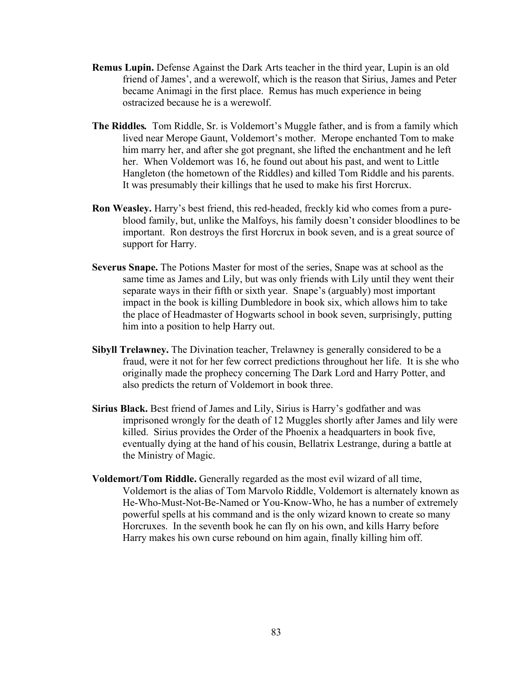- **Remus Lupin.** Defense Against the Dark Arts teacher in the third year, Lupin is an old friend of James', and a werewolf, which is the reason that Sirius, James and Peter became Animagi in the first place. Remus has much experience in being ostracized because he is a werewolf.
- **The Riddles***.* Tom Riddle, Sr. is Voldemort's Muggle father, and is from a family which lived near Merope Gaunt, Voldemort's mother. Merope enchanted Tom to make him marry her, and after she got pregnant, she lifted the enchantment and he left her. When Voldemort was 16, he found out about his past, and went to Little Hangleton (the hometown of the Riddles) and killed Tom Riddle and his parents. It was presumably their killings that he used to make his first Horcrux.
- **Ron Weasley.** Harry's best friend, this red-headed, freckly kid who comes from a pureblood family, but, unlike the Malfoys, his family doesn't consider bloodlines to be important. Ron destroys the first Horcrux in book seven, and is a great source of support for Harry.
- **Severus Snape.** The Potions Master for most of the series, Snape was at school as the same time as James and Lily, but was only friends with Lily until they went their separate ways in their fifth or sixth year. Snape's (arguably) most important impact in the book is killing Dumbledore in book six, which allows him to take the place of Headmaster of Hogwarts school in book seven, surprisingly, putting him into a position to help Harry out.
- **Sibyll Trelawney.** The Divination teacher, Trelawney is generally considered to be a fraud, were it not for her few correct predictions throughout her life. It is she who originally made the prophecy concerning The Dark Lord and Harry Potter, and also predicts the return of Voldemort in book three.
- **Sirius Black.** Best friend of James and Lily, Sirius is Harry's godfather and was imprisoned wrongly for the death of 12 Muggles shortly after James and lily were killed. Sirius provides the Order of the Phoenix a headquarters in book five, eventually dying at the hand of his cousin, Bellatrix Lestrange, during a battle at the Ministry of Magic.
- **Voldemort/Tom Riddle.** Generally regarded as the most evil wizard of all time, Voldemort is the alias of Tom Marvolo Riddle, Voldemort is alternately known as He-Who-Must-Not-Be-Named or You-Know-Who, he has a number of extremely powerful spells at his command and is the only wizard known to create so many Horcruxes. In the seventh book he can fly on his own, and kills Harry before Harry makes his own curse rebound on him again, finally killing him off.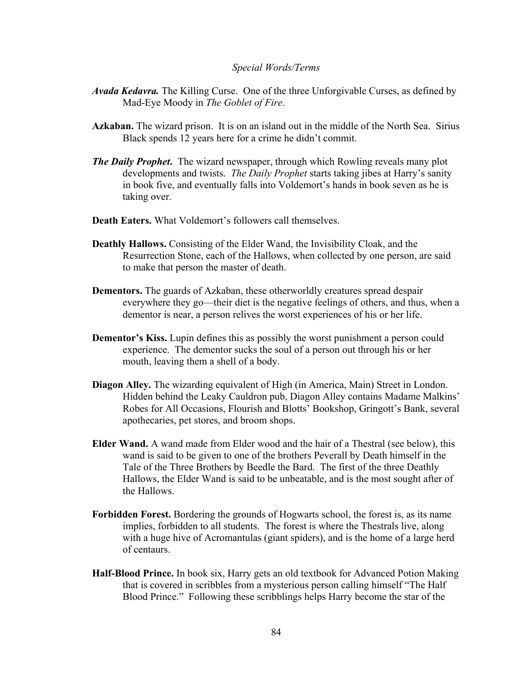### *Special Words/Terms*

- *Avada Kedavra.* The Killing Curse. One of the three Unforgivable Curses, as defined by Mad-Eye Moody in *The Goblet of Fire*.
- **Azkaban.** The wizard prison. It is on an island out in the middle of the North Sea. Sirius Black spends 12 years here for a crime he didn't commit.
- *The Daily Prophet***.** The wizard newspaper, through which Rowling reveals many plot developments and twists. *The Daily Prophet* starts taking jibes at Harry's sanity in book five, and eventually falls into Voldemort's hands in book seven as he is taking over.
- **Death Eaters.** What Voldemort's followers call themselves.
- **Deathly Hallows.** Consisting of the Elder Wand, the Invisibility Cloak, and the Resurrection Stone, each of the Hallows, when collected by one person, are said to make that person the master of death.
- **Dementors.** The guards of Azkaban, these otherworldly creatures spread despair everywhere they go—their diet is the negative feelings of others, and thus, when a dementor is near, a person relives the worst experiences of his or her life.
- **Dementor's Kiss.** Lupin defines this as possibly the worst punishment a person could experience. The dementor sucks the soul of a person out through his or her mouth, leaving them a shell of a body.
- **Diagon Alley.** The wizarding equivalent of High (in America, Main) Street in London. Hidden behind the Leaky Cauldron pub, Diagon Alley contains Madame Malkins' Robes for All Occasions, Flourish and Blotts' Bookshop, Gringott's Bank, several apothecaries, pet stores, and broom shops.
- **Elder Wand.** A wand made from Elder wood and the hair of a Thestral (see below), this wand is said to be given to one of the brothers Peverall by Death himself in the Tale of the Three Brothers by Beedle the Bard. The first of the three Deathly Hallows, the Elder Wand is said to be unbeatable, and is the most sought after of the Hallows.
- **Forbidden Forest.** Bordering the grounds of Hogwarts school, the forest is, as its name implies, forbidden to all students. The forest is where the Thestrals live, along with a huge hive of Acromantulas (giant spiders), and is the home of a large herd of centaurs.
- **Half-Blood Prince.** In book six, Harry gets an old textbook for Advanced Potion Making that is covered in scribbles from a mysterious person calling himself "The Half Blood Prince." Following these scribblings helps Harry become the star of the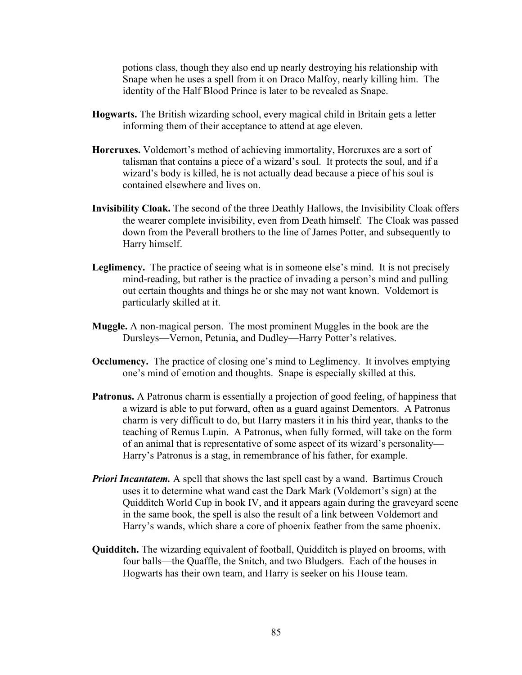potions class, though they also end up nearly destroying his relationship with Snape when he uses a spell from it on Draco Malfoy, nearly killing him. The identity of the Half Blood Prince is later to be revealed as Snape.

- **Hogwarts.** The British wizarding school, every magical child in Britain gets a letter informing them of their acceptance to attend at age eleven.
- **Horcruxes.** Voldemort's method of achieving immortality, Horcruxes are a sort of talisman that contains a piece of a wizard's soul. It protects the soul, and if a wizard's body is killed, he is not actually dead because a piece of his soul is contained elsewhere and lives on.
- **Invisibility Cloak.** The second of the three Deathly Hallows, the Invisibility Cloak offers the wearer complete invisibility, even from Death himself. The Cloak was passed down from the Peverall brothers to the line of James Potter, and subsequently to Harry himself.
- **Leglimency.** The practice of seeing what is in someone else's mind. It is not precisely mind-reading, but rather is the practice of invading a person's mind and pulling out certain thoughts and things he or she may not want known. Voldemort is particularly skilled at it.
- **Muggle.** A non-magical person. The most prominent Muggles in the book are the Dursleys—Vernon, Petunia, and Dudley—Harry Potter's relatives.
- **Occlumency.** The practice of closing one's mind to Leglimency. It involves emptying one's mind of emotion and thoughts. Snape is especially skilled at this.
- **Patronus.** A Patronus charm is essentially a projection of good feeling, of happiness that a wizard is able to put forward, often as a guard against Dementors. A Patronus charm is very difficult to do, but Harry masters it in his third year, thanks to the teaching of Remus Lupin. A Patronus, when fully formed, will take on the form of an animal that is representative of some aspect of its wizard's personality— Harry's Patronus is a stag, in remembrance of his father, for example.
- *Priori Incantatem.* A spell that shows the last spell cast by a wand. Bartimus Crouch uses it to determine what wand cast the Dark Mark (Voldemort's sign) at the Quidditch World Cup in book IV, and it appears again during the graveyard scene in the same book, the spell is also the result of a link between Voldemort and Harry's wands, which share a core of phoenix feather from the same phoenix.
- **Quidditch.** The wizarding equivalent of football, Quidditch is played on brooms, with four balls—the Quaffle, the Snitch, and two Bludgers. Each of the houses in Hogwarts has their own team, and Harry is seeker on his House team.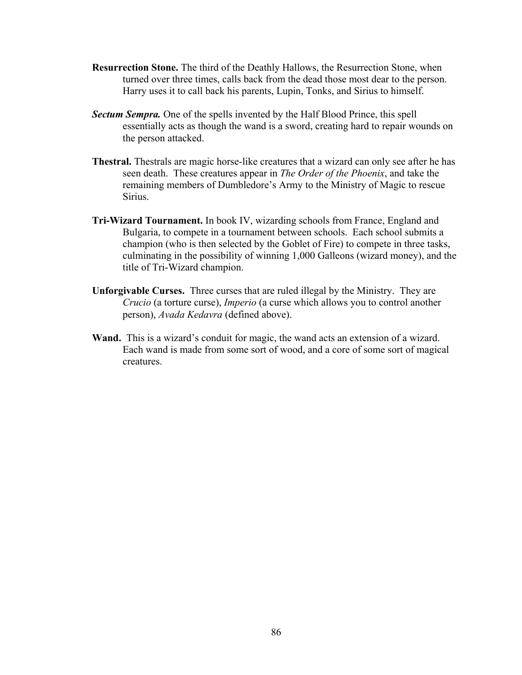- **Resurrection Stone.** The third of the Deathly Hallows, the Resurrection Stone, when turned over three times, calls back from the dead those most dear to the person. Harry uses it to call back his parents, Lupin, Tonks, and Sirius to himself.
- *Sectum Sempra.* One of the spells invented by the Half Blood Prince, this spell essentially acts as though the wand is a sword, creating hard to repair wounds on the person attacked.
- **Thestral.** Thestrals are magic horse-like creatures that a wizard can only see after he has seen death. These creatures appear in *The Order of the Phoenix*, and take the remaining members of Dumbledore's Army to the Ministry of Magic to rescue Sirius.
- **Tri-Wizard Tournament.** In book IV, wizarding schools from France, England and Bulgaria, to compete in a tournament between schools. Each school submits a champion (who is then selected by the Goblet of Fire) to compete in three tasks, culminating in the possibility of winning 1,000 Galleons (wizard money), and the title of Tri-Wizard champion.
- **Unforgivable Curses.** Three curses that are ruled illegal by the Ministry. They are *Crucio* (a torture curse), *Imperio* (a curse which allows you to control another person), *Avada Kedavra* (defined above).
- **Wand.** This is a wizard's conduit for magic, the wand acts an extension of a wizard. Each wand is made from some sort of wood, and a core of some sort of magical creatures.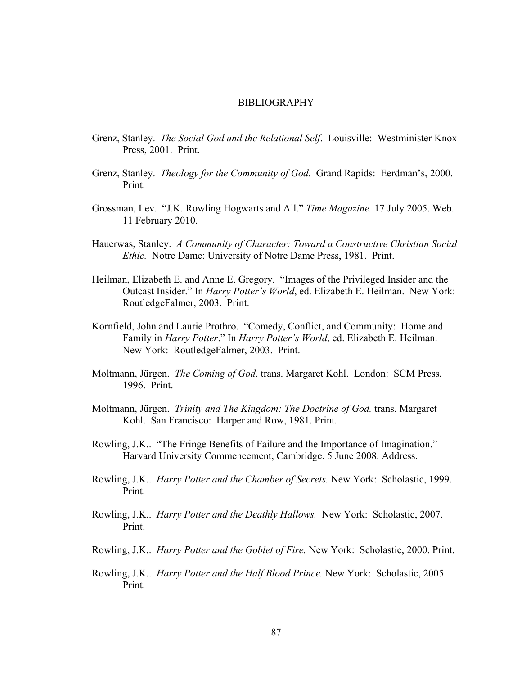### BIBLIOGRAPHY

- Grenz, Stanley. *The Social God and the Relational Self*. Louisville: Westminister Knox Press, 2001. Print.
- Grenz, Stanley. *Theology for the Community of God*. Grand Rapids: Eerdman's, 2000. Print.
- Grossman, Lev. "J.K. Rowling Hogwarts and All." *Time Magazine.* 17 July 2005. Web. 11 February 2010.
- Hauerwas, Stanley. *A Community of Character: Toward a Constructive Christian Social Ethic.* Notre Dame: University of Notre Dame Press, 1981. Print.
- Heilman, Elizabeth E. and Anne E. Gregory. "Images of the Privileged Insider and the Outcast Insider." In *Harry Potter's World*, ed. Elizabeth E. Heilman. New York: RoutledgeFalmer, 2003. Print.
- Kornfield, John and Laurie Prothro. "Comedy, Conflict, and Community: Home and Family in *Harry Potter*." In *Harry Potter's World*, ed. Elizabeth E. Heilman. New York: RoutledgeFalmer, 2003. Print.
- Moltmann, Jürgen. *The Coming of God*. trans. Margaret Kohl. London: SCM Press, 1996. Print.
- Moltmann, Jürgen. *Trinity and The Kingdom: The Doctrine of God.* trans. Margaret Kohl. San Francisco: Harper and Row, 1981. Print.
- Rowling, J.K.. "The Fringe Benefits of Failure and the Importance of Imagination." Harvard University Commencement, Cambridge. 5 June 2008. Address.
- Rowling, J.K.. *Harry Potter and the Chamber of Secrets.* New York: Scholastic, 1999. Print.
- Rowling, J.K.. *Harry Potter and the Deathly Hallows.* New York: Scholastic, 2007. Print.
- Rowling, J.K.. *Harry Potter and the Goblet of Fire.* New York: Scholastic, 2000. Print.
- Rowling, J.K.. *Harry Potter and the Half Blood Prince.* New York: Scholastic, 2005. Print.